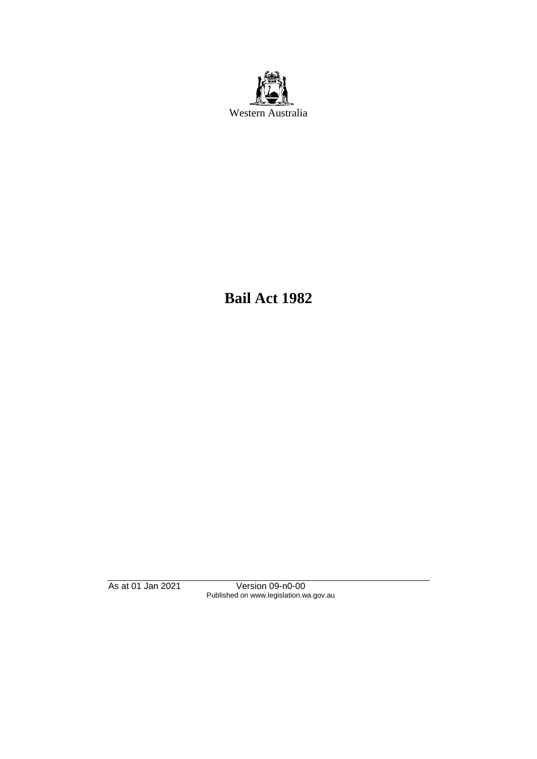

**Bail Act 1982**

As at 01 Jan 2021 Version 09-n0-00 Published on www.legislation.wa.gov.au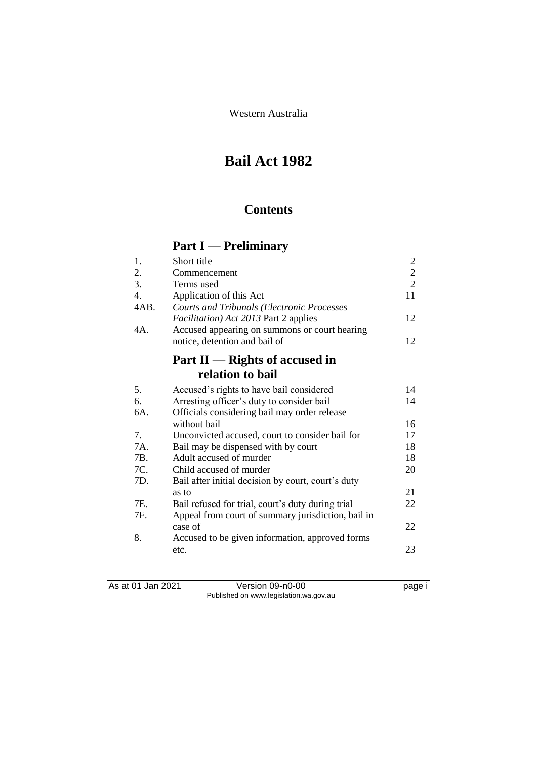Western Australia

# **Bail Act 1982**

## **Contents**

# **Part I — Preliminary**

| 1.               | Short title                                        | $\overline{2}$ |
|------------------|----------------------------------------------------|----------------|
| 2.               | Commencement                                       | $\sqrt{2}$     |
| 3.               | Terms used                                         | $\overline{2}$ |
| $\overline{4}$ . | Application of this Act                            | 11             |
| 4AB.             | <b>Courts and Tribunals (Electronic Processes</b>  |                |
|                  | <i>Facilitation</i> ) Act 2013 Part 2 applies      | 12             |
| 4A.              | Accused appearing on summons or court hearing      |                |
|                  | notice, detention and bail of                      | 12             |
|                  | Part $II$ — Rights of accused in                   |                |
|                  | relation to bail                                   |                |
| 5.               | Accused's rights to have bail considered           | 14             |
| 6.               | Arresting officer's duty to consider bail          | 14             |
| 6A.              | Officials considering bail may order release       |                |
|                  | without bail                                       | 16             |
| 7.               | Unconvicted accused, court to consider bail for    | 17             |
| 7A.              | Bail may be dispensed with by court                | 18             |
| 7B.              | Adult accused of murder                            | 18             |
| 7C.              | Child accused of murder                            | 20             |
| 7D.              | Bail after initial decision by court, court's duty |                |
|                  | as to                                              | 21             |
| 7E.              | Bail refused for trial, court's duty during trial  | 22             |
| 7F.              | Appeal from court of summary jurisdiction, bail in |                |
|                  | case of                                            | 22             |
| 8.               | Accused to be given information, approved forms    |                |
|                  | etc.                                               | 23             |
|                  |                                                    |                |

As at 01 Jan 2021 Version 09-n0-00 page i Published on www.legislation.wa.gov.au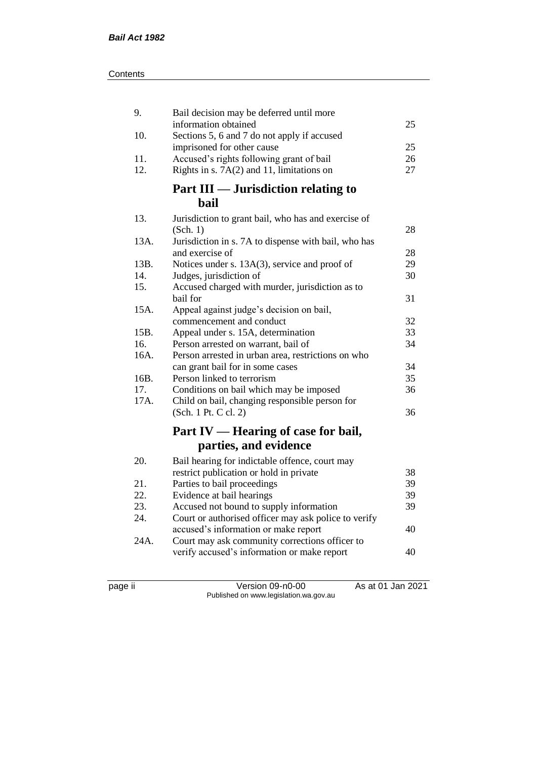| 9.                                  | Bail decision may be deferred until more                               |    |  |
|-------------------------------------|------------------------------------------------------------------------|----|--|
|                                     | information obtained                                                   | 25 |  |
| 10.                                 | Sections 5, 6 and 7 do not apply if accused                            | 25 |  |
| 11.                                 | imprisoned for other cause<br>Accused's rights following grant of bail | 26 |  |
| 12.                                 | Rights in s. $7A(2)$ and 11, limitations on                            | 27 |  |
|                                     |                                                                        |    |  |
| Part III — Jurisdiction relating to |                                                                        |    |  |
|                                     | <b>bail</b>                                                            |    |  |
| 13.                                 | Jurisdiction to grant bail, who has and exercise of                    |    |  |
|                                     | (Sch. 1)                                                               | 28 |  |
| 13A.                                | Jurisdiction in s. 7A to dispense with bail, who has                   |    |  |
|                                     | and exercise of                                                        | 28 |  |
| 13B.                                | Notices under s. 13A(3), service and proof of                          | 29 |  |
| 14.                                 | Judges, jurisdiction of                                                | 30 |  |
| 15.                                 | Accused charged with murder, jurisdiction as to                        |    |  |
|                                     | bail for                                                               | 31 |  |
| 15A.                                | Appeal against judge's decision on bail,                               |    |  |
|                                     | commencement and conduct                                               | 32 |  |
| 15B.                                | Appeal under s. 15A, determination                                     | 33 |  |
| 16.                                 | Person arrested on warrant, bail of                                    | 34 |  |
| 16A.                                | Person arrested in urban area, restrictions on who                     |    |  |
|                                     | can grant bail for in some cases                                       | 34 |  |
| 16B.                                | Person linked to terrorism                                             | 35 |  |
| 17.                                 | Conditions on bail which may be imposed                                | 36 |  |
| 17A.                                | Child on bail, changing responsible person for                         |    |  |
|                                     | (Sch. 1 Pt. C cl. 2)                                                   | 36 |  |
|                                     | Part IV — Hearing of case for bail,                                    |    |  |
|                                     | parties, and evidence                                                  |    |  |
| 20.                                 | Bail hearing for indictable offence, court may                         |    |  |
|                                     | restrict publication or hold in private                                | 38 |  |
| 21.                                 | Parties to bail proceedings                                            | 39 |  |
| 22.                                 | Evidence at bail hearings                                              | 39 |  |
| 23.                                 | Accused not bound to supply information                                | 39 |  |
| 24.                                 | Court or authorised officer may ask police to verify                   |    |  |
|                                     | accused's information or make report                                   | 40 |  |
| 24A.                                | Court may ask community corrections officer to                         |    |  |
|                                     | verify accused's information or make report                            | 40 |  |
|                                     |                                                                        |    |  |

page ii Version 09-n0-00 As at 01 Jan 2021 Published on www.legislation.wa.gov.au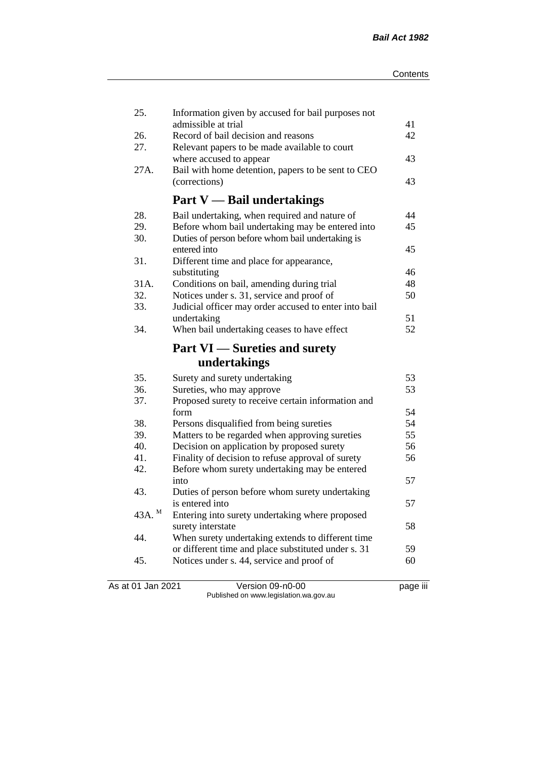| 25.                | Information given by accused for bail purposes not    |    |
|--------------------|-------------------------------------------------------|----|
|                    | admissible at trial                                   | 41 |
| 26.<br>27.         | Record of bail decision and reasons                   | 42 |
|                    | Relevant papers to be made available to court         |    |
|                    | where accused to appear                               | 43 |
| 27A.               | Bail with home detention, papers to be sent to CEO    |    |
|                    | (corrections)                                         | 43 |
|                    | <b>Part V</b> — Bail undertakings                     |    |
| 28.                | Bail undertaking, when required and nature of         | 44 |
| 29.                | Before whom bail undertaking may be entered into      | 45 |
| 30.                | Duties of person before whom bail undertaking is      |    |
|                    | entered into                                          | 45 |
| 31.                | Different time and place for appearance,              |    |
|                    | substituting                                          | 46 |
| 31A.               | Conditions on bail, amending during trial             | 48 |
| 32.                | Notices under s. 31, service and proof of             | 50 |
| 33.                | Judicial officer may order accused to enter into bail |    |
|                    | undertaking                                           | 51 |
| 34.                | When bail undertaking ceases to have effect           | 52 |
|                    | <b>Part VI</b> — Sureties and surety                  |    |
|                    | undertakings                                          |    |
| 35.                | Surety and surety undertaking                         | 53 |
| 36.                | Sureties, who may approve                             | 53 |
| 37.                | Proposed surety to receive certain information and    |    |
|                    | form                                                  | 54 |
| 38.                | Persons disqualified from being sureties              | 54 |
| 39.                | Matters to be regarded when approving sureties        | 55 |
| 40.                | Decision on application by proposed surety            | 56 |
| 41.                | Finality of decision to refuse approval of surety     | 56 |
| 42.                | Before whom surety undertaking may be entered         |    |
|                    | into                                                  | 57 |
| 43.                | Duties of person before whom surety undertaking       |    |
|                    | is entered into                                       | 57 |
| 43A. $^{\text{M}}$ | Entering into surety undertaking where proposed       |    |
|                    | surety interstate                                     | 58 |
| 44.                | When surety undertaking extends to different time     |    |
|                    | or different time and place substituted under s. 31   | 59 |
| 45.                | Notices under s. 44, service and proof of             | 60 |
|                    |                                                       |    |
|                    |                                                       |    |

As at 01 Jan 2021 Version 09-n0-00 page iii Published on www.legislation.wa.gov.au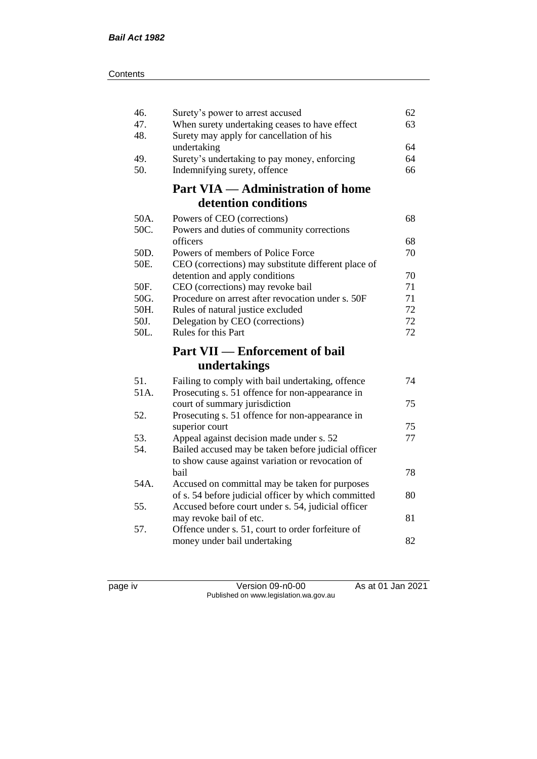| Surety's power to arrest accused<br>When surety undertaking ceases to have effect | 62<br>63                                                                                                                                                                                                                                                                                                                                                                                                                                                                                                                                                                                                                                                                                                                                                                                                                                                                                                          |
|-----------------------------------------------------------------------------------|-------------------------------------------------------------------------------------------------------------------------------------------------------------------------------------------------------------------------------------------------------------------------------------------------------------------------------------------------------------------------------------------------------------------------------------------------------------------------------------------------------------------------------------------------------------------------------------------------------------------------------------------------------------------------------------------------------------------------------------------------------------------------------------------------------------------------------------------------------------------------------------------------------------------|
| undertaking                                                                       | 64                                                                                                                                                                                                                                                                                                                                                                                                                                                                                                                                                                                                                                                                                                                                                                                                                                                                                                                |
| Surety's undertaking to pay money, enforcing                                      | 64                                                                                                                                                                                                                                                                                                                                                                                                                                                                                                                                                                                                                                                                                                                                                                                                                                                                                                                |
|                                                                                   | 66                                                                                                                                                                                                                                                                                                                                                                                                                                                                                                                                                                                                                                                                                                                                                                                                                                                                                                                |
| <b>Part VIA — Administration of home</b>                                          |                                                                                                                                                                                                                                                                                                                                                                                                                                                                                                                                                                                                                                                                                                                                                                                                                                                                                                                   |
|                                                                                   |                                                                                                                                                                                                                                                                                                                                                                                                                                                                                                                                                                                                                                                                                                                                                                                                                                                                                                                   |
| Powers of CEO (corrections)                                                       | 68                                                                                                                                                                                                                                                                                                                                                                                                                                                                                                                                                                                                                                                                                                                                                                                                                                                                                                                |
|                                                                                   |                                                                                                                                                                                                                                                                                                                                                                                                                                                                                                                                                                                                                                                                                                                                                                                                                                                                                                                   |
|                                                                                   | 68                                                                                                                                                                                                                                                                                                                                                                                                                                                                                                                                                                                                                                                                                                                                                                                                                                                                                                                |
|                                                                                   | 70                                                                                                                                                                                                                                                                                                                                                                                                                                                                                                                                                                                                                                                                                                                                                                                                                                                                                                                |
|                                                                                   | 70                                                                                                                                                                                                                                                                                                                                                                                                                                                                                                                                                                                                                                                                                                                                                                                                                                                                                                                |
|                                                                                   | 71                                                                                                                                                                                                                                                                                                                                                                                                                                                                                                                                                                                                                                                                                                                                                                                                                                                                                                                |
|                                                                                   | 71                                                                                                                                                                                                                                                                                                                                                                                                                                                                                                                                                                                                                                                                                                                                                                                                                                                                                                                |
|                                                                                   | 72                                                                                                                                                                                                                                                                                                                                                                                                                                                                                                                                                                                                                                                                                                                                                                                                                                                                                                                |
|                                                                                   | 72                                                                                                                                                                                                                                                                                                                                                                                                                                                                                                                                                                                                                                                                                                                                                                                                                                                                                                                |
| Rules for this Part                                                               | 72                                                                                                                                                                                                                                                                                                                                                                                                                                                                                                                                                                                                                                                                                                                                                                                                                                                                                                                |
| <b>Part VII — Enforcement of bail</b>                                             |                                                                                                                                                                                                                                                                                                                                                                                                                                                                                                                                                                                                                                                                                                                                                                                                                                                                                                                   |
| undertakings                                                                      |                                                                                                                                                                                                                                                                                                                                                                                                                                                                                                                                                                                                                                                                                                                                                                                                                                                                                                                   |
|                                                                                   | 74                                                                                                                                                                                                                                                                                                                                                                                                                                                                                                                                                                                                                                                                                                                                                                                                                                                                                                                |
| Prosecuting s. 51 offence for non-appearance in                                   |                                                                                                                                                                                                                                                                                                                                                                                                                                                                                                                                                                                                                                                                                                                                                                                                                                                                                                                   |
| court of summary jurisdiction                                                     | 75                                                                                                                                                                                                                                                                                                                                                                                                                                                                                                                                                                                                                                                                                                                                                                                                                                                                                                                |
|                                                                                   |                                                                                                                                                                                                                                                                                                                                                                                                                                                                                                                                                                                                                                                                                                                                                                                                                                                                                                                   |
|                                                                                   | 75                                                                                                                                                                                                                                                                                                                                                                                                                                                                                                                                                                                                                                                                                                                                                                                                                                                                                                                |
|                                                                                   | 77                                                                                                                                                                                                                                                                                                                                                                                                                                                                                                                                                                                                                                                                                                                                                                                                                                                                                                                |
|                                                                                   |                                                                                                                                                                                                                                                                                                                                                                                                                                                                                                                                                                                                                                                                                                                                                                                                                                                                                                                   |
|                                                                                   | 78                                                                                                                                                                                                                                                                                                                                                                                                                                                                                                                                                                                                                                                                                                                                                                                                                                                                                                                |
|                                                                                   |                                                                                                                                                                                                                                                                                                                                                                                                                                                                                                                                                                                                                                                                                                                                                                                                                                                                                                                   |
|                                                                                   | 80                                                                                                                                                                                                                                                                                                                                                                                                                                                                                                                                                                                                                                                                                                                                                                                                                                                                                                                |
|                                                                                   |                                                                                                                                                                                                                                                                                                                                                                                                                                                                                                                                                                                                                                                                                                                                                                                                                                                                                                                   |
| may revoke bail of etc.                                                           | 81                                                                                                                                                                                                                                                                                                                                                                                                                                                                                                                                                                                                                                                                                                                                                                                                                                                                                                                |
| Offence under s. 51, court to order forfeiture of                                 |                                                                                                                                                                                                                                                                                                                                                                                                                                                                                                                                                                                                                                                                                                                                                                                                                                                                                                                   |
| money under bail undertaking                                                      | 82                                                                                                                                                                                                                                                                                                                                                                                                                                                                                                                                                                                                                                                                                                                                                                                                                                                                                                                |
|                                                                                   | Surety may apply for cancellation of his<br>Indemnifying surety, offence<br>detention conditions<br>Powers and duties of community corrections<br>officers<br>Powers of members of Police Force<br>CEO (corrections) may substitute different place of<br>detention and apply conditions<br>CEO (corrections) may revoke bail<br>Procedure on arrest after revocation under s. 50F<br>Rules of natural justice excluded<br>Delegation by CEO (corrections)<br>Failing to comply with bail undertaking, offence<br>Prosecuting s. 51 offence for non-appearance in<br>superior court<br>Appeal against decision made under s. 52<br>Bailed accused may be taken before judicial officer<br>to show cause against variation or revocation of<br>bail<br>Accused on committal may be taken for purposes<br>of s. 54 before judicial officer by which committed<br>Accused before court under s. 54, judicial officer |

page iv Version 09-n0-00 As at 01 Jan 2021 Published on www.legislation.wa.gov.au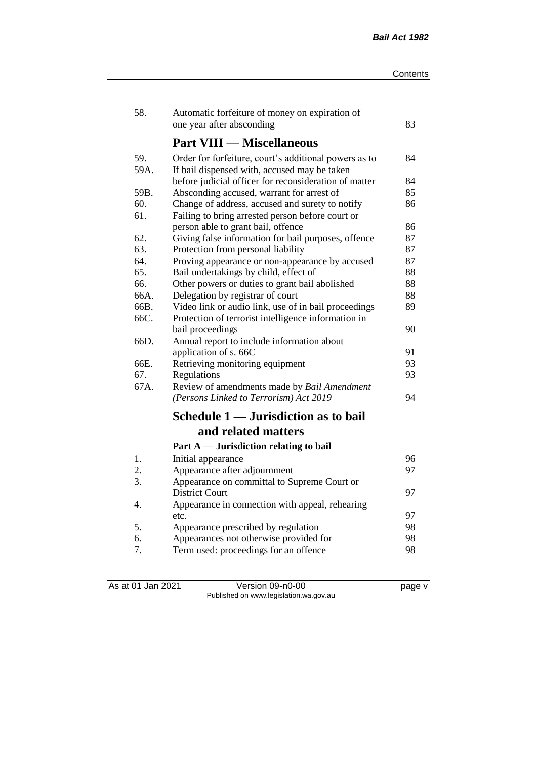| 58.  | Automatic forfeiture of money on expiration of        |    |
|------|-------------------------------------------------------|----|
|      | one year after absconding                             | 83 |
|      | <b>Part VIII — Miscellaneous</b>                      |    |
| 59.  | Order for forfeiture, court's additional powers as to | 84 |
| 59A. | If bail dispensed with, accused may be taken          |    |
|      | before judicial officer for reconsideration of matter | 84 |
| 59B. | Absconding accused, warrant for arrest of             | 85 |
| 60.  | Change of address, accused and surety to notify       | 86 |
| 61.  | Failing to bring arrested person before court or      |    |
|      | person able to grant bail, offence                    | 86 |
| 62.  | Giving false information for bail purposes, offence   | 87 |
| 63.  | Protection from personal liability                    | 87 |
| 64.  | Proving appearance or non-appearance by accused       | 87 |
| 65.  | Bail undertakings by child, effect of                 | 88 |
| 66.  | Other powers or duties to grant bail abolished        | 88 |
| 66A. | Delegation by registrar of court                      | 88 |
| 66B. | Video link or audio link, use of in bail proceedings  | 89 |
| 66C. | Protection of terrorist intelligence information in   |    |
|      | bail proceedings                                      | 90 |
| 66D. | Annual report to include information about            |    |
|      | application of s. 66C                                 | 91 |
| 66E. | Retrieving monitoring equipment                       | 93 |
| 67.  | Regulations                                           | 93 |
| 67A. | Review of amendments made by Bail Amendment           |    |
|      | (Persons Linked to Terrorism) Act 2019                | 94 |
|      | Schedule 1 — Jurisdiction as to bail                  |    |
|      | and related matters                                   |    |
|      | Part $A$ — Jurisdiction relating to bail              |    |
| $1.$ | Initial appearance                                    | 96 |
| 2.   | Appearance after adjournment                          | 97 |
| 3.   | Appearance on committal to Supreme Court or           |    |
|      | <b>District Court</b>                                 | 97 |
| 4.   | Appearance in connection with appeal, rehearing       |    |
|      | etc.                                                  | 97 |
| 5.   | Appearance prescribed by regulation                   | 98 |
| 6.   | Appearances not otherwise provided for                | 98 |
| 7.   | Term used: proceedings for an offence                 | 98 |

As at 01 Jan 2021 Version 09-n0-00 page v Published on www.legislation.wa.gov.au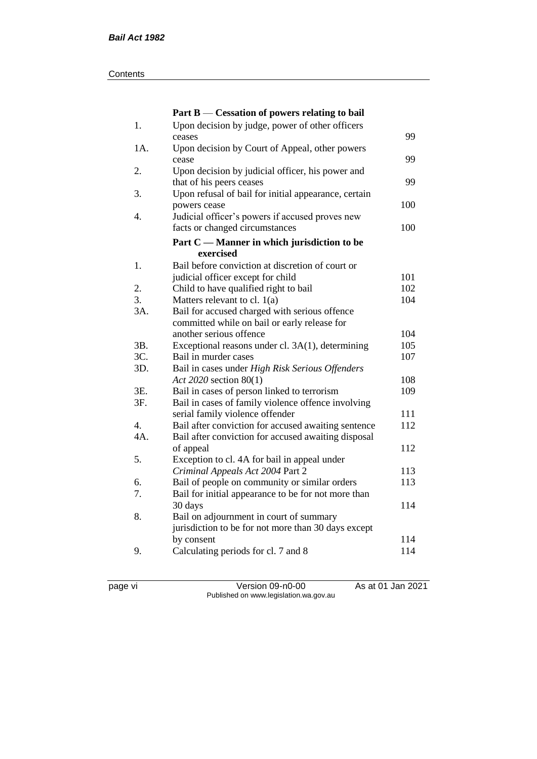#### **Contents**

|     | Part B — Cessation of powers relating to bail                                                     |            |
|-----|---------------------------------------------------------------------------------------------------|------------|
| 1.  | Upon decision by judge, power of other officers                                                   |            |
|     | ceases                                                                                            | 99         |
| 1A. | Upon decision by Court of Appeal, other powers                                                    |            |
|     | cease                                                                                             | 99         |
| 2.  | Upon decision by judicial officer, his power and                                                  |            |
|     | that of his peers ceases                                                                          | 99         |
| 3.  | Upon refusal of bail for initial appearance, certain                                              |            |
|     | powers cease                                                                                      | 100        |
| 4.  | Judicial officer's powers if accused proves new                                                   |            |
|     | facts or changed circumstances                                                                    | 100        |
|     | Part C — Manner in which jurisdiction to be                                                       |            |
|     | exercised                                                                                         |            |
| 1.  | Bail before conviction at discretion of court or                                                  |            |
|     | judicial officer except for child                                                                 | 101        |
| 2.  | Child to have qualified right to bail                                                             | 102        |
| 3.  | Matters relevant to cl. $1(a)$                                                                    | 104        |
| 3A. | Bail for accused charged with serious offence                                                     |            |
|     | committed while on bail or early release for                                                      |            |
|     | another serious offence                                                                           | 104        |
| 3B. | Exceptional reasons under cl. 3A(1), determining                                                  | 105        |
| 3C. | Bail in murder cases                                                                              | 107        |
| 3D. | Bail in cases under High Risk Serious Offenders                                                   |            |
| 3E. | Act 2020 section 80(1)                                                                            | 108<br>109 |
| 3F. | Bail in cases of person linked to terrorism<br>Bail in cases of family violence offence involving |            |
|     | serial family violence offender                                                                   | 111        |
| 4.  | Bail after conviction for accused awaiting sentence                                               | 112        |
| 4A. | Bail after conviction for accused awaiting disposal                                               |            |
|     | of appeal                                                                                         | 112        |
| 5.  | Exception to cl. 4A for bail in appeal under                                                      |            |
|     | Criminal Appeals Act 2004 Part 2                                                                  | 113        |
| 6.  | Bail of people on community or similar orders                                                     | 113        |
| 7.  | Bail for initial appearance to be for not more than                                               |            |
|     | 30 days                                                                                           | 114        |
| 8.  | Bail on adjournment in court of summary                                                           |            |
|     | jurisdiction to be for not more than 30 days except                                               |            |
|     | by consent                                                                                        | 114        |
| 9.  | Calculating periods for cl. 7 and 8                                                               | 114        |
|     |                                                                                                   |            |

page vi Version 09-n0-00 As at 01 Jan 2021 Published on www.legislation.wa.gov.au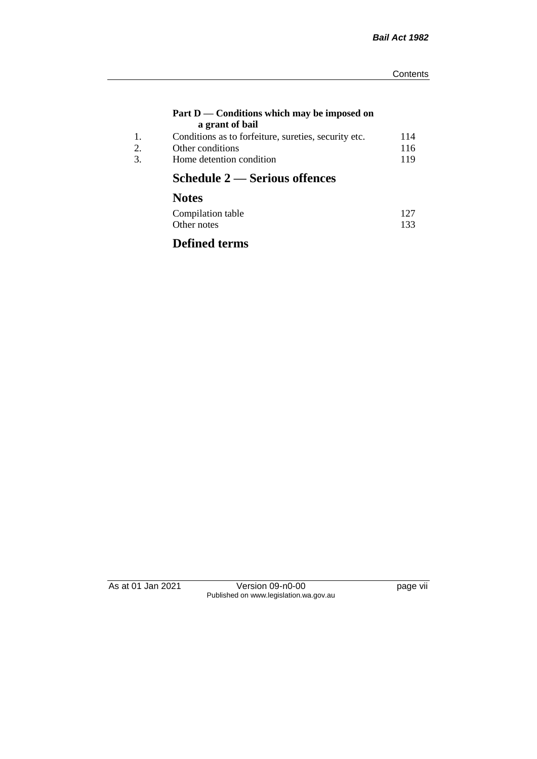#### **Part D — Conditions which may be imposed on a grant of bail**

| Conditions as to forfeiture, sureties, security etc. | 114 |
|------------------------------------------------------|-----|
| Other conditions                                     | 116 |
| Home detention condition                             | 119 |
|                                                      |     |

# **Schedule 2 — Serious offences**

## **Notes**

| Compilation table | 127 |
|-------------------|-----|
| Other notes       | 133 |

## **Defined terms**

As at 01 Jan 2021 Version 09-n0-00 Page vii Published on www.legislation.wa.gov.au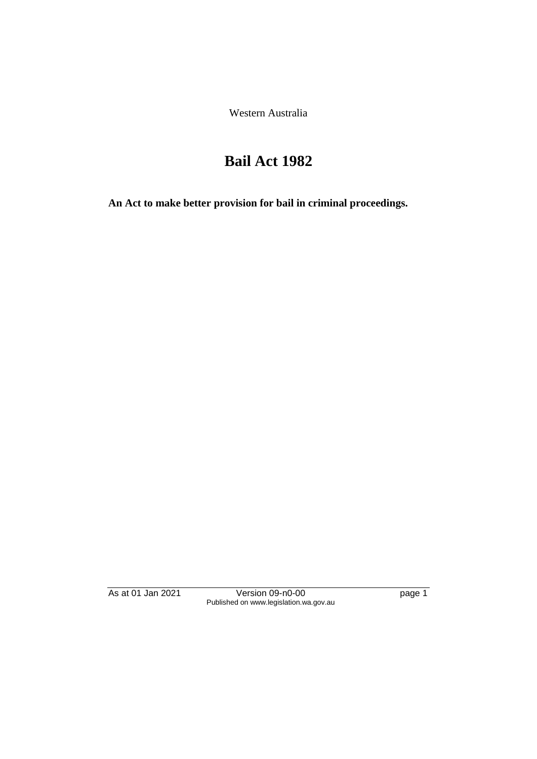Western Australia

# **Bail Act 1982**

**An Act to make better provision for bail in criminal proceedings.** 

As at 01 Jan 2021 **Version 09-n0-00 page 1** Published on www.legislation.wa.gov.au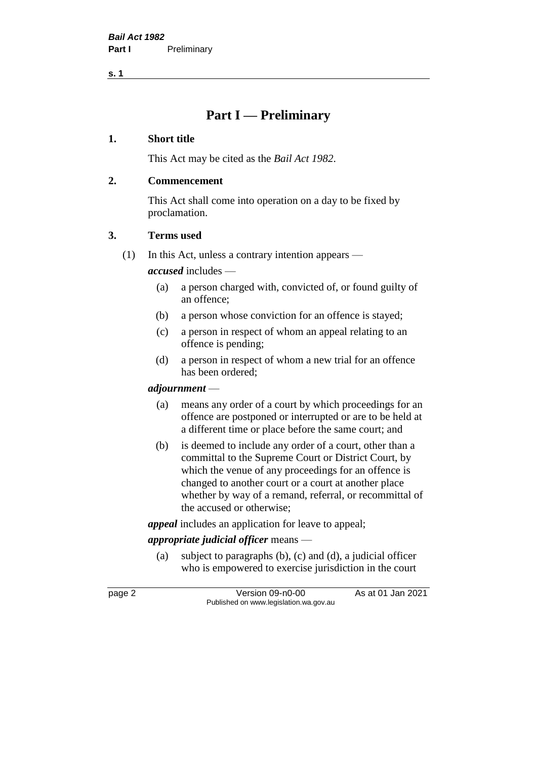**s. 1**

## **Part I — Preliminary**

### **1. Short title**

This Act may be cited as the *Bail Act 1982*.

### **2. Commencement**

This Act shall come into operation on a day to be fixed by proclamation.

### **3. Terms used**

(1) In this Act, unless a contrary intention appears —

*accused* includes —

- (a) a person charged with, convicted of, or found guilty of an offence;
- (b) a person whose conviction for an offence is stayed;
- (c) a person in respect of whom an appeal relating to an offence is pending;
- (d) a person in respect of whom a new trial for an offence has been ordered;

### *adjournment* —

- (a) means any order of a court by which proceedings for an offence are postponed or interrupted or are to be held at a different time or place before the same court; and
- (b) is deemed to include any order of a court, other than a committal to the Supreme Court or District Court, by which the venue of any proceedings for an offence is changed to another court or a court at another place whether by way of a remand, referral, or recommittal of the accused or otherwise;

*appeal* includes an application for leave to appeal;

### *appropriate judicial officer* means —

(a) subject to paragraphs (b), (c) and (d), a judicial officer who is empowered to exercise jurisdiction in the court

page 2 Version 09-n0-00 As at 01 Jan 2021 Published on www.legislation.wa.gov.au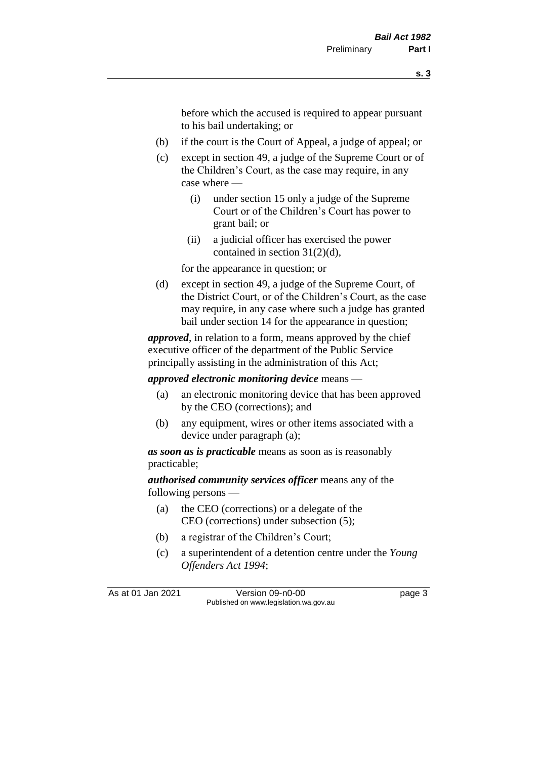before which the accused is required to appear pursuant to his bail undertaking; or

- (b) if the court is the Court of Appeal, a judge of appeal; or
- (c) except in section 49, a judge of the Supreme Court or of the Children's Court, as the case may require, in any case where —
	- (i) under section 15 only a judge of the Supreme Court or of the Children's Court has power to grant bail; or
	- (ii) a judicial officer has exercised the power contained in section 31(2)(d),

for the appearance in question; or

(d) except in section 49, a judge of the Supreme Court, of the District Court, or of the Children's Court, as the case may require, in any case where such a judge has granted bail under section 14 for the appearance in question;

*approved*, in relation to a form, means approved by the chief executive officer of the department of the Public Service principally assisting in the administration of this Act;

*approved electronic monitoring device* means —

- (a) an electronic monitoring device that has been approved by the CEO (corrections); and
- (b) any equipment, wires or other items associated with a device under paragraph (a);

*as soon as is practicable* means as soon as is reasonably practicable;

*authorised community services officer* means any of the following persons —

- (a) the CEO (corrections) or a delegate of the CEO (corrections) under subsection (5);
- (b) a registrar of the Children's Court;
- (c) a superintendent of a detention centre under the *Young Offenders Act 1994*;

As at 01 Jan 2021 Version 09-n0-00 Page 3 Published on www.legislation.wa.gov.au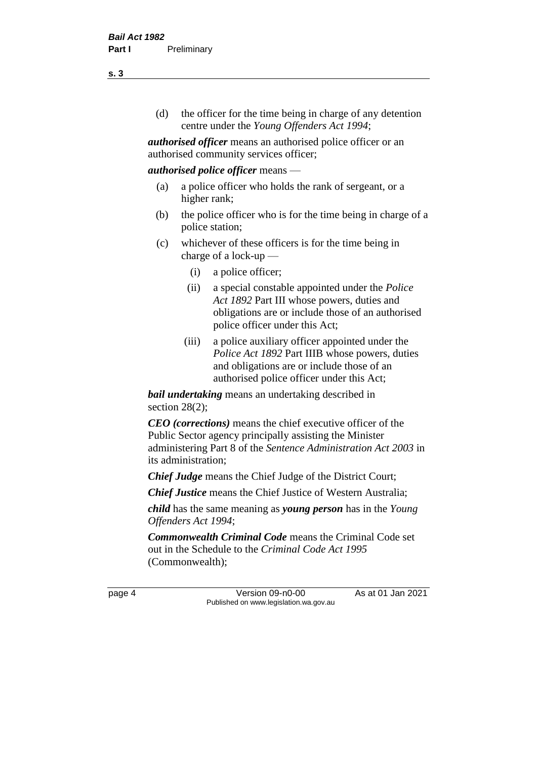(d) the officer for the time being in charge of any detention centre under the *Young Offenders Act 1994*;

*authorised officer* means an authorised police officer or an authorised community services officer;

### *authorised police officer* means —

- (a) a police officer who holds the rank of sergeant, or a higher rank;
- (b) the police officer who is for the time being in charge of a police station;
- (c) whichever of these officers is for the time being in charge of a lock-up —
	- (i) a police officer;
	- (ii) a special constable appointed under the *Police Act 1892* Part III whose powers, duties and obligations are or include those of an authorised police officer under this Act;
	- (iii) a police auxiliary officer appointed under the *Police Act 1892* Part IIIB whose powers, duties and obligations are or include those of an authorised police officer under this Act;

*bail undertaking* means an undertaking described in section 28(2);

*CEO (corrections)* means the chief executive officer of the Public Sector agency principally assisting the Minister administering Part 8 of the *Sentence Administration Act 2003* in its administration;

*Chief Judge* means the Chief Judge of the District Court;

*Chief Justice* means the Chief Justice of Western Australia;

*child* has the same meaning as *young person* has in the *Young Offenders Act 1994*;

*Commonwealth Criminal Code* means the Criminal Code set out in the Schedule to the *Criminal Code Act 1995* (Commonwealth);

page 4 Version 09-n0-00 As at 01 Jan 2021 Published on www.legislation.wa.gov.au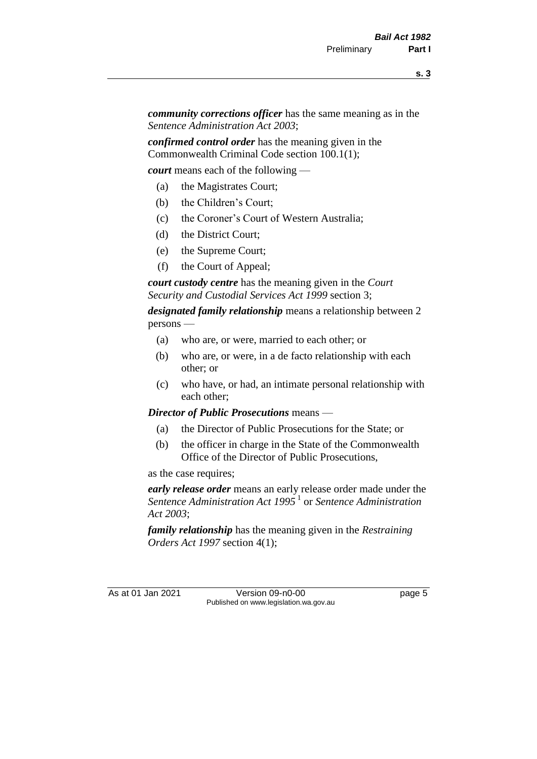*community corrections officer* has the same meaning as in the *Sentence Administration Act 2003*;

*confirmed control order* has the meaning given in the Commonwealth Criminal Code section 100.1(1);

*court* means each of the following —

- (a) the Magistrates Court;
- (b) the Children's Court;
- (c) the Coroner's Court of Western Australia;
- (d) the District Court;
- (e) the Supreme Court;
- (f) the Court of Appeal;

*court custody centre* has the meaning given in the *Court Security and Custodial Services Act 1999* section 3;

*designated family relationship* means a relationship between 2 persons —

- (a) who are, or were, married to each other; or
- (b) who are, or were, in a de facto relationship with each other; or
- (c) who have, or had, an intimate personal relationship with each other;

*Director of Public Prosecutions* means —

- (a) the Director of Public Prosecutions for the State; or
- (b) the officer in charge in the State of the Commonwealth Office of the Director of Public Prosecutions,

as the case requires;

*early release order* means an early release order made under the Sentence Administration Act 1995<sup>1</sup> or Sentence Administration *Act 2003*;

*family relationship* has the meaning given in the *Restraining Orders Act 1997* section 4(1);

As at 01 Jan 2021 Version 09-n0-00 Page 5 Published on www.legislation.wa.gov.au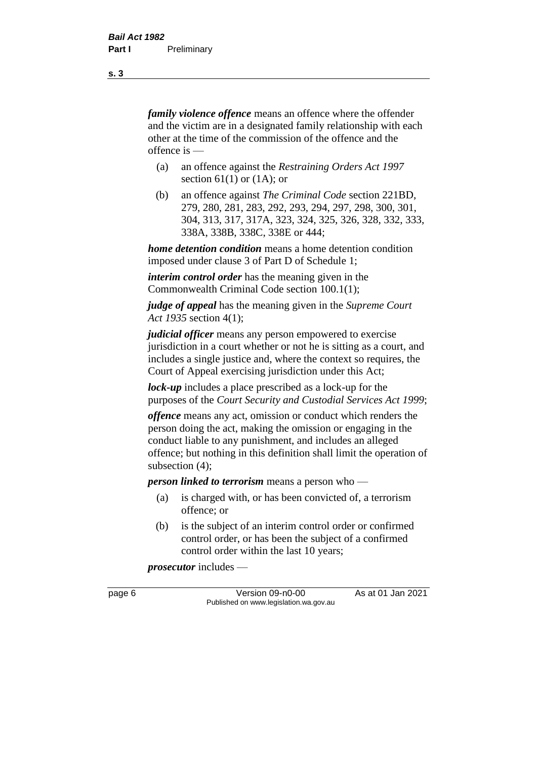*family violence offence* means an offence where the offender and the victim are in a designated family relationship with each other at the time of the commission of the offence and the offence is —

- (a) an offence against the *Restraining Orders Act 1997*  section  $61(1)$  or  $(1A)$ ; or
- (b) an offence against *The Criminal Code* section 221BD, 279, 280, 281, 283, 292, 293, 294, 297, 298, 300, 301, 304, 313, 317, 317A, 323, 324, 325, 326, 328, 332, 333, 338A, 338B, 338C, 338E or 444;

*home detention condition* means a home detention condition imposed under clause 3 of Part D of Schedule 1;

*interim control order* has the meaning given in the Commonwealth Criminal Code section 100.1(1);

*judge of appeal* has the meaning given in the *Supreme Court Act 1935* section 4(1);

*judicial officer* means any person empowered to exercise jurisdiction in a court whether or not he is sitting as a court, and includes a single justice and, where the context so requires, the Court of Appeal exercising jurisdiction under this Act;

*lock-up* includes a place prescribed as a lock-up for the purposes of the *Court Security and Custodial Services Act 1999*;

*offence* means any act, omission or conduct which renders the person doing the act, making the omission or engaging in the conduct liable to any punishment, and includes an alleged offence; but nothing in this definition shall limit the operation of subsection (4);

*person linked to terrorism* means a person who —

- (a) is charged with, or has been convicted of, a terrorism offence; or
- (b) is the subject of an interim control order or confirmed control order, or has been the subject of a confirmed control order within the last 10 years;

*prosecutor* includes —

page 6 Version 09-n0-00 As at 01 Jan 2021 Published on www.legislation.wa.gov.au

**s. 3**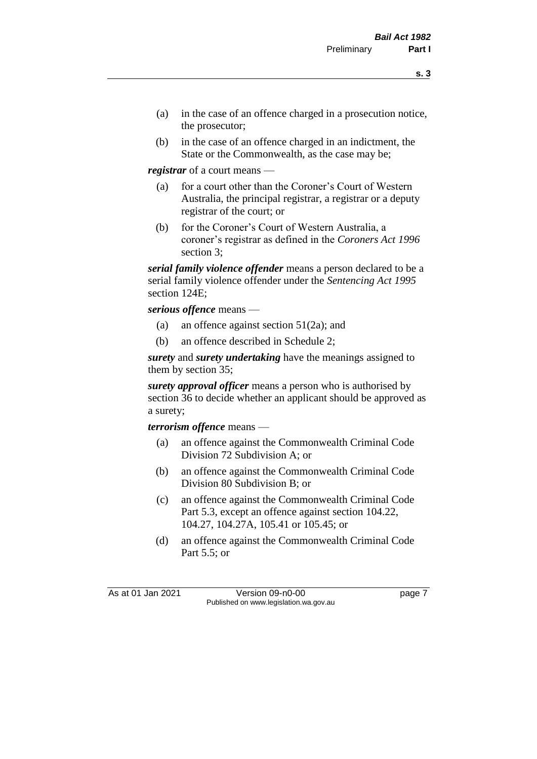- (a) in the case of an offence charged in a prosecution notice, the prosecutor;
- (b) in the case of an offence charged in an indictment, the State or the Commonwealth, as the case may be;

*registrar* of a court means —

- (a) for a court other than the Coroner's Court of Western Australia, the principal registrar, a registrar or a deputy registrar of the court; or
- (b) for the Coroner's Court of Western Australia, a coroner's registrar as defined in the *Coroners Act 1996* section 3;

*serial family violence offender* means a person declared to be a serial family violence offender under the *Sentencing Act 1995* section 124E;

*serious offence* means —

- (a) an offence against section 51(2a); and
- (b) an offence described in Schedule 2;

*surety* and *surety undertaking* have the meanings assigned to them by section 35;

*surety approval officer* means a person who is authorised by section 36 to decide whether an applicant should be approved as a surety;

*terrorism offence* means —

- (a) an offence against the Commonwealth Criminal Code Division 72 Subdivision A; or
- (b) an offence against the Commonwealth Criminal Code Division 80 Subdivision B; or
- (c) an offence against the Commonwealth Criminal Code Part 5.3, except an offence against section 104.22, 104.27, 104.27A, 105.41 or 105.45; or
- (d) an offence against the Commonwealth Criminal Code Part 5.5; or

As at 01 Jan 2021 Version 09-n0-00 Page 7 Published on www.legislation.wa.gov.au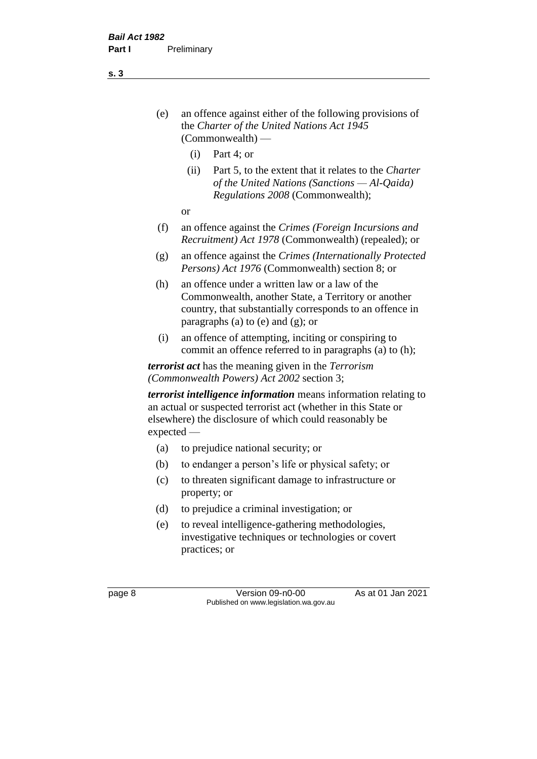- (e) an offence against either of the following provisions of the *Charter of the United Nations Act 1945*  (Commonwealth) —
	- (i) Part 4; or
	- (ii) Part 5, to the extent that it relates to the *Charter of the United Nations (Sanctions — Al-Qaida) Regulations 2008* (Commonwealth);
	- or
- (f) an offence against the *Crimes (Foreign Incursions and Recruitment) Act 1978* (Commonwealth) (repealed); or
- (g) an offence against the *Crimes (Internationally Protected Persons) Act 1976* (Commonwealth) section 8; or
- (h) an offence under a written law or a law of the Commonwealth, another State, a Territory or another country, that substantially corresponds to an offence in paragraphs (a) to (e) and (g); or
- (i) an offence of attempting, inciting or conspiring to commit an offence referred to in paragraphs (a) to (h);

*terrorist act* has the meaning given in the *Terrorism (Commonwealth Powers) Act 2002* section 3;

*terrorist intelligence information* means information relating to an actual or suspected terrorist act (whether in this State or elsewhere) the disclosure of which could reasonably be expected —

- (a) to prejudice national security; or
- (b) to endanger a person's life or physical safety; or
- (c) to threaten significant damage to infrastructure or property; or
- (d) to prejudice a criminal investigation; or
- (e) to reveal intelligence-gathering methodologies, investigative techniques or technologies or covert practices; or

page 8 Version 09-n0-00 As at 01 Jan 2021 Published on www.legislation.wa.gov.au

**s. 3**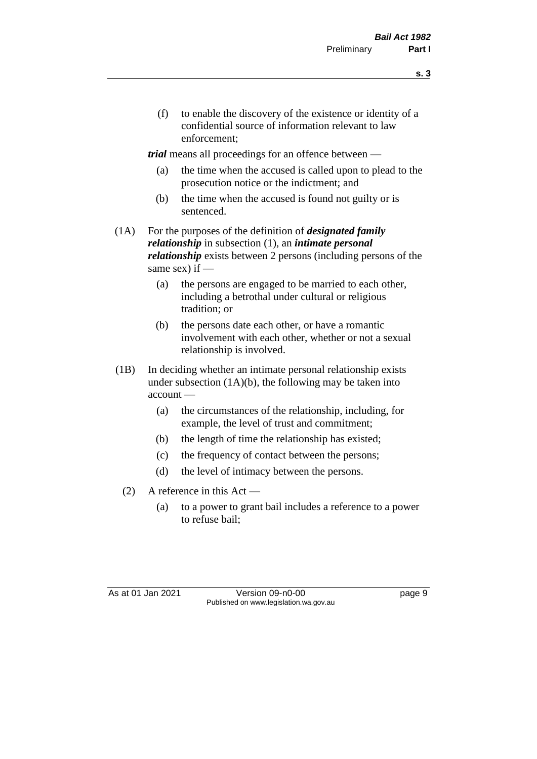- **s. 3**
- (f) to enable the discovery of the existence or identity of a confidential source of information relevant to law enforcement;

*trial* means all proceedings for an offence between —

- (a) the time when the accused is called upon to plead to the prosecution notice or the indictment; and
- (b) the time when the accused is found not guilty or is sentenced.
- (1A) For the purposes of the definition of *designated family relationship* in subsection (1), an *intimate personal relationship* exists between 2 persons (including persons of the same sex) if  $-$ 
	- (a) the persons are engaged to be married to each other, including a betrothal under cultural or religious tradition; or
	- (b) the persons date each other, or have a romantic involvement with each other, whether or not a sexual relationship is involved.
- (1B) In deciding whether an intimate personal relationship exists under subsection  $(1A)(b)$ , the following may be taken into account —
	- (a) the circumstances of the relationship, including, for example, the level of trust and commitment;
	- (b) the length of time the relationship has existed;
	- (c) the frequency of contact between the persons;
	- (d) the level of intimacy between the persons.
	- (2) A reference in this Act
		- (a) to a power to grant bail includes a reference to a power to refuse bail;

As at 01 Jan 2021 Version 09-n0-00 Page 9 Published on www.legislation.wa.gov.au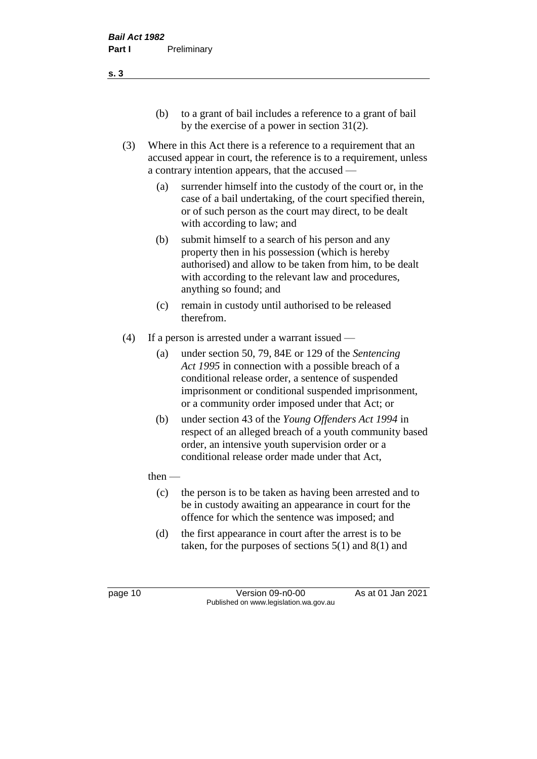- (b) to a grant of bail includes a reference to a grant of bail by the exercise of a power in section 31(2).
- (3) Where in this Act there is a reference to a requirement that an accused appear in court, the reference is to a requirement, unless a contrary intention appears, that the accused —
	- (a) surrender himself into the custody of the court or, in the case of a bail undertaking, of the court specified therein, or of such person as the court may direct, to be dealt with according to law; and
	- (b) submit himself to a search of his person and any property then in his possession (which is hereby authorised) and allow to be taken from him, to be dealt with according to the relevant law and procedures, anything so found; and
	- (c) remain in custody until authorised to be released therefrom.
- (4) If a person is arrested under a warrant issued
	- (a) under section 50, 79, 84E or 129 of the *Sentencing Act 1995* in connection with a possible breach of a conditional release order, a sentence of suspended imprisonment or conditional suspended imprisonment, or a community order imposed under that Act; or
	- (b) under section 43 of the *Young Offenders Act 1994* in respect of an alleged breach of a youth community based order, an intensive youth supervision order or a conditional release order made under that Act,

### $then$  —

- (c) the person is to be taken as having been arrested and to be in custody awaiting an appearance in court for the offence for which the sentence was imposed; and
- (d) the first appearance in court after the arrest is to be taken, for the purposes of sections  $5(1)$  and  $8(1)$  and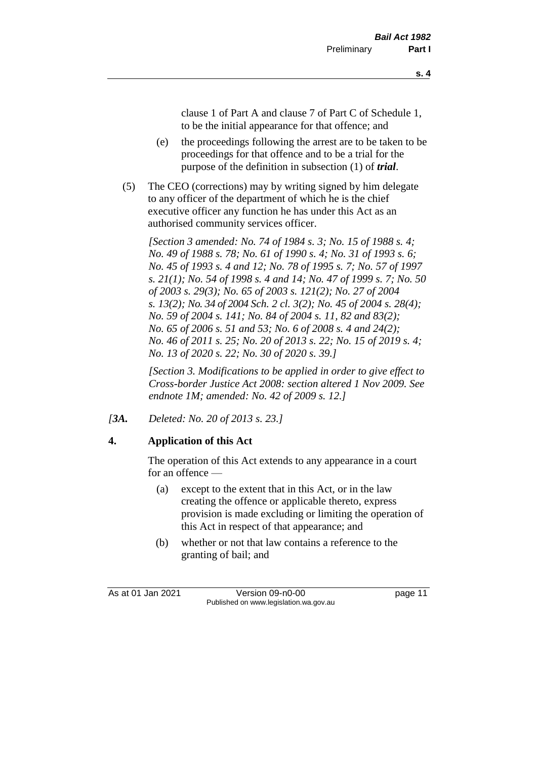clause 1 of Part A and clause 7 of Part C of Schedule 1, to be the initial appearance for that offence; and

- (e) the proceedings following the arrest are to be taken to be proceedings for that offence and to be a trial for the purpose of the definition in subsection (1) of *trial*.
- (5) The CEO (corrections) may by writing signed by him delegate to any officer of the department of which he is the chief executive officer any function he has under this Act as an authorised community services officer.

*[Section 3 amended: No. 74 of 1984 s. 3; No. 15 of 1988 s. 4; No. 49 of 1988 s. 78; No. 61 of 1990 s. 4; No. 31 of 1993 s. 6; No. 45 of 1993 s. 4 and 12; No. 78 of 1995 s. 7; No. 57 of 1997 s. 21(1); No. 54 of 1998 s. 4 and 14; No. 47 of 1999 s. 7; No. 50 of 2003 s. 29(3); No. 65 of 2003 s. 121(2); No. 27 of 2004 s. 13(2); No. 34 of 2004 Sch. 2 cl. 3(2); No. 45 of 2004 s. 28(4); No. 59 of 2004 s. 141; No. 84 of 2004 s. 11, 82 and 83(2); No. 65 of 2006 s. 51 and 53; No. 6 of 2008 s. 4 and 24(2); No. 46 of 2011 s. 25; No. 20 of 2013 s. 22; No. 15 of 2019 s. 4; No. 13 of 2020 s. 22; No. 30 of 2020 s. 39.]*

*[Section 3. Modifications to be applied in order to give effect to Cross-border Justice Act 2008: section altered 1 Nov 2009. See endnote 1M; amended: No. 42 of 2009 s. 12.]*

*[3A. Deleted: No. 20 of 2013 s. 23.]*

### **4. Application of this Act**

The operation of this Act extends to any appearance in a court for an offence —

- (a) except to the extent that in this Act, or in the law creating the offence or applicable thereto, express provision is made excluding or limiting the operation of this Act in respect of that appearance; and
- (b) whether or not that law contains a reference to the granting of bail; and

As at 01 Jan 2021 Version 09-n0-00 Page 11 Published on www.legislation.wa.gov.au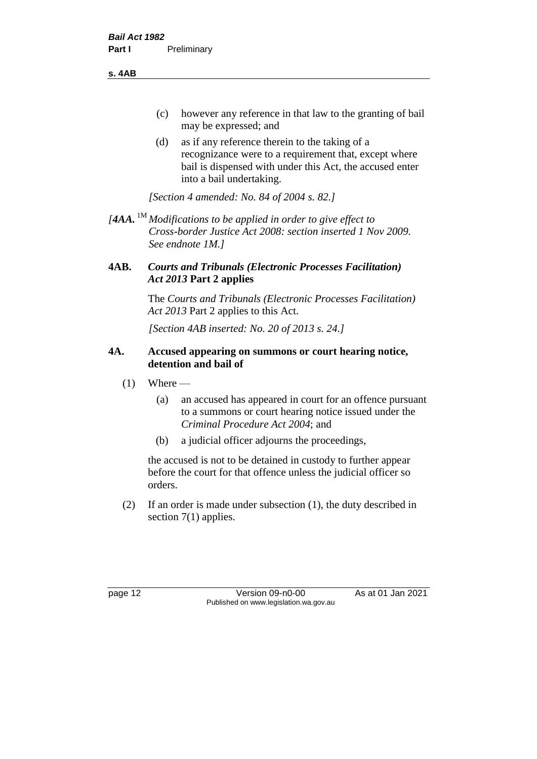**s. 4AB**

- (c) however any reference in that law to the granting of bail may be expressed; and
- (d) as if any reference therein to the taking of a recognizance were to a requirement that, except where bail is dispensed with under this Act, the accused enter into a bail undertaking.

*[Section 4 amended: No. 84 of 2004 s. 82.]*

*[4AA.* 1M *Modifications to be applied in order to give effect to Cross-border Justice Act 2008: section inserted 1 Nov 2009. See endnote 1M.]*

### **4AB.** *Courts and Tribunals (Electronic Processes Facilitation) Act 2013* **Part 2 applies**

The *Courts and Tribunals (Electronic Processes Facilitation) Act 2013* Part 2 applies to this Act.

*[Section 4AB inserted: No. 20 of 2013 s. 24.]*

### **4A. Accused appearing on summons or court hearing notice, detention and bail of**

- $(1)$  Where
	- (a) an accused has appeared in court for an offence pursuant to a summons or court hearing notice issued under the *Criminal Procedure Act 2004*; and
	- (b) a judicial officer adjourns the proceedings,

the accused is not to be detained in custody to further appear before the court for that offence unless the judicial officer so orders.

(2) If an order is made under subsection (1), the duty described in section 7(1) applies.

page 12 Version 09-n0-00 As at 01 Jan 2021 Published on www.legislation.wa.gov.au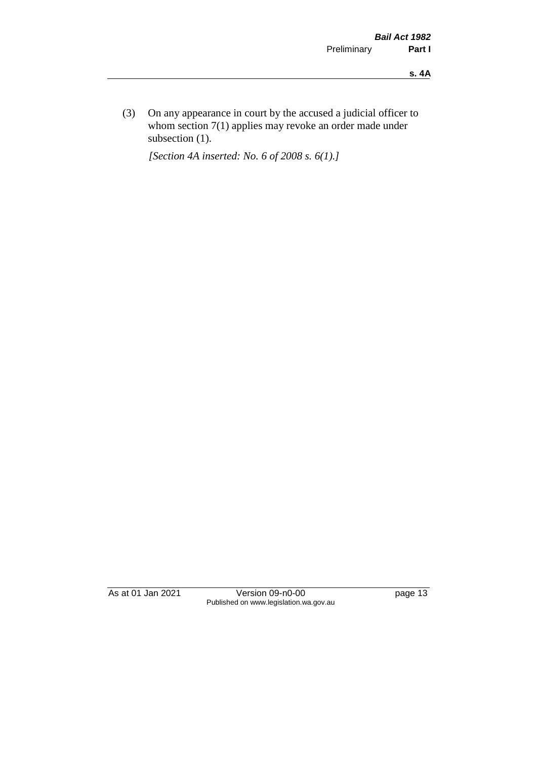(3) On any appearance in court by the accused a judicial officer to whom section 7(1) applies may revoke an order made under subsection (1).

*[Section 4A inserted: No. 6 of 2008 s. 6(1).]*

As at 01 Jan 2021 Version 09-n0-00 page 13 Published on www.legislation.wa.gov.au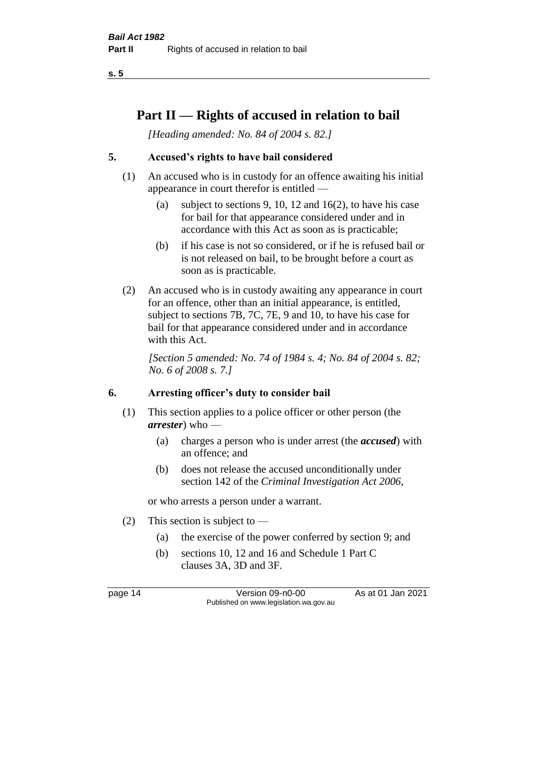**s. 5**

## **Part II — Rights of accused in relation to bail**

*[Heading amended: No. 84 of 2004 s. 82.]* 

### **5. Accused's rights to have bail considered**

- (1) An accused who is in custody for an offence awaiting his initial appearance in court therefor is entitled —
	- (a) subject to sections 9, 10, 12 and 16(2), to have his case for bail for that appearance considered under and in accordance with this Act as soon as is practicable;
	- (b) if his case is not so considered, or if he is refused bail or is not released on bail, to be brought before a court as soon as is practicable.
- (2) An accused who is in custody awaiting any appearance in court for an offence, other than an initial appearance, is entitled, subject to sections 7B, 7C, 7E, 9 and 10, to have his case for bail for that appearance considered under and in accordance with this Act.

*[Section 5 amended: No. 74 of 1984 s. 4; No. 84 of 2004 s. 82; No. 6 of 2008 s. 7.]* 

### **6. Arresting officer's duty to consider bail**

- (1) This section applies to a police officer or other person (the *arrester*) who —
	- (a) charges a person who is under arrest (the *accused*) with an offence; and
	- (b) does not release the accused unconditionally under section 142 of the *Criminal Investigation Act 2006*,

or who arrests a person under a warrant.

- (2) This section is subject to  $-$ 
	- (a) the exercise of the power conferred by section 9; and
	- (b) sections 10, 12 and 16 and Schedule 1 Part C clauses 3A, 3D and 3F.

page 14 Version 09-n0-00 As at 01 Jan 2021 Published on www.legislation.wa.gov.au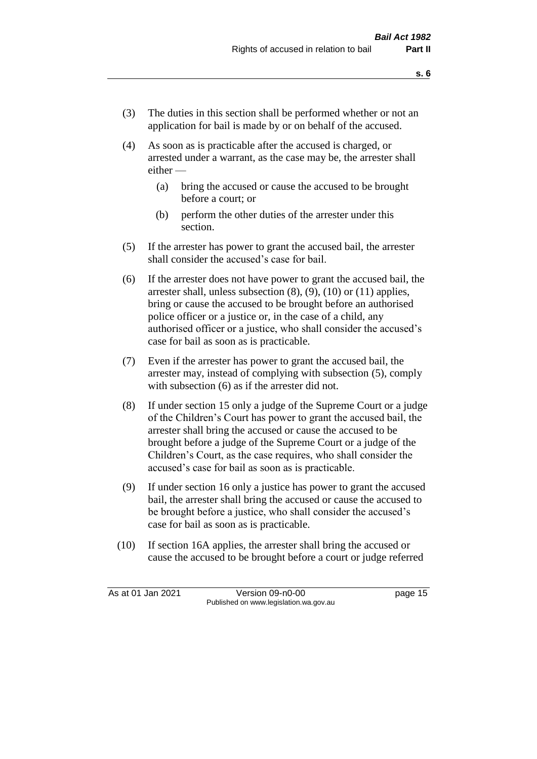- (3) The duties in this section shall be performed whether or not an application for bail is made by or on behalf of the accused.
- (4) As soon as is practicable after the accused is charged, or arrested under a warrant, as the case may be, the arrester shall either —
	- (a) bring the accused or cause the accused to be brought before a court; or
	- (b) perform the other duties of the arrester under this section.
- (5) If the arrester has power to grant the accused bail, the arrester shall consider the accused's case for bail.
- (6) If the arrester does not have power to grant the accused bail, the arrester shall, unless subsection (8), (9), (10) or (11) applies, bring or cause the accused to be brought before an authorised police officer or a justice or, in the case of a child, any authorised officer or a justice, who shall consider the accused's case for bail as soon as is practicable.
- (7) Even if the arrester has power to grant the accused bail, the arrester may, instead of complying with subsection (5), comply with subsection  $(6)$  as if the arrester did not.
- (8) If under section 15 only a judge of the Supreme Court or a judge of the Children's Court has power to grant the accused bail, the arrester shall bring the accused or cause the accused to be brought before a judge of the Supreme Court or a judge of the Children's Court, as the case requires, who shall consider the accused's case for bail as soon as is practicable.
- (9) If under section 16 only a justice has power to grant the accused bail, the arrester shall bring the accused or cause the accused to be brought before a justice, who shall consider the accused's case for bail as soon as is practicable.
- (10) If section 16A applies, the arrester shall bring the accused or cause the accused to be brought before a court or judge referred

As at 01 Jan 2021 Version 09-n0-00 Page 15 Published on www.legislation.wa.gov.au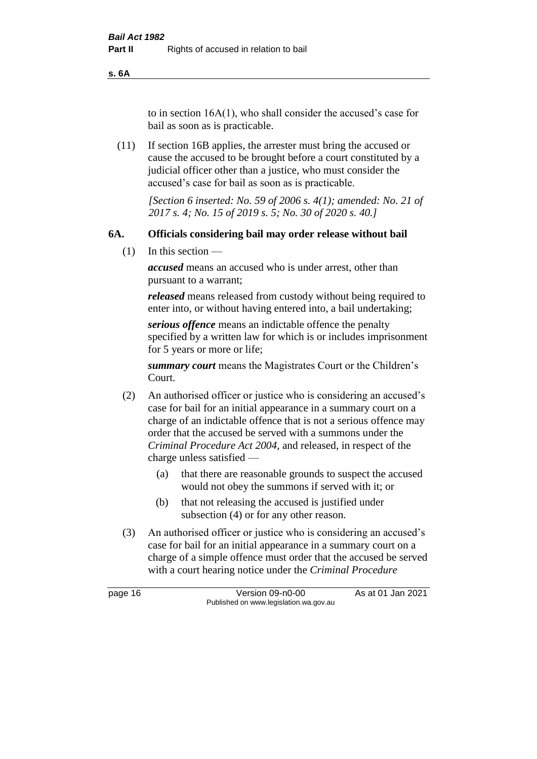**s. 6A**

to in section 16A(1), who shall consider the accused's case for bail as soon as is practicable.

(11) If section 16B applies, the arrester must bring the accused or cause the accused to be brought before a court constituted by a judicial officer other than a justice, who must consider the accused's case for bail as soon as is practicable.

> *[Section 6 inserted: No. 59 of 2006 s. 4(1); amended: No. 21 of 2017 s. 4; No. 15 of 2019 s. 5; No. 30 of 2020 s. 40.]*

### **6A. Officials considering bail may order release without bail**

 $(1)$  In this section —

*accused* means an accused who is under arrest, other than pursuant to a warrant;

*released* means released from custody without being required to enter into, or without having entered into, a bail undertaking;

*serious offence* means an indictable offence the penalty specified by a written law for which is or includes imprisonment for 5 years or more or life;

*summary court* means the Magistrates Court or the Children's Court.

- (2) An authorised officer or justice who is considering an accused's case for bail for an initial appearance in a summary court on a charge of an indictable offence that is not a serious offence may order that the accused be served with a summons under the *Criminal Procedure Act 2004*, and released, in respect of the charge unless satisfied —
	- (a) that there are reasonable grounds to suspect the accused would not obey the summons if served with it; or
	- (b) that not releasing the accused is justified under subsection (4) or for any other reason.
- (3) An authorised officer or justice who is considering an accused's case for bail for an initial appearance in a summary court on a charge of a simple offence must order that the accused be served with a court hearing notice under the *Criminal Procedure*

page 16 Version 09-n0-00 As at 01 Jan 2021 Published on www.legislation.wa.gov.au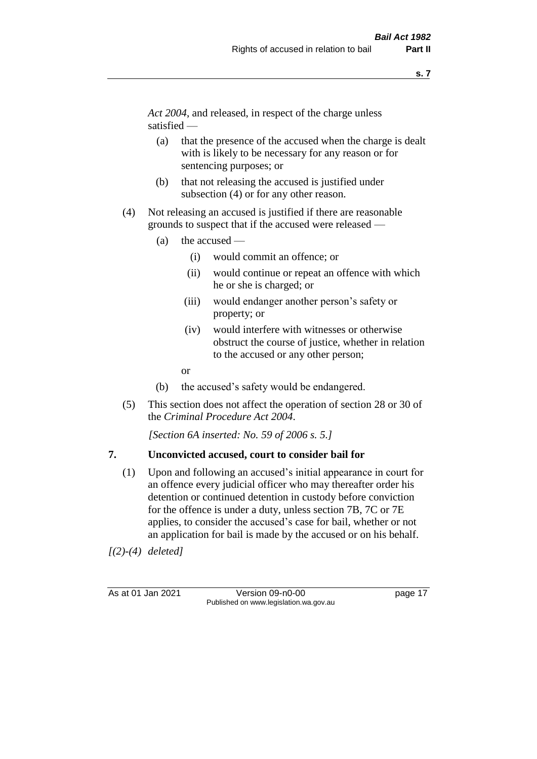*Act 2004*, and released, in respect of the charge unless satisfied —

- (a) that the presence of the accused when the charge is dealt with is likely to be necessary for any reason or for sentencing purposes; or
- (b) that not releasing the accused is justified under subsection (4) or for any other reason.
- (4) Not releasing an accused is justified if there are reasonable grounds to suspect that if the accused were released —
	- (a) the accused
		- (i) would commit an offence; or
		- (ii) would continue or repeat an offence with which he or she is charged; or
		- (iii) would endanger another person's safety or property; or
		- (iv) would interfere with witnesses or otherwise obstruct the course of justice, whether in relation to the accused or any other person;
		- or
	- (b) the accused's safety would be endangered.
- (5) This section does not affect the operation of section 28 or 30 of the *Criminal Procedure Act 2004*.

*[Section 6A inserted: No. 59 of 2006 s. 5.]* 

### **7. Unconvicted accused, court to consider bail for**

(1) Upon and following an accused's initial appearance in court for an offence every judicial officer who may thereafter order his detention or continued detention in custody before conviction for the offence is under a duty, unless section 7B, 7C or 7E applies, to consider the accused's case for bail, whether or not an application for bail is made by the accused or on his behalf.

*[(2)-(4) deleted]*

As at 01 Jan 2021 Version 09-n0-00 Page 17 Published on www.legislation.wa.gov.au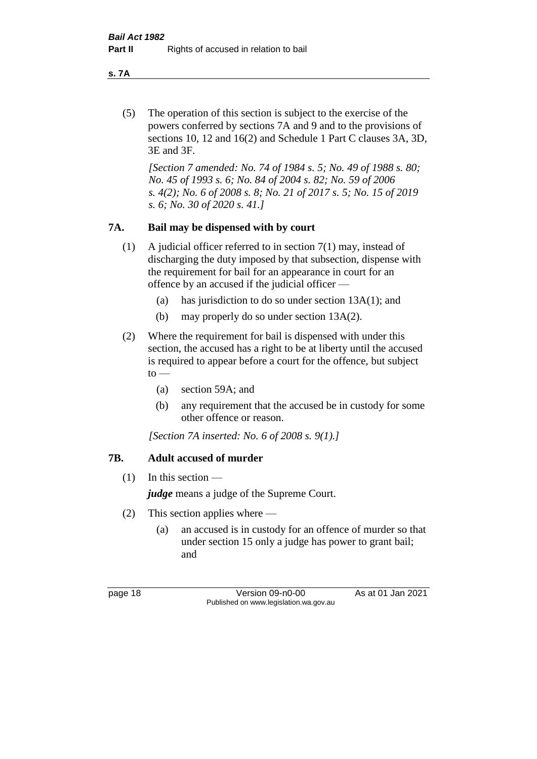**s. 7A**

(5) The operation of this section is subject to the exercise of the powers conferred by sections 7A and 9 and to the provisions of sections 10, 12 and 16(2) and Schedule 1 Part C clauses 3A, 3D, 3E and 3F.

*[Section 7 amended: No. 74 of 1984 s. 5; No. 49 of 1988 s. 80; No. 45 of 1993 s. 6; No. 84 of 2004 s. 82; No. 59 of 2006 s. 4(2); No. 6 of 2008 s. 8; No. 21 of 2017 s. 5; No. 15 of 2019 s. 6; No. 30 of 2020 s. 41.]* 

### **7A. Bail may be dispensed with by court**

- (1) A judicial officer referred to in section 7(1) may, instead of discharging the duty imposed by that subsection, dispense with the requirement for bail for an appearance in court for an offence by an accused if the judicial officer —
	- (a) has jurisdiction to do so under section 13A(1); and
	- (b) may properly do so under section 13A(2).
- (2) Where the requirement for bail is dispensed with under this section, the accused has a right to be at liberty until the accused is required to appear before a court for the offence, but subject  $to -$ 
	- (a) section 59A; and
	- (b) any requirement that the accused be in custody for some other offence or reason.

*[Section 7A inserted: No. 6 of 2008 s. 9(1).]*

### **7B. Adult accused of murder**

 $(1)$  In this section —

*judge* means a judge of the Supreme Court.

- (2) This section applies where
	- (a) an accused is in custody for an offence of murder so that under section 15 only a judge has power to grant bail; and

page 18 Version 09-n0-00 As at 01 Jan 2021 Published on www.legislation.wa.gov.au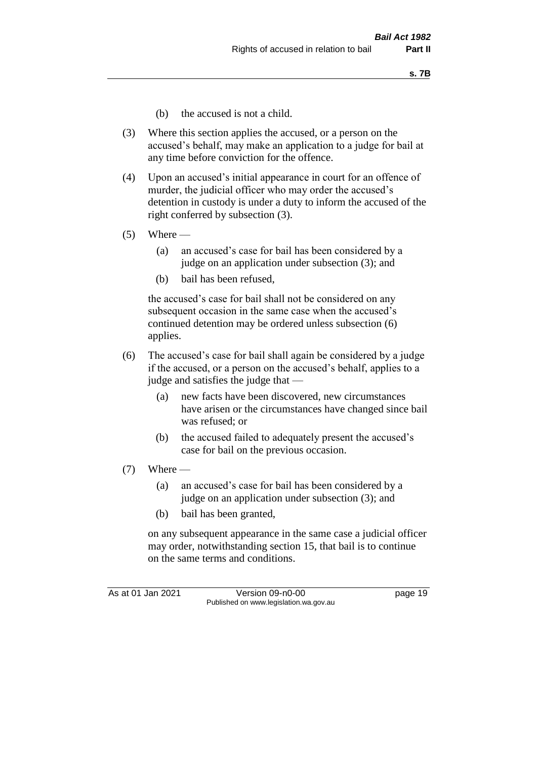- (b) the accused is not a child.
- (3) Where this section applies the accused, or a person on the accused's behalf, may make an application to a judge for bail at any time before conviction for the offence.
- (4) Upon an accused's initial appearance in court for an offence of murder, the judicial officer who may order the accused's detention in custody is under a duty to inform the accused of the right conferred by subsection (3).
- $(5)$  Where
	- (a) an accused's case for bail has been considered by a judge on an application under subsection (3); and
	- (b) bail has been refused,

the accused's case for bail shall not be considered on any subsequent occasion in the same case when the accused's continued detention may be ordered unless subsection (6) applies.

- (6) The accused's case for bail shall again be considered by a judge if the accused, or a person on the accused's behalf, applies to a judge and satisfies the judge that —
	- (a) new facts have been discovered, new circumstances have arisen or the circumstances have changed since bail was refused; or
	- (b) the accused failed to adequately present the accused's case for bail on the previous occasion.
- $(7)$  Where
	- (a) an accused's case for bail has been considered by a judge on an application under subsection (3); and
	- (b) bail has been granted,

on any subsequent appearance in the same case a judicial officer may order, notwithstanding section 15, that bail is to continue on the same terms and conditions.

As at 01 Jan 2021 Version 09-n0-00 Page 19 Published on www.legislation.wa.gov.au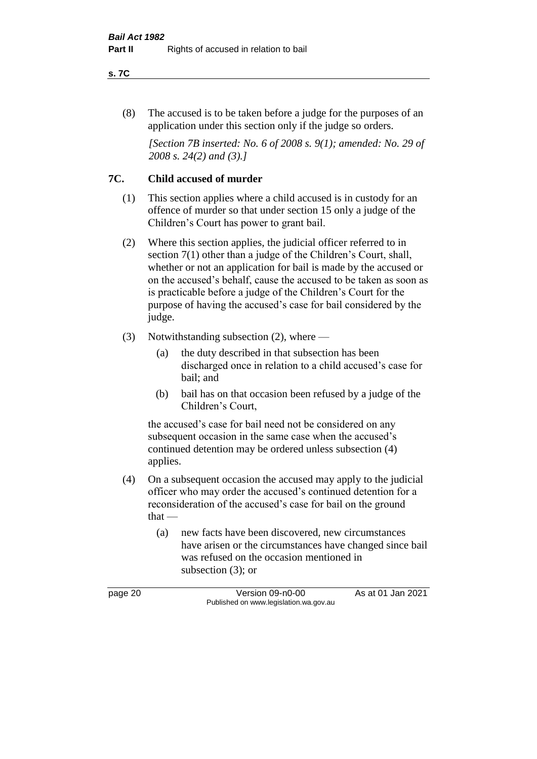#### **s. 7C**

(8) The accused is to be taken before a judge for the purposes of an application under this section only if the judge so orders.

*[Section 7B inserted: No. 6 of 2008 s. 9(1); amended: No. 29 of 2008 s. 24(2) and (3).]*

### **7C. Child accused of murder**

- (1) This section applies where a child accused is in custody for an offence of murder so that under section 15 only a judge of the Children's Court has power to grant bail.
- (2) Where this section applies, the judicial officer referred to in section 7(1) other than a judge of the Children's Court, shall, whether or not an application for bail is made by the accused or on the accused's behalf, cause the accused to be taken as soon as is practicable before a judge of the Children's Court for the purpose of having the accused's case for bail considered by the judge.
- (3) Notwithstanding subsection (2), where
	- (a) the duty described in that subsection has been discharged once in relation to a child accused's case for bail; and
	- (b) bail has on that occasion been refused by a judge of the Children's Court,

the accused's case for bail need not be considered on any subsequent occasion in the same case when the accused's continued detention may be ordered unless subsection (4) applies.

- (4) On a subsequent occasion the accused may apply to the judicial officer who may order the accused's continued detention for a reconsideration of the accused's case for bail on the ground that —
	- (a) new facts have been discovered, new circumstances have arisen or the circumstances have changed since bail was refused on the occasion mentioned in subsection (3); or

page 20 Version 09-n0-00 As at 01 Jan 2021 Published on www.legislation.wa.gov.au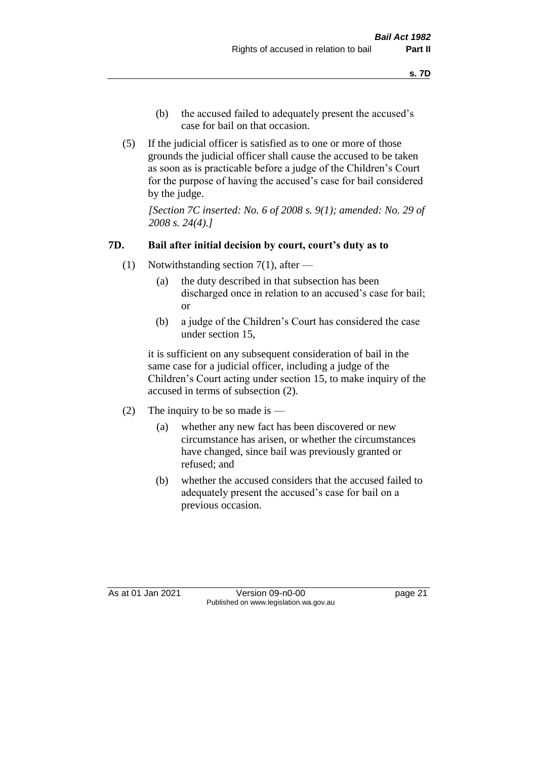- (b) the accused failed to adequately present the accused's case for bail on that occasion.
- (5) If the judicial officer is satisfied as to one or more of those grounds the judicial officer shall cause the accused to be taken as soon as is practicable before a judge of the Children's Court for the purpose of having the accused's case for bail considered by the judge.

*[Section 7C inserted: No. 6 of 2008 s. 9(1); amended: No. 29 of 2008 s. 24(4).]*

### **7D. Bail after initial decision by court, court's duty as to**

- (1) Notwithstanding section 7(1), after
	- (a) the duty described in that subsection has been discharged once in relation to an accused's case for bail; or
	- (b) a judge of the Children's Court has considered the case under section 15,

it is sufficient on any subsequent consideration of bail in the same case for a judicial officer, including a judge of the Children's Court acting under section 15, to make inquiry of the accused in terms of subsection (2).

- (2) The inquiry to be so made is  $-$ 
	- (a) whether any new fact has been discovered or new circumstance has arisen, or whether the circumstances have changed, since bail was previously granted or refused; and
	- (b) whether the accused considers that the accused failed to adequately present the accused's case for bail on a previous occasion.

As at 01 Jan 2021 Version 09-n0-00 Page 21 Published on www.legislation.wa.gov.au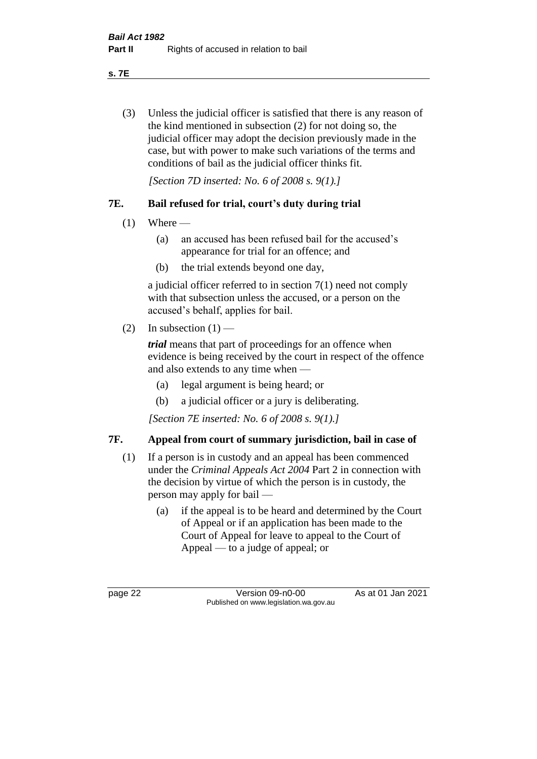**s. 7E**

(3) Unless the judicial officer is satisfied that there is any reason of the kind mentioned in subsection (2) for not doing so, the judicial officer may adopt the decision previously made in the case, but with power to make such variations of the terms and conditions of bail as the judicial officer thinks fit.

*[Section 7D inserted: No. 6 of 2008 s. 9(1).]*

### **7E. Bail refused for trial, court's duty during trial**

- $(1)$  Where
	- (a) an accused has been refused bail for the accused's appearance for trial for an offence; and
	- (b) the trial extends beyond one day,

a judicial officer referred to in section 7(1) need not comply with that subsection unless the accused, or a person on the accused's behalf, applies for bail.

(2) In subsection  $(1)$  —

*trial* means that part of proceedings for an offence when evidence is being received by the court in respect of the offence and also extends to any time when —

- (a) legal argument is being heard; or
- (b) a judicial officer or a jury is deliberating.

*[Section 7E inserted: No. 6 of 2008 s. 9(1).]*

### **7F. Appeal from court of summary jurisdiction, bail in case of**

- (1) If a person is in custody and an appeal has been commenced under the *Criminal Appeals Act 2004* Part 2 in connection with the decision by virtue of which the person is in custody, the person may apply for bail —
	- (a) if the appeal is to be heard and determined by the Court of Appeal or if an application has been made to the Court of Appeal for leave to appeal to the Court of Appeal — to a judge of appeal; or

page 22 Version 09-n0-00 As at 01 Jan 2021 Published on www.legislation.wa.gov.au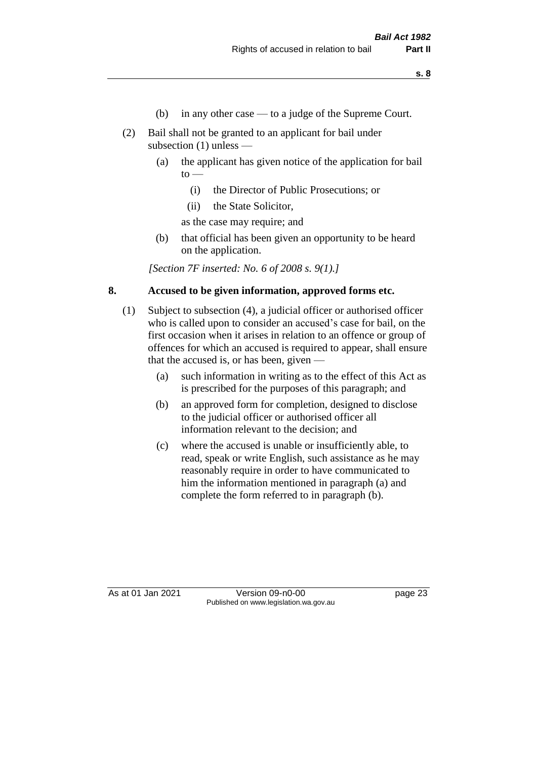- (b) in any other case to a judge of the Supreme Court.
- (2) Bail shall not be granted to an applicant for bail under subsection (1) unless —
	- (a) the applicant has given notice of the application for bail  $to -$ 
		- (i) the Director of Public Prosecutions; or
		- (ii) the State Solicitor,

as the case may require; and

(b) that official has been given an opportunity to be heard on the application.

*[Section 7F inserted: No. 6 of 2008 s. 9(1).]*

### **8. Accused to be given information, approved forms etc.**

- (1) Subject to subsection (4), a judicial officer or authorised officer who is called upon to consider an accused's case for bail, on the first occasion when it arises in relation to an offence or group of offences for which an accused is required to appear, shall ensure that the accused is, or has been, given —
	- (a) such information in writing as to the effect of this Act as is prescribed for the purposes of this paragraph; and
	- (b) an approved form for completion, designed to disclose to the judicial officer or authorised officer all information relevant to the decision; and
	- (c) where the accused is unable or insufficiently able, to read, speak or write English, such assistance as he may reasonably require in order to have communicated to him the information mentioned in paragraph (a) and complete the form referred to in paragraph (b).

As at 01 Jan 2021 Version 09-n0-00 Page 23 Published on www.legislation.wa.gov.au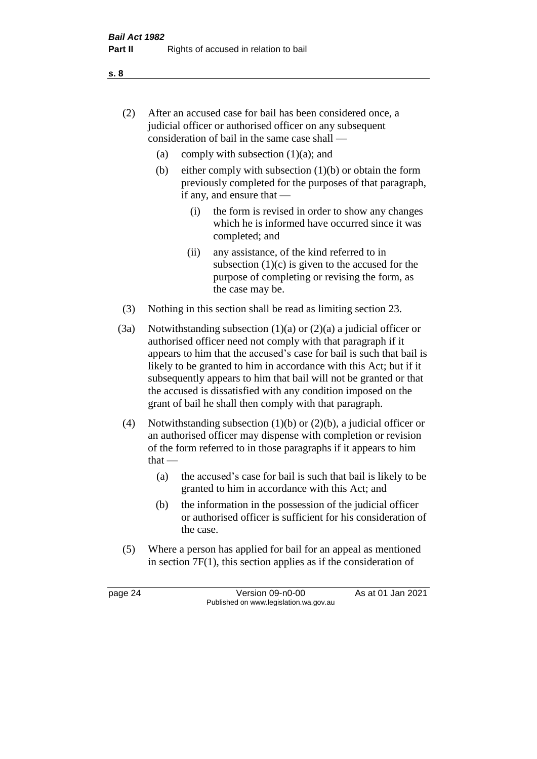- (2) After an accused case for bail has been considered once, a judicial officer or authorised officer on any subsequent consideration of bail in the same case shall —
	- (a) comply with subsection  $(1)(a)$ ; and
	- (b) either comply with subsection  $(1)(b)$  or obtain the form previously completed for the purposes of that paragraph, if any, and ensure that —
		- (i) the form is revised in order to show any changes which he is informed have occurred since it was completed; and
		- (ii) any assistance, of the kind referred to in subsection  $(1)(c)$  is given to the accused for the purpose of completing or revising the form, as the case may be.
- (3) Nothing in this section shall be read as limiting section 23.
- (3a) Notwithstanding subsection  $(1)(a)$  or  $(2)(a)$  a judicial officer or authorised officer need not comply with that paragraph if it appears to him that the accused's case for bail is such that bail is likely to be granted to him in accordance with this Act; but if it subsequently appears to him that bail will not be granted or that the accused is dissatisfied with any condition imposed on the grant of bail he shall then comply with that paragraph.
- (4) Notwithstanding subsection (1)(b) or (2)(b), a judicial officer or an authorised officer may dispense with completion or revision of the form referred to in those paragraphs if it appears to him  $that -$ 
	- (a) the accused's case for bail is such that bail is likely to be granted to him in accordance with this Act; and
	- (b) the information in the possession of the judicial officer or authorised officer is sufficient for his consideration of the case.
- (5) Where a person has applied for bail for an appeal as mentioned in section 7F(1), this section applies as if the consideration of

page 24 Version 09-n0-00 As at 01 Jan 2021 Published on www.legislation.wa.gov.au

**s. 8**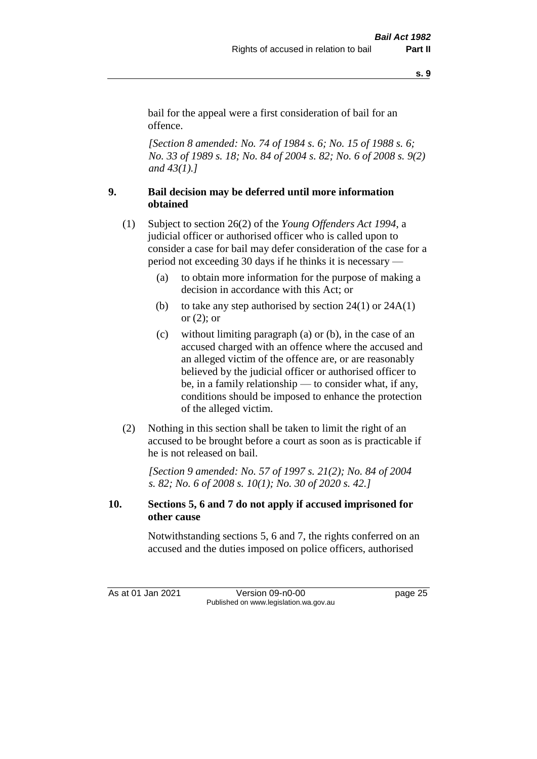**s. 9**

bail for the appeal were a first consideration of bail for an offence.

*[Section 8 amended: No. 74 of 1984 s. 6; No. 15 of 1988 s. 6; No. 33 of 1989 s. 18; No. 84 of 2004 s. 82; No. 6 of 2008 s. 9(2) and 43(1).]* 

### **9. Bail decision may be deferred until more information obtained**

- (1) Subject to section 26(2) of the *Young Offenders Act 1994*, a judicial officer or authorised officer who is called upon to consider a case for bail may defer consideration of the case for a period not exceeding 30 days if he thinks it is necessary —
	- (a) to obtain more information for the purpose of making a decision in accordance with this Act; or
	- (b) to take any step authorised by section  $24(1)$  or  $24A(1)$ or (2); or
	- (c) without limiting paragraph (a) or (b), in the case of an accused charged with an offence where the accused and an alleged victim of the offence are, or are reasonably believed by the judicial officer or authorised officer to be, in a family relationship — to consider what, if any, conditions should be imposed to enhance the protection of the alleged victim.
- (2) Nothing in this section shall be taken to limit the right of an accused to be brought before a court as soon as is practicable if he is not released on bail.

*[Section 9 amended: No. 57 of 1997 s. 21(2); No. 84 of 2004 s. 82; No. 6 of 2008 s. 10(1); No. 30 of 2020 s. 42.]*

### **10. Sections 5, 6 and 7 do not apply if accused imprisoned for other cause**

Notwithstanding sections 5, 6 and 7, the rights conferred on an accused and the duties imposed on police officers, authorised

As at 01 Jan 2021 Version 09-n0-00 Page 25 Published on www.legislation.wa.gov.au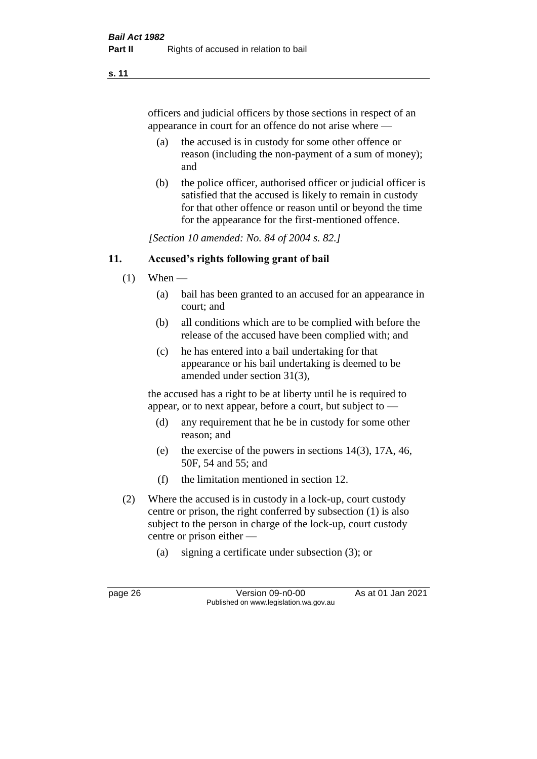#### **s. 11**

officers and judicial officers by those sections in respect of an appearance in court for an offence do not arise where —

- (a) the accused is in custody for some other offence or reason (including the non-payment of a sum of money); and
- (b) the police officer, authorised officer or judicial officer is satisfied that the accused is likely to remain in custody for that other offence or reason until or beyond the time for the appearance for the first-mentioned offence.

*[Section 10 amended: No. 84 of 2004 s. 82.]*

### **11. Accused's rights following grant of bail**

- $(1)$  When
	- (a) bail has been granted to an accused for an appearance in court; and
	- (b) all conditions which are to be complied with before the release of the accused have been complied with; and
	- (c) he has entered into a bail undertaking for that appearance or his bail undertaking is deemed to be amended under section 31(3),

the accused has a right to be at liberty until he is required to appear, or to next appear, before a court, but subject to —

- (d) any requirement that he be in custody for some other reason; and
- (e) the exercise of the powers in sections 14(3), 17A, 46, 50F, 54 and 55; and
- (f) the limitation mentioned in section 12.
- (2) Where the accused is in custody in a lock-up, court custody centre or prison, the right conferred by subsection (1) is also subject to the person in charge of the lock-up, court custody centre or prison either —
	- (a) signing a certificate under subsection (3); or

page 26 Version 09-n0-00 As at 01 Jan 2021 Published on www.legislation.wa.gov.au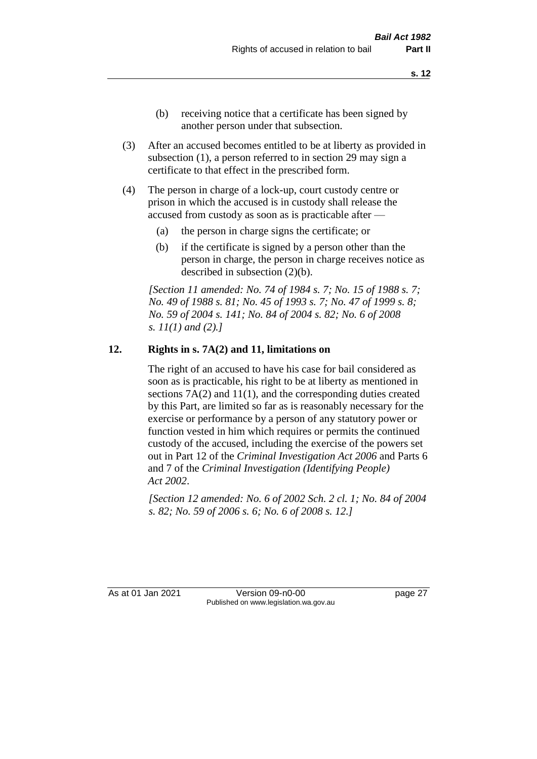- (b) receiving notice that a certificate has been signed by another person under that subsection.
- (3) After an accused becomes entitled to be at liberty as provided in subsection (1), a person referred to in section 29 may sign a certificate to that effect in the prescribed form.
- (4) The person in charge of a lock-up, court custody centre or prison in which the accused is in custody shall release the accused from custody as soon as is practicable after —
	- (a) the person in charge signs the certificate; or
	- (b) if the certificate is signed by a person other than the person in charge, the person in charge receives notice as described in subsection (2)(b).

*[Section 11 amended: No. 74 of 1984 s. 7; No. 15 of 1988 s. 7; No. 49 of 1988 s. 81; No. 45 of 1993 s. 7; No. 47 of 1999 s. 8; No. 59 of 2004 s. 141; No. 84 of 2004 s. 82; No. 6 of 2008 s. 11(1) and (2).]* 

#### **12. Rights in s. 7A(2) and 11, limitations on**

The right of an accused to have his case for bail considered as soon as is practicable, his right to be at liberty as mentioned in sections 7A(2) and 11(1), and the corresponding duties created by this Part, are limited so far as is reasonably necessary for the exercise or performance by a person of any statutory power or function vested in him which requires or permits the continued custody of the accused, including the exercise of the powers set out in Part 12 of the *Criminal Investigation Act 2006* and Parts 6 and 7 of the *Criminal Investigation (Identifying People) Act 2002*.

*[Section 12 amended: No. 6 of 2002 Sch. 2 cl. 1; No. 84 of 2004 s. 82; No. 59 of 2006 s. 6; No. 6 of 2008 s. 12.]*

As at 01 Jan 2021 Version 09-n0-00 Page 27 Published on www.legislation.wa.gov.au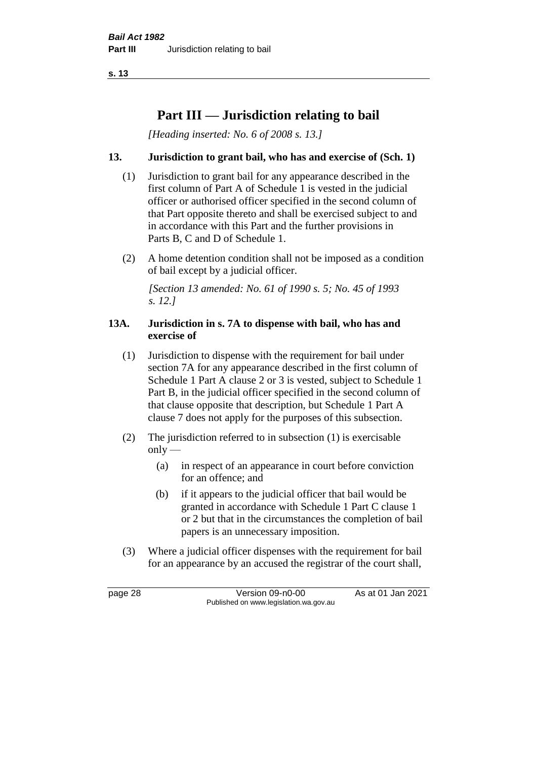# **Part III — Jurisdiction relating to bail**

*[Heading inserted: No. 6 of 2008 s. 13.]*

## **13. Jurisdiction to grant bail, who has and exercise of (Sch. 1)**

- (1) Jurisdiction to grant bail for any appearance described in the first column of Part A of Schedule 1 is vested in the judicial officer or authorised officer specified in the second column of that Part opposite thereto and shall be exercised subject to and in accordance with this Part and the further provisions in Parts B, C and D of Schedule 1.
- (2) A home detention condition shall not be imposed as a condition of bail except by a judicial officer.

*[Section 13 amended: No. 61 of 1990 s. 5; No. 45 of 1993 s. 12.]* 

#### **13A. Jurisdiction in s. 7A to dispense with bail, who has and exercise of**

- (1) Jurisdiction to dispense with the requirement for bail under section 7A for any appearance described in the first column of Schedule 1 Part A clause 2 or 3 is vested, subject to Schedule 1 Part B, in the judicial officer specified in the second column of that clause opposite that description, but Schedule 1 Part A clause 7 does not apply for the purposes of this subsection.
- (2) The jurisdiction referred to in subsection (1) is exercisable  $only$ —
	- (a) in respect of an appearance in court before conviction for an offence; and
	- (b) if it appears to the judicial officer that bail would be granted in accordance with Schedule 1 Part C clause 1 or 2 but that in the circumstances the completion of bail papers is an unnecessary imposition.
- (3) Where a judicial officer dispenses with the requirement for bail for an appearance by an accused the registrar of the court shall,

page 28 Version 09-n0-00 As at 01 Jan 2021 Published on www.legislation.wa.gov.au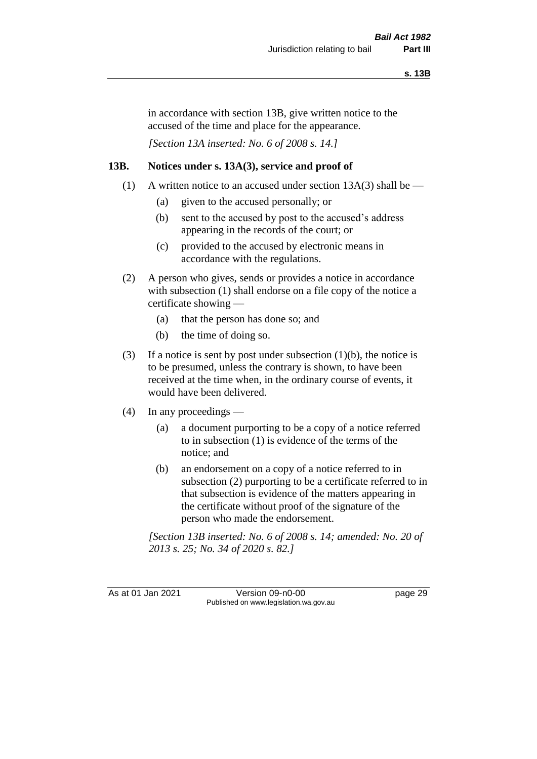in accordance with section 13B, give written notice to the accused of the time and place for the appearance.

*[Section 13A inserted: No. 6 of 2008 s. 14.]*

### **13B. Notices under s. 13A(3), service and proof of**

- (1) A written notice to an accused under section  $13A(3)$  shall be
	- (a) given to the accused personally; or
	- (b) sent to the accused by post to the accused's address appearing in the records of the court; or
	- (c) provided to the accused by electronic means in accordance with the regulations.
- (2) A person who gives, sends or provides a notice in accordance with subsection (1) shall endorse on a file copy of the notice a certificate showing —
	- (a) that the person has done so; and
	- (b) the time of doing so.
- (3) If a notice is sent by post under subsection  $(1)(b)$ , the notice is to be presumed, unless the contrary is shown, to have been received at the time when, in the ordinary course of events, it would have been delivered.
- (4) In any proceedings
	- (a) a document purporting to be a copy of a notice referred to in subsection (1) is evidence of the terms of the notice; and
	- (b) an endorsement on a copy of a notice referred to in subsection (2) purporting to be a certificate referred to in that subsection is evidence of the matters appearing in the certificate without proof of the signature of the person who made the endorsement.

*[Section 13B inserted: No. 6 of 2008 s. 14; amended: No. 20 of 2013 s. 25; No. 34 of 2020 s. 82.]*

As at 01 Jan 2021 Version 09-n0-00 Page 29 Published on www.legislation.wa.gov.au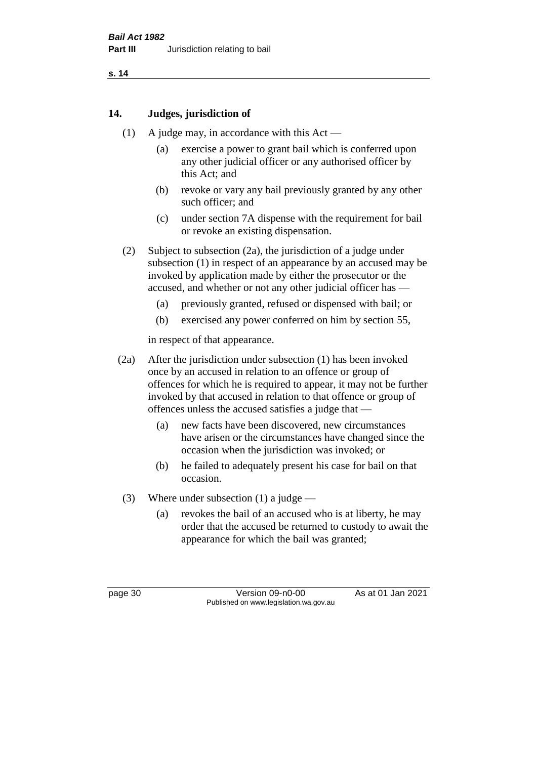# **14. Judges, jurisdiction of**

- (1) A judge may, in accordance with this  $Act -$ 
	- (a) exercise a power to grant bail which is conferred upon any other judicial officer or any authorised officer by this Act; and
	- (b) revoke or vary any bail previously granted by any other such officer; and
	- (c) under section 7A dispense with the requirement for bail or revoke an existing dispensation.
- (2) Subject to subsection (2a), the jurisdiction of a judge under subsection (1) in respect of an appearance by an accused may be invoked by application made by either the prosecutor or the accused, and whether or not any other judicial officer has —
	- (a) previously granted, refused or dispensed with bail; or
	- (b) exercised any power conferred on him by section 55,

in respect of that appearance.

- (2a) After the jurisdiction under subsection (1) has been invoked once by an accused in relation to an offence or group of offences for which he is required to appear, it may not be further invoked by that accused in relation to that offence or group of offences unless the accused satisfies a judge that —
	- (a) new facts have been discovered, new circumstances have arisen or the circumstances have changed since the occasion when the jurisdiction was invoked; or
	- (b) he failed to adequately present his case for bail on that occasion.
- (3) Where under subsection (1) a judge
	- (a) revokes the bail of an accused who is at liberty, he may order that the accused be returned to custody to await the appearance for which the bail was granted;

page 30 Version 09-n0-00 As at 01 Jan 2021 Published on www.legislation.wa.gov.au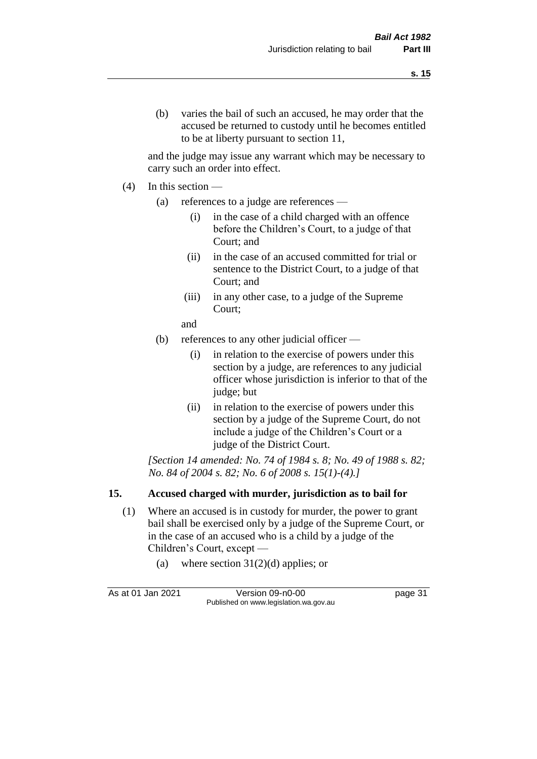and the judge may issue any warrant which may be necessary to carry such an order into effect.

- $(4)$  In this section
	- (a) references to a judge are references
		- (i) in the case of a child charged with an offence before the Children's Court, to a judge of that Court; and
		- (ii) in the case of an accused committed for trial or sentence to the District Court, to a judge of that Court; and
		- (iii) in any other case, to a judge of the Supreme Court;
		- and
	- (b) references to any other judicial officer
		- (i) in relation to the exercise of powers under this section by a judge, are references to any judicial officer whose jurisdiction is inferior to that of the judge; but
		- (ii) in relation to the exercise of powers under this section by a judge of the Supreme Court, do not include a judge of the Children's Court or a judge of the District Court.

*[Section 14 amended: No. 74 of 1984 s. 8; No. 49 of 1988 s. 82; No. 84 of 2004 s. 82; No. 6 of 2008 s. 15(1)-(4).]* 

# **15. Accused charged with murder, jurisdiction as to bail for**

- (1) Where an accused is in custody for murder, the power to grant bail shall be exercised only by a judge of the Supreme Court, or in the case of an accused who is a child by a judge of the Children's Court, except —
	- (a) where section  $31(2)(d)$  applies; or

As at 01 Jan 2021 Version 09-n0-00 Page 31 Published on www.legislation.wa.gov.au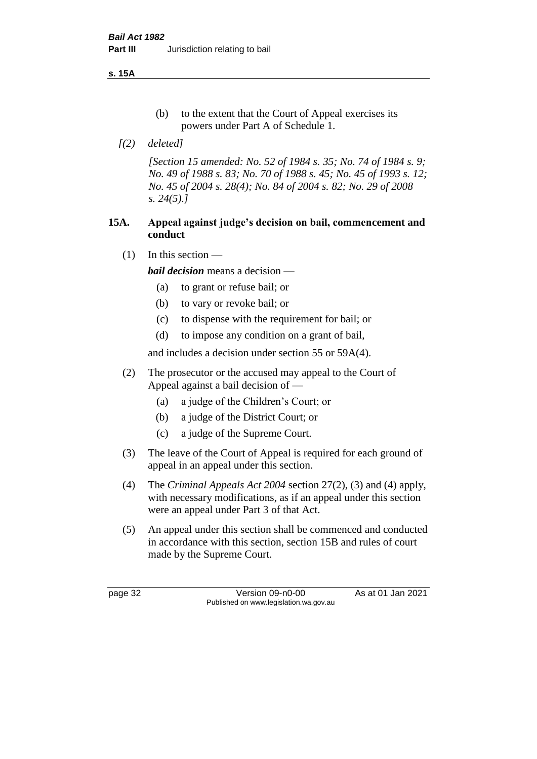**s. 15A**

- (b) to the extent that the Court of Appeal exercises its powers under Part A of Schedule 1.
- *[(2) deleted]*

*[Section 15 amended: No. 52 of 1984 s. 35; No. 74 of 1984 s. 9; No. 49 of 1988 s. 83; No. 70 of 1988 s. 45; No. 45 of 1993 s. 12; No. 45 of 2004 s. 28(4); No. 84 of 2004 s. 82; No. 29 of 2008 s. 24(5).]* 

## **15A. Appeal against judge's decision on bail, commencement and conduct**

 $(1)$  In this section —

*bail decision* means a decision —

- (a) to grant or refuse bail; or
- (b) to vary or revoke bail; or
- (c) to dispense with the requirement for bail; or
- (d) to impose any condition on a grant of bail,

and includes a decision under section 55 or 59A(4).

- (2) The prosecutor or the accused may appeal to the Court of Appeal against a bail decision of —
	- (a) a judge of the Children's Court; or
	- (b) a judge of the District Court; or
	- (c) a judge of the Supreme Court.
- (3) The leave of the Court of Appeal is required for each ground of appeal in an appeal under this section.
- (4) The *Criminal Appeals Act 2004* section 27(2), (3) and (4) apply, with necessary modifications, as if an appeal under this section were an appeal under Part 3 of that Act.
- (5) An appeal under this section shall be commenced and conducted in accordance with this section, section 15B and rules of court made by the Supreme Court.

page 32 Version 09-n0-00 As at 01 Jan 2021 Published on www.legislation.wa.gov.au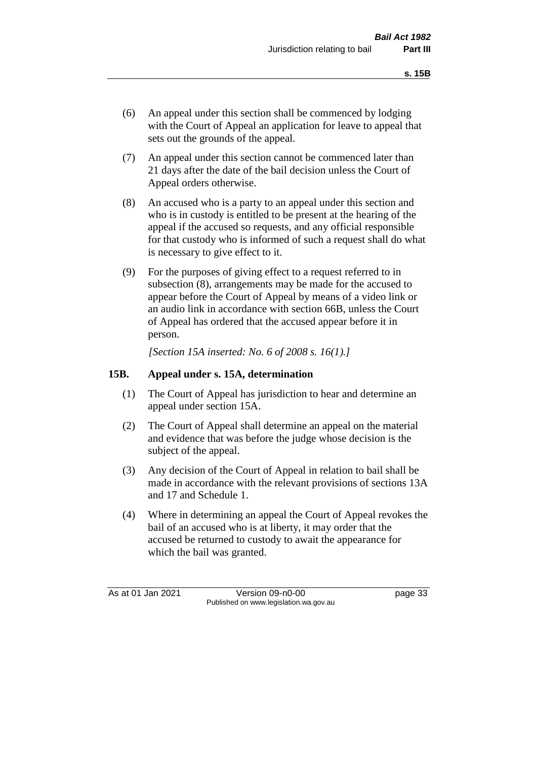- (6) An appeal under this section shall be commenced by lodging with the Court of Appeal an application for leave to appeal that sets out the grounds of the appeal.
- (7) An appeal under this section cannot be commenced later than 21 days after the date of the bail decision unless the Court of Appeal orders otherwise.
- (8) An accused who is a party to an appeal under this section and who is in custody is entitled to be present at the hearing of the appeal if the accused so requests, and any official responsible for that custody who is informed of such a request shall do what is necessary to give effect to it.
- (9) For the purposes of giving effect to a request referred to in subsection (8), arrangements may be made for the accused to appear before the Court of Appeal by means of a video link or an audio link in accordance with section 66B, unless the Court of Appeal has ordered that the accused appear before it in person.

*[Section 15A inserted: No. 6 of 2008 s. 16(1).]*

### **15B. Appeal under s. 15A, determination**

- (1) The Court of Appeal has jurisdiction to hear and determine an appeal under section 15A.
- (2) The Court of Appeal shall determine an appeal on the material and evidence that was before the judge whose decision is the subject of the appeal.
- (3) Any decision of the Court of Appeal in relation to bail shall be made in accordance with the relevant provisions of sections 13A and 17 and Schedule 1.
- (4) Where in determining an appeal the Court of Appeal revokes the bail of an accused who is at liberty, it may order that the accused be returned to custody to await the appearance for which the bail was granted.

As at 01 Jan 2021 Version 09-n0-00 Page 33 Published on www.legislation.wa.gov.au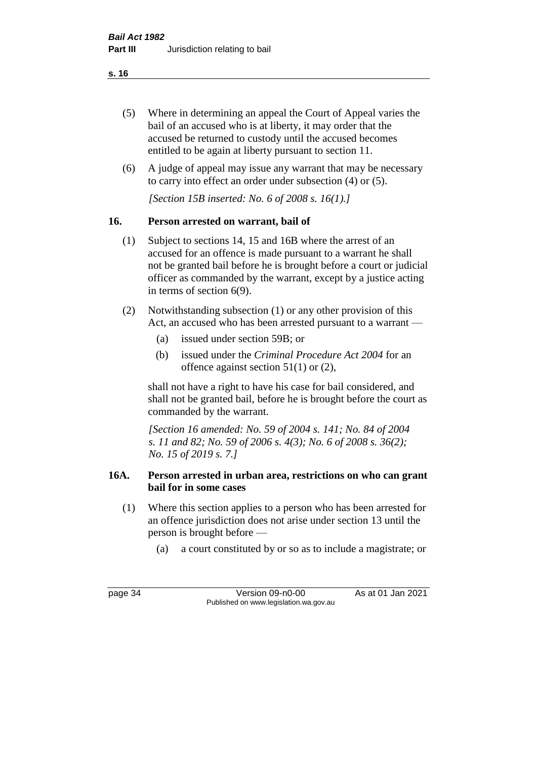- (5) Where in determining an appeal the Court of Appeal varies the bail of an accused who is at liberty, it may order that the accused be returned to custody until the accused becomes entitled to be again at liberty pursuant to section 11.
- (6) A judge of appeal may issue any warrant that may be necessary to carry into effect an order under subsection (4) or (5).

*[Section 15B inserted: No. 6 of 2008 s. 16(1).]*

# **16. Person arrested on warrant, bail of**

- (1) Subject to sections 14, 15 and 16B where the arrest of an accused for an offence is made pursuant to a warrant he shall not be granted bail before he is brought before a court or judicial officer as commanded by the warrant, except by a justice acting in terms of section 6(9).
- (2) Notwithstanding subsection (1) or any other provision of this Act, an accused who has been arrested pursuant to a warrant —
	- (a) issued under section 59B; or
	- (b) issued under the *Criminal Procedure Act 2004* for an offence against section 51(1) or (2),

shall not have a right to have his case for bail considered, and shall not be granted bail, before he is brought before the court as commanded by the warrant.

*[Section 16 amended: No. 59 of 2004 s. 141; No. 84 of 2004 s. 11 and 82; No. 59 of 2006 s. 4(3); No. 6 of 2008 s. 36(2); No. 15 of 2019 s. 7.]*

# **16A. Person arrested in urban area, restrictions on who can grant bail for in some cases**

- (1) Where this section applies to a person who has been arrested for an offence jurisdiction does not arise under section 13 until the person is brought before —
	- (a) a court constituted by or so as to include a magistrate; or

page 34 Version 09-n0-00 As at 01 Jan 2021 Published on www.legislation.wa.gov.au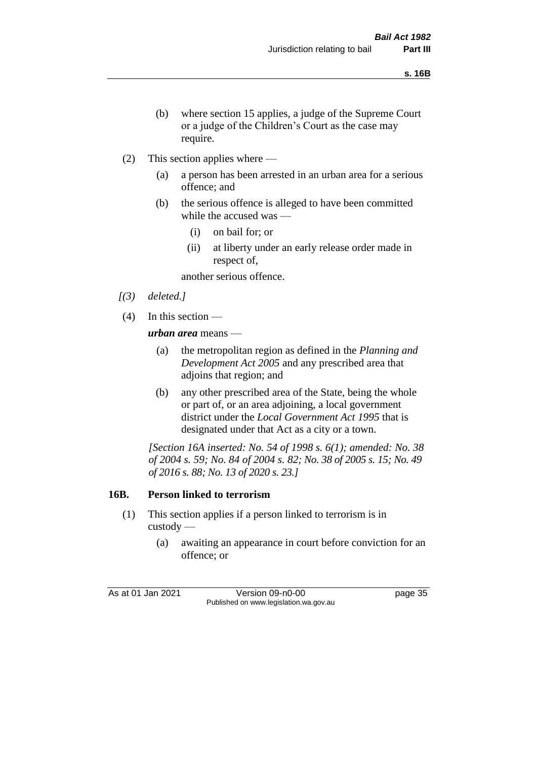- (b) where section 15 applies, a judge of the Supreme Court or a judge of the Children's Court as the case may require.
- (2) This section applies where
	- (a) a person has been arrested in an urban area for a serious offence; and
	- (b) the serious offence is alleged to have been committed while the accused was —
		- (i) on bail for; or
		- (ii) at liberty under an early release order made in respect of,

another serious offence.

- *[(3) deleted.]*
- (4) In this section —

*urban area* means —

- (a) the metropolitan region as defined in the *Planning and Development Act 2005* and any prescribed area that adjoins that region; and
- (b) any other prescribed area of the State, being the whole or part of, or an area adjoining, a local government district under the *Local Government Act 1995* that is designated under that Act as a city or a town.

*[Section 16A inserted: No. 54 of 1998 s. 6(1); amended: No. 38 of 2004 s. 59; No. 84 of 2004 s. 82; No. 38 of 2005 s. 15; No. 49 of 2016 s. 88; No. 13 of 2020 s. 23.]*

# **16B. Person linked to terrorism**

- (1) This section applies if a person linked to terrorism is in custody —
	- (a) awaiting an appearance in court before conviction for an offence; or

As at 01 Jan 2021 Version 09-n0-00 Page 35 Published on www.legislation.wa.gov.au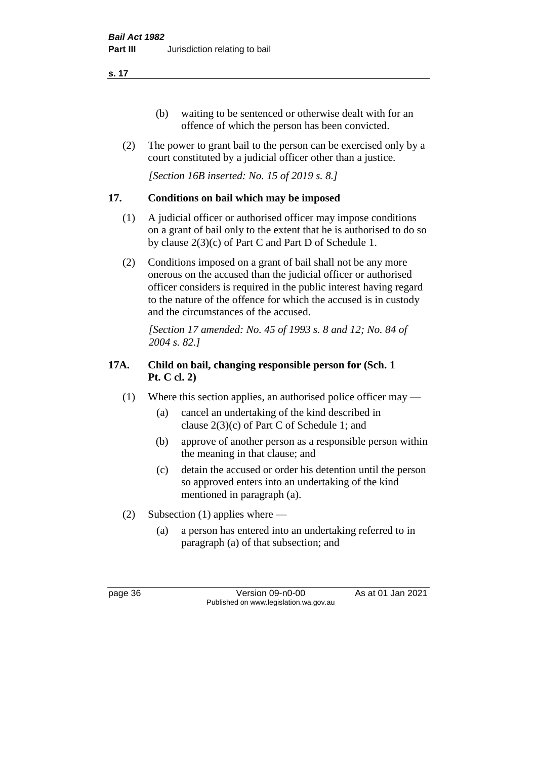- (b) waiting to be sentenced or otherwise dealt with for an offence of which the person has been convicted.
- (2) The power to grant bail to the person can be exercised only by a court constituted by a judicial officer other than a justice.

*[Section 16B inserted: No. 15 of 2019 s. 8.]*

# **17. Conditions on bail which may be imposed**

- (1) A judicial officer or authorised officer may impose conditions on a grant of bail only to the extent that he is authorised to do so by clause 2(3)(c) of Part C and Part D of Schedule 1.
- (2) Conditions imposed on a grant of bail shall not be any more onerous on the accused than the judicial officer or authorised officer considers is required in the public interest having regard to the nature of the offence for which the accused is in custody and the circumstances of the accused.

*[Section 17 amended: No. 45 of 1993 s. 8 and 12; No. 84 of 2004 s. 82.]* 

# **17A. Child on bail, changing responsible person for (Sch. 1 Pt. C cl. 2)**

- (1) Where this section applies, an authorised police officer may
	- (a) cancel an undertaking of the kind described in clause 2(3)(c) of Part C of Schedule 1; and
	- (b) approve of another person as a responsible person within the meaning in that clause; and
	- (c) detain the accused or order his detention until the person so approved enters into an undertaking of the kind mentioned in paragraph (a).
- (2) Subsection (1) applies where
	- (a) a person has entered into an undertaking referred to in paragraph (a) of that subsection; and

page 36 Version 09-n0-00 As at 01 Jan 2021 Published on www.legislation.wa.gov.au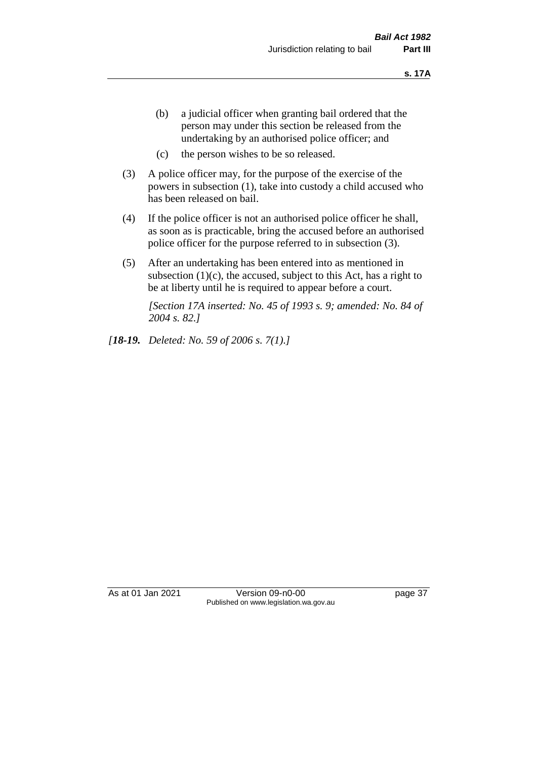- (b) a judicial officer when granting bail ordered that the person may under this section be released from the undertaking by an authorised police officer; and
- (c) the person wishes to be so released.
- (3) A police officer may, for the purpose of the exercise of the powers in subsection (1), take into custody a child accused who has been released on bail.
- (4) If the police officer is not an authorised police officer he shall, as soon as is practicable, bring the accused before an authorised police officer for the purpose referred to in subsection (3).
- (5) After an undertaking has been entered into as mentioned in subsection  $(1)(c)$ , the accused, subject to this Act, has a right to be at liberty until he is required to appear before a court.

*[Section 17A inserted: No. 45 of 1993 s. 9; amended: No. 84 of 2004 s. 82.]* 

*[18-19. Deleted: No. 59 of 2006 s. 7(1).]*

As at 01 Jan 2021 Version 09-n0-00 Page 37 Published on www.legislation.wa.gov.au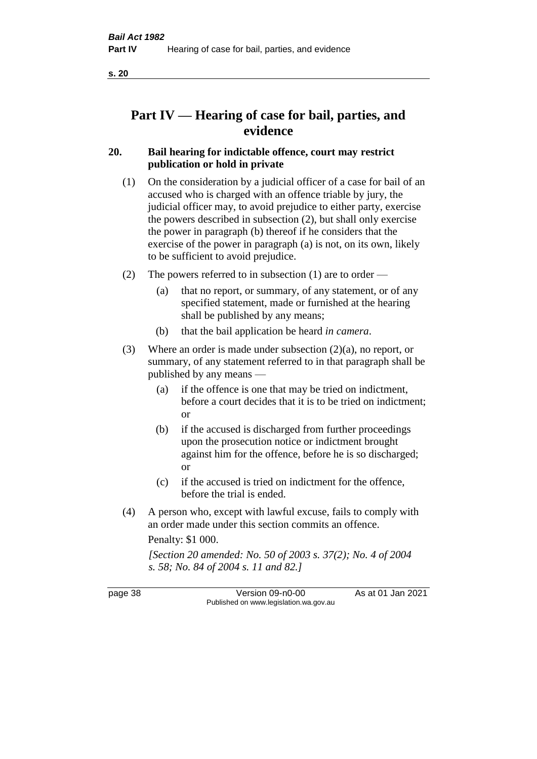# **Part IV — Hearing of case for bail, parties, and evidence**

# **20. Bail hearing for indictable offence, court may restrict publication or hold in private**

- (1) On the consideration by a judicial officer of a case for bail of an accused who is charged with an offence triable by jury, the judicial officer may, to avoid prejudice to either party, exercise the powers described in subsection (2), but shall only exercise the power in paragraph (b) thereof if he considers that the exercise of the power in paragraph (a) is not, on its own, likely to be sufficient to avoid prejudice.
- (2) The powers referred to in subsection (1) are to order
	- (a) that no report, or summary, of any statement, or of any specified statement, made or furnished at the hearing shall be published by any means;
	- (b) that the bail application be heard *in camera*.
- (3) Where an order is made under subsection (2)(a), no report, or summary, of any statement referred to in that paragraph shall be published by any means —
	- (a) if the offence is one that may be tried on indictment, before a court decides that it is to be tried on indictment; or
	- (b) if the accused is discharged from further proceedings upon the prosecution notice or indictment brought against him for the offence, before he is so discharged; or
	- (c) if the accused is tried on indictment for the offence, before the trial is ended.
- (4) A person who, except with lawful excuse, fails to comply with an order made under this section commits an offence.

Penalty: \$1 000.

*[Section 20 amended: No. 50 of 2003 s. 37(2); No. 4 of 2004 s. 58; No. 84 of 2004 s. 11 and 82.]*

page 38 Version 09-n0-00 As at 01 Jan 2021 Published on www.legislation.wa.gov.au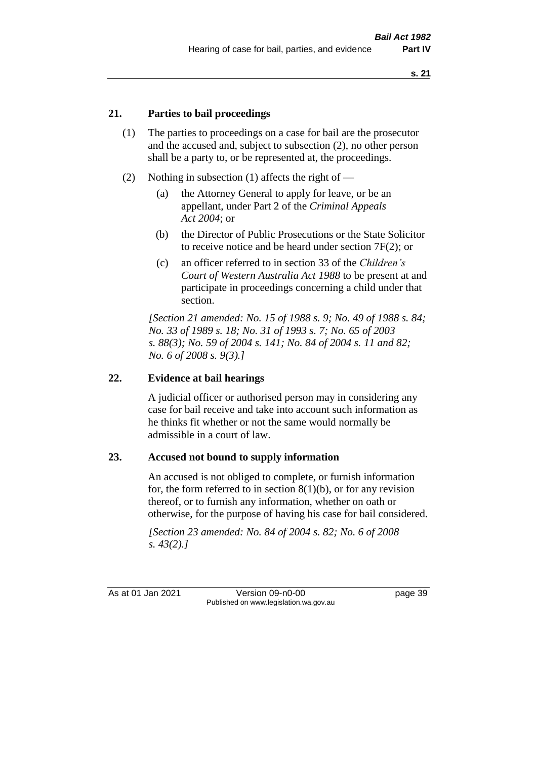### **21. Parties to bail proceedings**

- (1) The parties to proceedings on a case for bail are the prosecutor and the accused and, subject to subsection (2), no other person shall be a party to, or be represented at, the proceedings.
- (2) Nothing in subsection (1) affects the right of
	- (a) the Attorney General to apply for leave, or be an appellant, under Part 2 of the *Criminal Appeals Act 2004*; or
	- (b) the Director of Public Prosecutions or the State Solicitor to receive notice and be heard under section 7F(2); or
	- (c) an officer referred to in section 33 of the *Children's Court of Western Australia Act 1988* to be present at and participate in proceedings concerning a child under that section.

*[Section 21 amended: No. 15 of 1988 s. 9; No. 49 of 1988 s. 84; No. 33 of 1989 s. 18; No. 31 of 1993 s. 7; No. 65 of 2003 s. 88(3); No. 59 of 2004 s. 141; No. 84 of 2004 s. 11 and 82; No. 6 of 2008 s. 9(3).]* 

### **22. Evidence at bail hearings**

A judicial officer or authorised person may in considering any case for bail receive and take into account such information as he thinks fit whether or not the same would normally be admissible in a court of law.

#### **23. Accused not bound to supply information**

An accused is not obliged to complete, or furnish information for, the form referred to in section  $8(1)(b)$ , or for any revision thereof, or to furnish any information, whether on oath or otherwise, for the purpose of having his case for bail considered.

*[Section 23 amended: No. 84 of 2004 s. 82; No. 6 of 2008 s. 43(2).]* 

As at 01 Jan 2021 Version 09-n0-00 page 39 Published on www.legislation.wa.gov.au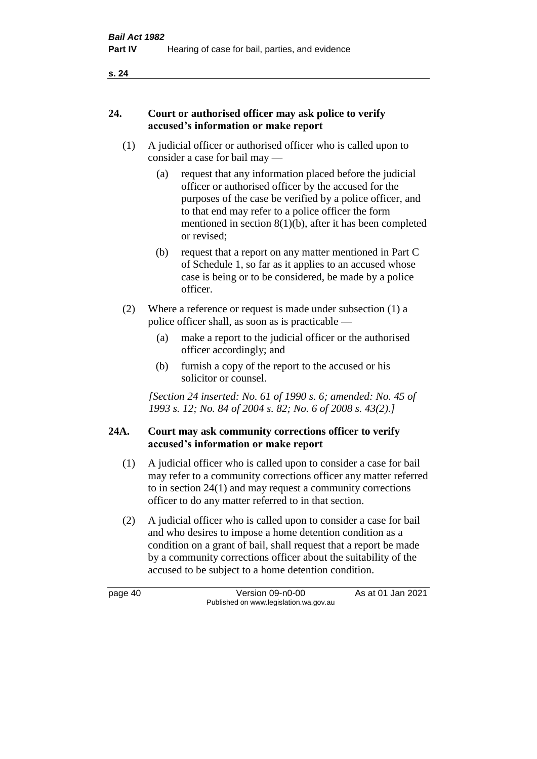#### **24. Court or authorised officer may ask police to verify accused's information or make report**

- (1) A judicial officer or authorised officer who is called upon to consider a case for bail may —
	- (a) request that any information placed before the judicial officer or authorised officer by the accused for the purposes of the case be verified by a police officer, and to that end may refer to a police officer the form mentioned in section 8(1)(b), after it has been completed or revised;
	- (b) request that a report on any matter mentioned in Part C of Schedule 1, so far as it applies to an accused whose case is being or to be considered, be made by a police officer.
- (2) Where a reference or request is made under subsection (1) a police officer shall, as soon as is practicable —
	- (a) make a report to the judicial officer or the authorised officer accordingly; and
	- (b) furnish a copy of the report to the accused or his solicitor or counsel.

*[Section 24 inserted: No. 61 of 1990 s. 6; amended: No. 45 of 1993 s. 12; No. 84 of 2004 s. 82; No. 6 of 2008 s. 43(2).]* 

# **24A. Court may ask community corrections officer to verify accused's information or make report**

- (1) A judicial officer who is called upon to consider a case for bail may refer to a community corrections officer any matter referred to in section 24(1) and may request a community corrections officer to do any matter referred to in that section.
- (2) A judicial officer who is called upon to consider a case for bail and who desires to impose a home detention condition as a condition on a grant of bail, shall request that a report be made by a community corrections officer about the suitability of the accused to be subject to a home detention condition.

page 40 Version 09-n0-00 As at 01 Jan 2021 Published on www.legislation.wa.gov.au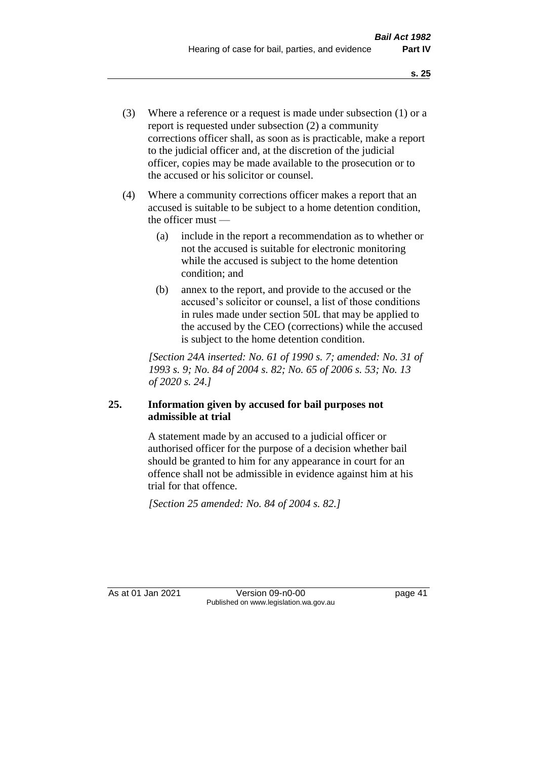- (3) Where a reference or a request is made under subsection (1) or a report is requested under subsection (2) a community corrections officer shall, as soon as is practicable, make a report to the judicial officer and, at the discretion of the judicial officer, copies may be made available to the prosecution or to the accused or his solicitor or counsel.
- (4) Where a community corrections officer makes a report that an accused is suitable to be subject to a home detention condition, the officer must —
	- (a) include in the report a recommendation as to whether or not the accused is suitable for electronic monitoring while the accused is subject to the home detention condition; and
	- (b) annex to the report, and provide to the accused or the accused's solicitor or counsel, a list of those conditions in rules made under section 50L that may be applied to the accused by the CEO (corrections) while the accused is subject to the home detention condition.

*[Section 24A inserted: No. 61 of 1990 s. 7; amended: No. 31 of 1993 s. 9; No. 84 of 2004 s. 82; No. 65 of 2006 s. 53; No. 13 of 2020 s. 24.]* 

# **25. Information given by accused for bail purposes not admissible at trial**

A statement made by an accused to a judicial officer or authorised officer for the purpose of a decision whether bail should be granted to him for any appearance in court for an offence shall not be admissible in evidence against him at his trial for that offence.

*[Section 25 amended: No. 84 of 2004 s. 82.]* 

As at 01 Jan 2021 Version 09-n0-00 Page 41 Published on www.legislation.wa.gov.au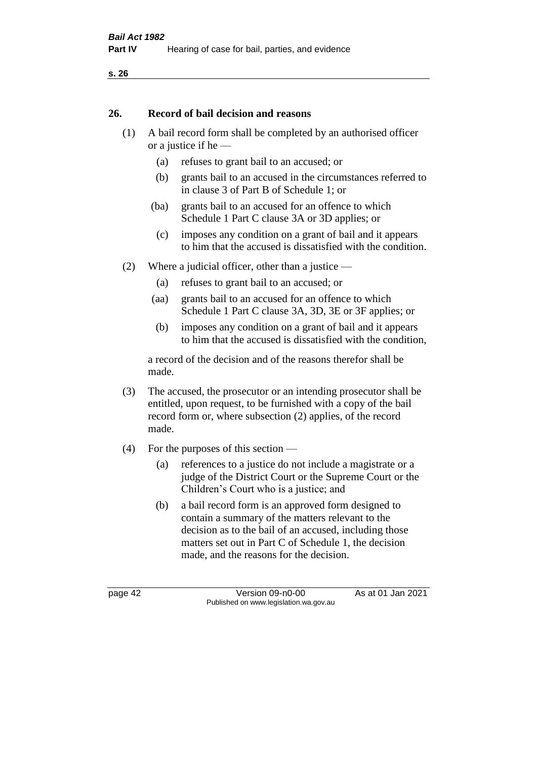#### **26. Record of bail decision and reasons**

- (1) A bail record form shall be completed by an authorised officer or a justice if he —
	- (a) refuses to grant bail to an accused; or
	- (b) grants bail to an accused in the circumstances referred to in clause 3 of Part B of Schedule 1; or
	- (ba) grants bail to an accused for an offence to which Schedule 1 Part C clause 3A or 3D applies; or
	- (c) imposes any condition on a grant of bail and it appears to him that the accused is dissatisfied with the condition.
- (2) Where a judicial officer, other than a justice
	- (a) refuses to grant bail to an accused; or
	- (aa) grants bail to an accused for an offence to which Schedule 1 Part C clause 3A, 3D, 3E or 3F applies; or
	- (b) imposes any condition on a grant of bail and it appears to him that the accused is dissatisfied with the condition,

a record of the decision and of the reasons therefor shall be made.

- (3) The accused, the prosecutor or an intending prosecutor shall be entitled, upon request, to be furnished with a copy of the bail record form or, where subsection (2) applies, of the record made.
- (4) For the purposes of this section
	- (a) references to a justice do not include a magistrate or a judge of the District Court or the Supreme Court or the Children's Court who is a justice; and
	- (b) a bail record form is an approved form designed to contain a summary of the matters relevant to the decision as to the bail of an accused, including those matters set out in Part C of Schedule 1, the decision made, and the reasons for the decision.

page 42 Version 09-n0-00 As at 01 Jan 2021 Published on www.legislation.wa.gov.au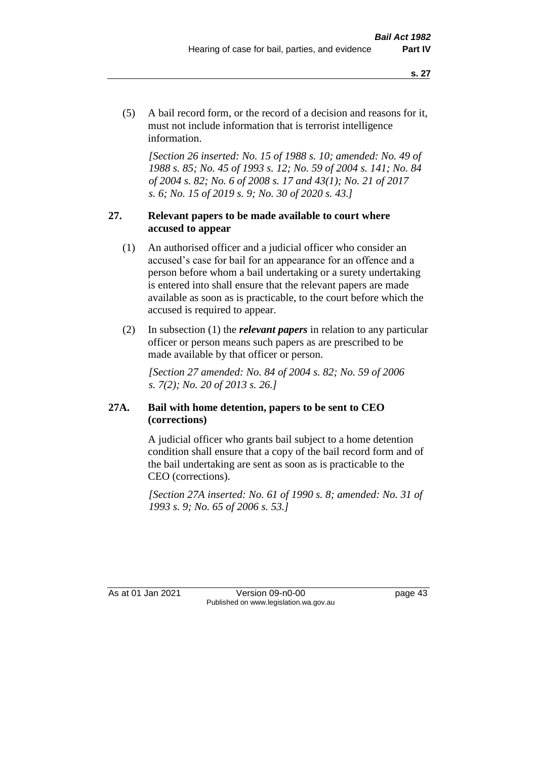(5) A bail record form, or the record of a decision and reasons for it, must not include information that is terrorist intelligence information.

*[Section 26 inserted: No. 15 of 1988 s. 10; amended: No. 49 of 1988 s. 85; No. 45 of 1993 s. 12; No. 59 of 2004 s. 141; No. 84 of 2004 s. 82; No. 6 of 2008 s. 17 and 43(1); No. 21 of 2017 s. 6; No. 15 of 2019 s. 9; No. 30 of 2020 s. 43.]* 

### **27. Relevant papers to be made available to court where accused to appear**

- (1) An authorised officer and a judicial officer who consider an accused's case for bail for an appearance for an offence and a person before whom a bail undertaking or a surety undertaking is entered into shall ensure that the relevant papers are made available as soon as is practicable, to the court before which the accused is required to appear.
- (2) In subsection (1) the *relevant papers* in relation to any particular officer or person means such papers as are prescribed to be made available by that officer or person.

*[Section 27 amended: No. 84 of 2004 s. 82; No. 59 of 2006 s. 7(2); No. 20 of 2013 s. 26.]* 

### **27A. Bail with home detention, papers to be sent to CEO (corrections)**

A judicial officer who grants bail subject to a home detention condition shall ensure that a copy of the bail record form and of the bail undertaking are sent as soon as is practicable to the CEO (corrections).

*[Section 27A inserted: No. 61 of 1990 s. 8; amended: No. 31 of 1993 s. 9; No. 65 of 2006 s. 53.]* 

As at 01 Jan 2021 Version 09-n0-00 Page 43 Published on www.legislation.wa.gov.au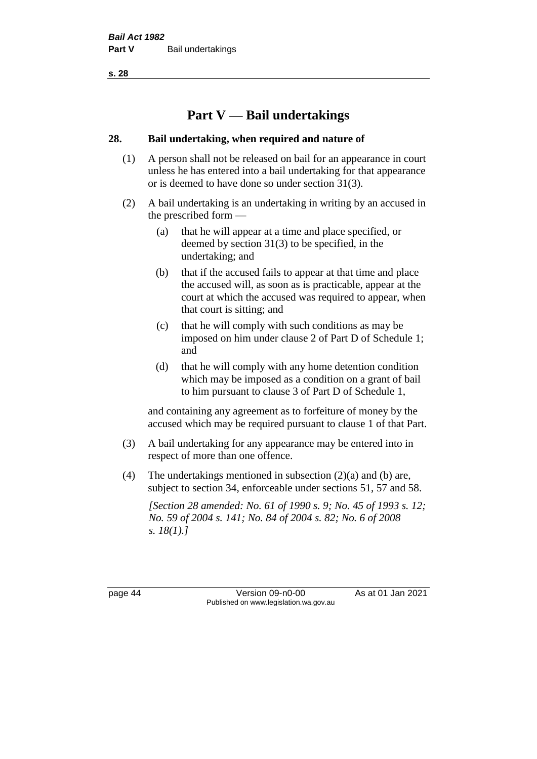# **Part V — Bail undertakings**

### **28. Bail undertaking, when required and nature of**

- (1) A person shall not be released on bail for an appearance in court unless he has entered into a bail undertaking for that appearance or is deemed to have done so under section 31(3).
- (2) A bail undertaking is an undertaking in writing by an accused in the prescribed form —
	- (a) that he will appear at a time and place specified, or deemed by section 31(3) to be specified, in the undertaking; and
	- (b) that if the accused fails to appear at that time and place the accused will, as soon as is practicable, appear at the court at which the accused was required to appear, when that court is sitting; and
	- (c) that he will comply with such conditions as may be imposed on him under clause 2 of Part D of Schedule 1; and
	- (d) that he will comply with any home detention condition which may be imposed as a condition on a grant of bail to him pursuant to clause 3 of Part D of Schedule 1,

and containing any agreement as to forfeiture of money by the accused which may be required pursuant to clause 1 of that Part.

- (3) A bail undertaking for any appearance may be entered into in respect of more than one offence.
- (4) The undertakings mentioned in subsection (2)(a) and (b) are, subject to section 34, enforceable under sections 51, 57 and 58.

*[Section 28 amended: No. 61 of 1990 s. 9; No. 45 of 1993 s. 12; No. 59 of 2004 s. 141; No. 84 of 2004 s. 82; No. 6 of 2008 s. 18(1).]* 

page 44 Version 09-n0-00 As at 01 Jan 2021 Published on www.legislation.wa.gov.au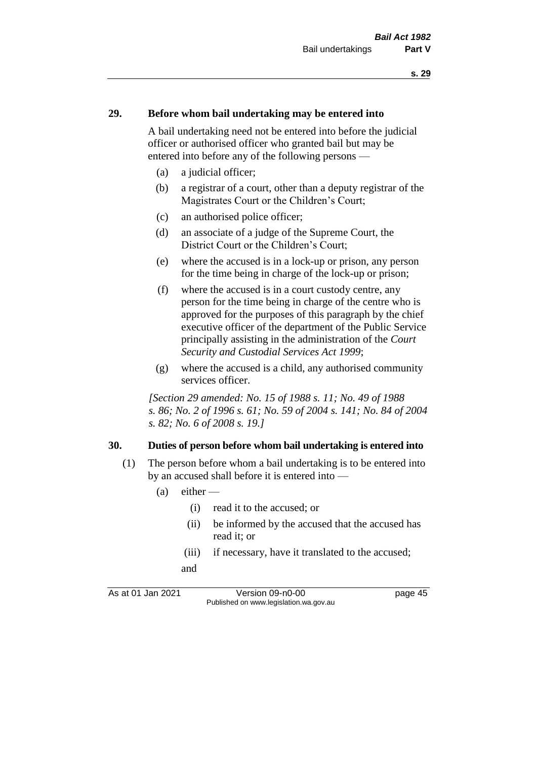#### **29. Before whom bail undertaking may be entered into**

A bail undertaking need not be entered into before the judicial officer or authorised officer who granted bail but may be entered into before any of the following persons —

- (a) a judicial officer;
- (b) a registrar of a court, other than a deputy registrar of the Magistrates Court or the Children's Court;
- (c) an authorised police officer;
- (d) an associate of a judge of the Supreme Court, the District Court or the Children's Court;
- (e) where the accused is in a lock-up or prison, any person for the time being in charge of the lock-up or prison;
- (f) where the accused is in a court custody centre, any person for the time being in charge of the centre who is approved for the purposes of this paragraph by the chief executive officer of the department of the Public Service principally assisting in the administration of the *Court Security and Custodial Services Act 1999*;
- (g) where the accused is a child, any authorised community services officer.

*[Section 29 amended: No. 15 of 1988 s. 11; No. 49 of 1988 s. 86; No. 2 of 1996 s. 61; No. 59 of 2004 s. 141; No. 84 of 2004 s. 82; No. 6 of 2008 s. 19.]* 

#### **30. Duties of person before whom bail undertaking is entered into**

- (1) The person before whom a bail undertaking is to be entered into by an accused shall before it is entered into —
	- $(a)$  either
		- (i) read it to the accused; or
		- (ii) be informed by the accused that the accused has read it; or
		- (iii) if necessary, have it translated to the accused; and

As at 01 Jan 2021 Version 09-n0-00 Page 45 Published on www.legislation.wa.gov.au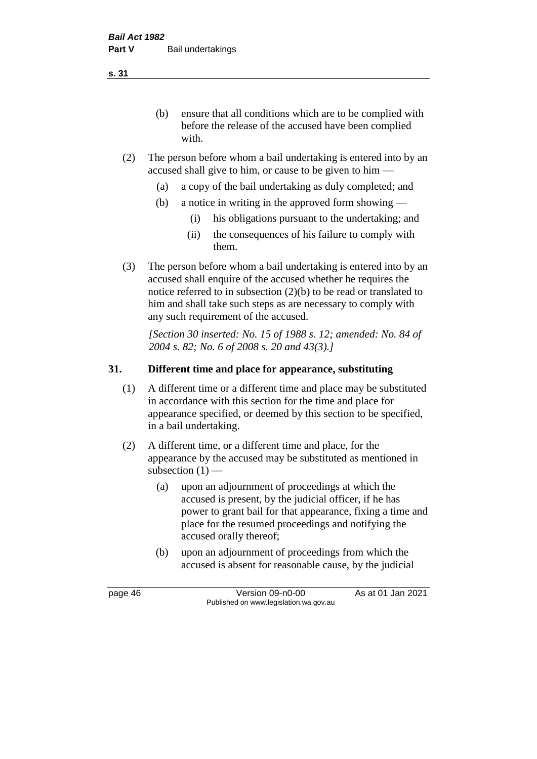(b) ensure that all conditions which are to be complied with before the release of the accused have been complied with.

- (2) The person before whom a bail undertaking is entered into by an accused shall give to him, or cause to be given to him —
	- (a) a copy of the bail undertaking as duly completed; and
	- (b) a notice in writing in the approved form showing
		- (i) his obligations pursuant to the undertaking; and
		- (ii) the consequences of his failure to comply with them.
- (3) The person before whom a bail undertaking is entered into by an accused shall enquire of the accused whether he requires the notice referred to in subsection (2)(b) to be read or translated to him and shall take such steps as are necessary to comply with any such requirement of the accused.

*[Section 30 inserted: No. 15 of 1988 s. 12; amended: No. 84 of 2004 s. 82; No. 6 of 2008 s. 20 and 43(3).]* 

### **31. Different time and place for appearance, substituting**

- (1) A different time or a different time and place may be substituted in accordance with this section for the time and place for appearance specified, or deemed by this section to be specified, in a bail undertaking.
- (2) A different time, or a different time and place, for the appearance by the accused may be substituted as mentioned in subsection  $(1)$  —
	- (a) upon an adjournment of proceedings at which the accused is present, by the judicial officer, if he has power to grant bail for that appearance, fixing a time and place for the resumed proceedings and notifying the accused orally thereof;
	- (b) upon an adjournment of proceedings from which the accused is absent for reasonable cause, by the judicial

page 46 Version 09-n0-00 As at 01 Jan 2021 Published on www.legislation.wa.gov.au

**s. 31**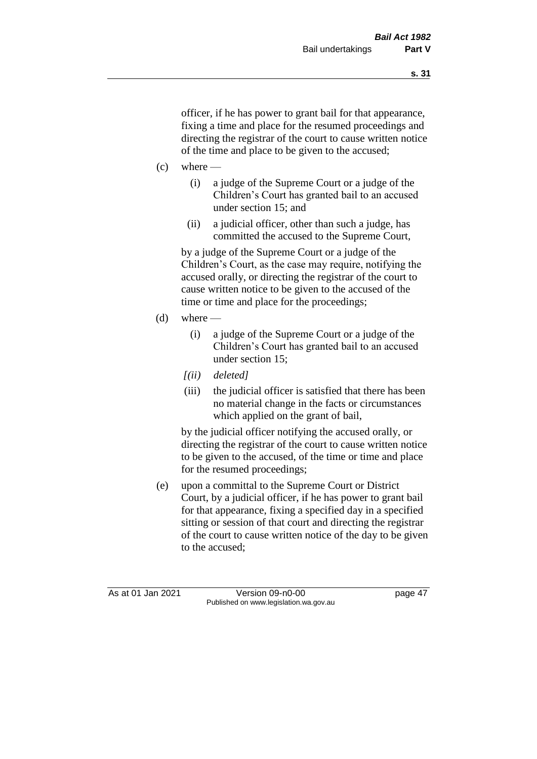officer, if he has power to grant bail for that appearance, fixing a time and place for the resumed proceedings and directing the registrar of the court to cause written notice of the time and place to be given to the accused;

- $(c)$  where
	- (i) a judge of the Supreme Court or a judge of the Children's Court has granted bail to an accused under section 15; and
	- (ii) a judicial officer, other than such a judge, has committed the accused to the Supreme Court,

by a judge of the Supreme Court or a judge of the Children's Court, as the case may require, notifying the accused orally, or directing the registrar of the court to cause written notice to be given to the accused of the time or time and place for the proceedings;

- (d) where  $-$ 
	- (i) a judge of the Supreme Court or a judge of the Children's Court has granted bail to an accused under section 15;
	- *[(ii) deleted]*
	- (iii) the judicial officer is satisfied that there has been no material change in the facts or circumstances which applied on the grant of bail,

by the judicial officer notifying the accused orally, or directing the registrar of the court to cause written notice to be given to the accused, of the time or time and place for the resumed proceedings;

(e) upon a committal to the Supreme Court or District Court, by a judicial officer, if he has power to grant bail for that appearance, fixing a specified day in a specified sitting or session of that court and directing the registrar of the court to cause written notice of the day to be given to the accused;

As at 01 Jan 2021 Version 09-n0-00 page 47 Published on www.legislation.wa.gov.au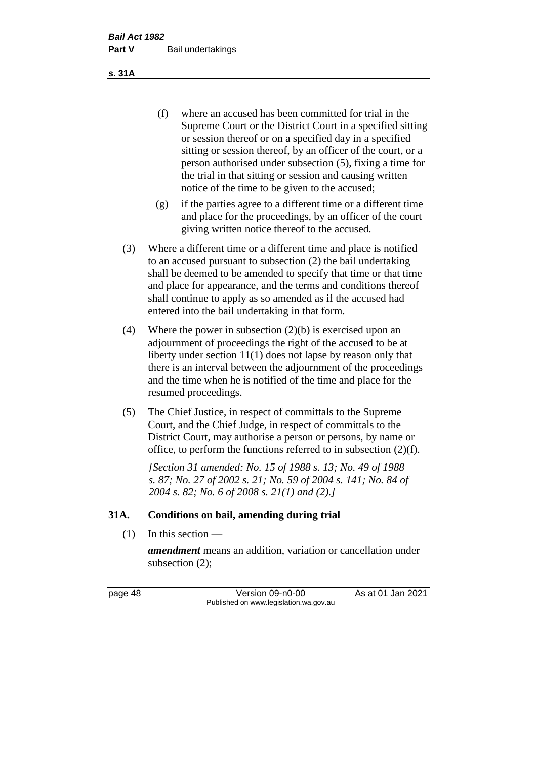(f) where an accused has been committed for trial in the Supreme Court or the District Court in a specified sitting or session thereof or on a specified day in a specified sitting or session thereof, by an officer of the court, or a person authorised under subsection (5), fixing a time for the trial in that sitting or session and causing written notice of the time to be given to the accused;

- (g) if the parties agree to a different time or a different time and place for the proceedings, by an officer of the court giving written notice thereof to the accused.
- (3) Where a different time or a different time and place is notified to an accused pursuant to subsection (2) the bail undertaking shall be deemed to be amended to specify that time or that time and place for appearance, and the terms and conditions thereof shall continue to apply as so amended as if the accused had entered into the bail undertaking in that form.
- (4) Where the power in subsection (2)(b) is exercised upon an adjournment of proceedings the right of the accused to be at liberty under section 11(1) does not lapse by reason only that there is an interval between the adjournment of the proceedings and the time when he is notified of the time and place for the resumed proceedings.
- (5) The Chief Justice, in respect of committals to the Supreme Court, and the Chief Judge, in respect of committals to the District Court, may authorise a person or persons, by name or office, to perform the functions referred to in subsection (2)(f).

*[Section 31 amended: No. 15 of 1988 s. 13; No. 49 of 1988 s. 87; No. 27 of 2002 s. 21; No. 59 of 2004 s. 141; No. 84 of 2004 s. 82; No. 6 of 2008 s. 21(1) and (2).]* 

#### **31A. Conditions on bail, amending during trial**

 $(1)$  In this section —

*amendment* means an addition, variation or cancellation under subsection (2);

page 48 Version 09-n0-00 As at 01 Jan 2021 Published on www.legislation.wa.gov.au

**s. 31A**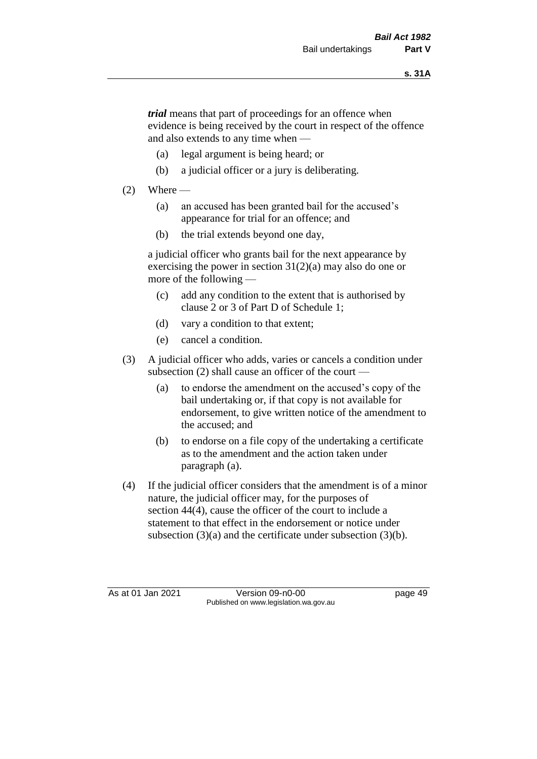*trial* means that part of proceedings for an offence when evidence is being received by the court in respect of the offence and also extends to any time when —

- (a) legal argument is being heard; or
- (b) a judicial officer or a jury is deliberating.

### $(2)$  Where —

- (a) an accused has been granted bail for the accused's appearance for trial for an offence; and
- (b) the trial extends beyond one day,

a judicial officer who grants bail for the next appearance by exercising the power in section  $31(2)(a)$  may also do one or more of the following —

- (c) add any condition to the extent that is authorised by clause 2 or 3 of Part D of Schedule 1;
- (d) vary a condition to that extent;
- (e) cancel a condition.
- (3) A judicial officer who adds, varies or cancels a condition under subsection (2) shall cause an officer of the court —
	- (a) to endorse the amendment on the accused's copy of the bail undertaking or, if that copy is not available for endorsement, to give written notice of the amendment to the accused; and
	- (b) to endorse on a file copy of the undertaking a certificate as to the amendment and the action taken under paragraph (a).
- (4) If the judicial officer considers that the amendment is of a minor nature, the judicial officer may, for the purposes of section 44(4), cause the officer of the court to include a statement to that effect in the endorsement or notice under subsection (3)(a) and the certificate under subsection (3)(b).

As at 01 Jan 2021 Version 09-n0-00 Page 49 Published on www.legislation.wa.gov.au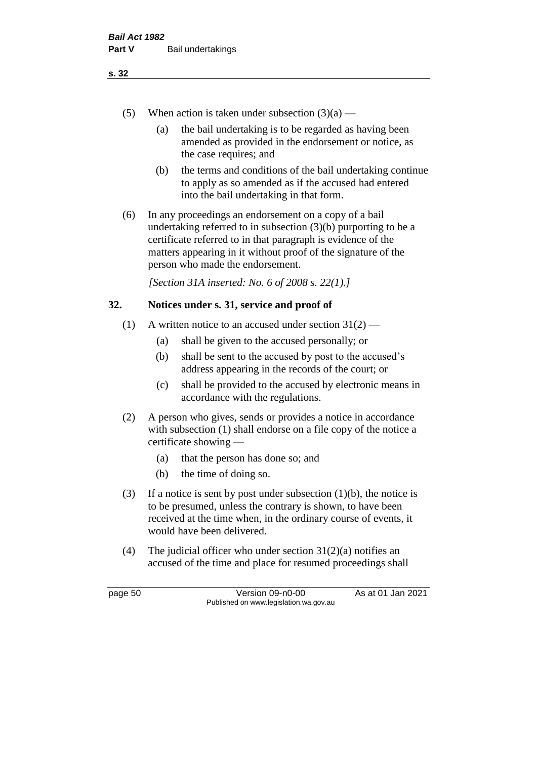- (5) When action is taken under subsection  $(3)(a)$ 
	- (a) the bail undertaking is to be regarded as having been amended as provided in the endorsement or notice, as the case requires; and
	- (b) the terms and conditions of the bail undertaking continue to apply as so amended as if the accused had entered into the bail undertaking in that form.
- (6) In any proceedings an endorsement on a copy of a bail undertaking referred to in subsection (3)(b) purporting to be a certificate referred to in that paragraph is evidence of the matters appearing in it without proof of the signature of the person who made the endorsement.

*[Section 31A inserted: No. 6 of 2008 s. 22(1).]*

#### **32. Notices under s. 31, service and proof of**

- (1) A written notice to an accused under section  $31(2)$ 
	- (a) shall be given to the accused personally; or
	- (b) shall be sent to the accused by post to the accused's address appearing in the records of the court; or
	- (c) shall be provided to the accused by electronic means in accordance with the regulations.
- (2) A person who gives, sends or provides a notice in accordance with subsection (1) shall endorse on a file copy of the notice a certificate showing —
	- (a) that the person has done so; and
	- (b) the time of doing so.
- (3) If a notice is sent by post under subsection  $(1)(b)$ , the notice is to be presumed, unless the contrary is shown, to have been received at the time when, in the ordinary course of events, it would have been delivered.
- (4) The judicial officer who under section  $31(2)(a)$  notifies an accused of the time and place for resumed proceedings shall

page 50 Version 09-n0-00 As at 01 Jan 2021 Published on www.legislation.wa.gov.au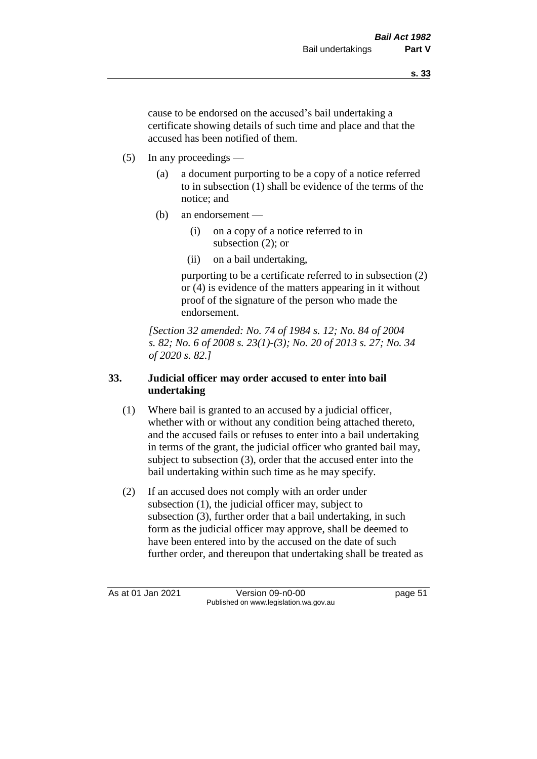cause to be endorsed on the accused's bail undertaking a certificate showing details of such time and place and that the accused has been notified of them.

- (5) In any proceedings
	- (a) a document purporting to be a copy of a notice referred to in subsection (1) shall be evidence of the terms of the notice; and
	- (b) an endorsement
		- (i) on a copy of a notice referred to in subsection (2); or
		- (ii) on a bail undertaking,

purporting to be a certificate referred to in subsection (2) or (4) is evidence of the matters appearing in it without proof of the signature of the person who made the endorsement.

*[Section 32 amended: No. 74 of 1984 s. 12; No. 84 of 2004 s. 82; No. 6 of 2008 s. 23(1)-(3); No. 20 of 2013 s. 27; No. 34 of 2020 s. 82.]* 

## **33. Judicial officer may order accused to enter into bail undertaking**

- (1) Where bail is granted to an accused by a judicial officer, whether with or without any condition being attached thereto, and the accused fails or refuses to enter into a bail undertaking in terms of the grant, the judicial officer who granted bail may, subject to subsection (3), order that the accused enter into the bail undertaking within such time as he may specify.
- (2) If an accused does not comply with an order under subsection (1), the judicial officer may, subject to subsection (3), further order that a bail undertaking, in such form as the judicial officer may approve, shall be deemed to have been entered into by the accused on the date of such further order, and thereupon that undertaking shall be treated as

As at 01 Jan 2021 Version 09-n0-00 page 51 Published on www.legislation.wa.gov.au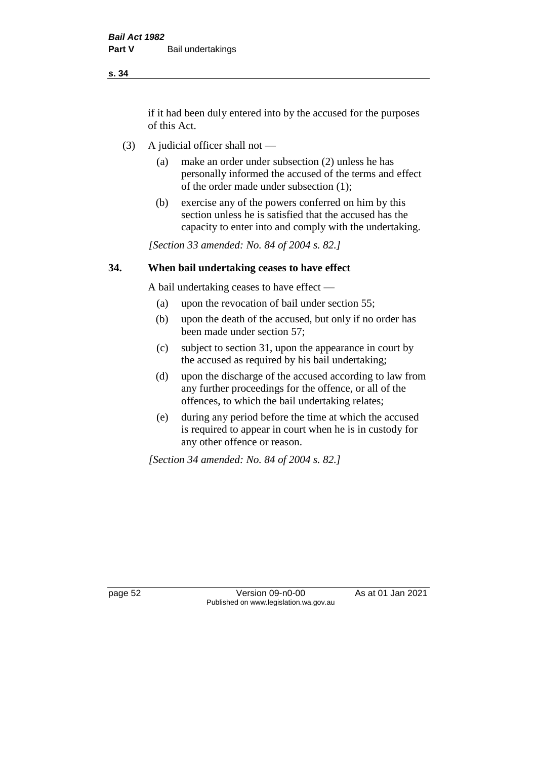if it had been duly entered into by the accused for the purposes of this Act.

- (3) A judicial officer shall not
	- (a) make an order under subsection (2) unless he has personally informed the accused of the terms and effect of the order made under subsection (1);
	- (b) exercise any of the powers conferred on him by this section unless he is satisfied that the accused has the capacity to enter into and comply with the undertaking.

*[Section 33 amended: No. 84 of 2004 s. 82.]* 

#### **34. When bail undertaking ceases to have effect**

A bail undertaking ceases to have effect —

- (a) upon the revocation of bail under section 55;
- (b) upon the death of the accused, but only if no order has been made under section 57;
- (c) subject to section 31, upon the appearance in court by the accused as required by his bail undertaking;
- (d) upon the discharge of the accused according to law from any further proceedings for the offence, or all of the offences, to which the bail undertaking relates;
- (e) during any period before the time at which the accused is required to appear in court when he is in custody for any other offence or reason.

*[Section 34 amended: No. 84 of 2004 s. 82.]* 

page 52 Version 09-n0-00 As at 01 Jan 2021 Published on www.legislation.wa.gov.au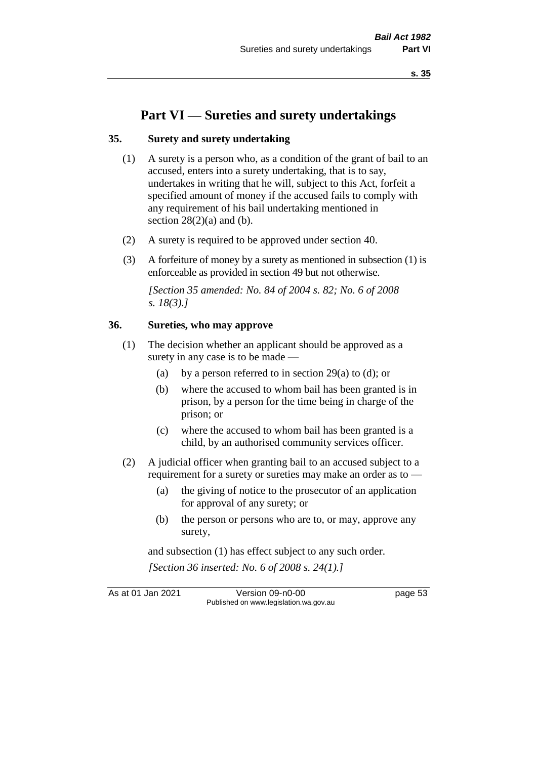# **Part VI — Sureties and surety undertakings**

#### **35. Surety and surety undertaking**

- (1) A surety is a person who, as a condition of the grant of bail to an accused, enters into a surety undertaking, that is to say, undertakes in writing that he will, subject to this Act, forfeit a specified amount of money if the accused fails to comply with any requirement of his bail undertaking mentioned in section  $28(2)(a)$  and (b).
- (2) A surety is required to be approved under section 40.
- (3) A forfeiture of money by a surety as mentioned in subsection (1) is enforceable as provided in section 49 but not otherwise.

*[Section 35 amended: No. 84 of 2004 s. 82; No. 6 of 2008 s. 18(3).]* 

#### **36. Sureties, who may approve**

- (1) The decision whether an applicant should be approved as a surety in any case is to be made —
	- (a) by a person referred to in section 29(a) to (d); or
	- (b) where the accused to whom bail has been granted is in prison, by a person for the time being in charge of the prison; or
	- (c) where the accused to whom bail has been granted is a child, by an authorised community services officer.
- (2) A judicial officer when granting bail to an accused subject to a requirement for a surety or sureties may make an order as to -
	- (a) the giving of notice to the prosecutor of an application for approval of any surety; or
	- (b) the person or persons who are to, or may, approve any surety,

and subsection (1) has effect subject to any such order. *[Section 36 inserted: No. 6 of 2008 s. 24(1).]*

As at 01 Jan 2021 Version 09-n0-00 page 53 Published on www.legislation.wa.gov.au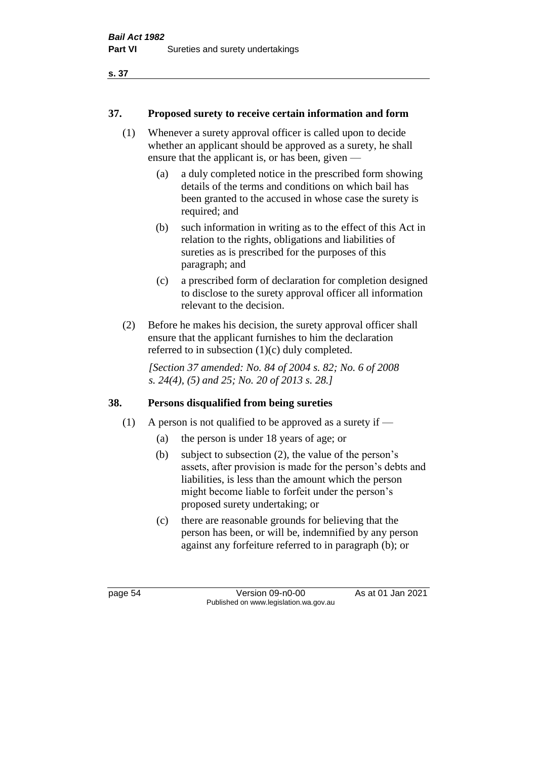### **37. Proposed surety to receive certain information and form**

- (1) Whenever a surety approval officer is called upon to decide whether an applicant should be approved as a surety, he shall ensure that the applicant is, or has been, given —
	- (a) a duly completed notice in the prescribed form showing details of the terms and conditions on which bail has been granted to the accused in whose case the surety is required; and
	- (b) such information in writing as to the effect of this Act in relation to the rights, obligations and liabilities of sureties as is prescribed for the purposes of this paragraph; and
	- (c) a prescribed form of declaration for completion designed to disclose to the surety approval officer all information relevant to the decision.
- (2) Before he makes his decision, the surety approval officer shall ensure that the applicant furnishes to him the declaration referred to in subsection (1)(c) duly completed.

*[Section 37 amended: No. 84 of 2004 s. 82; No. 6 of 2008 s. 24(4), (5) and 25; No. 20 of 2013 s. 28.]* 

# **38. Persons disqualified from being sureties**

- (1) A person is not qualified to be approved as a surety if  $-$ 
	- (a) the person is under 18 years of age; or
	- (b) subject to subsection (2), the value of the person's assets, after provision is made for the person's debts and liabilities, is less than the amount which the person might become liable to forfeit under the person's proposed surety undertaking; or
	- (c) there are reasonable grounds for believing that the person has been, or will be, indemnified by any person against any forfeiture referred to in paragraph (b); or

page 54 Version 09-n0-00 As at 01 Jan 2021 Published on www.legislation.wa.gov.au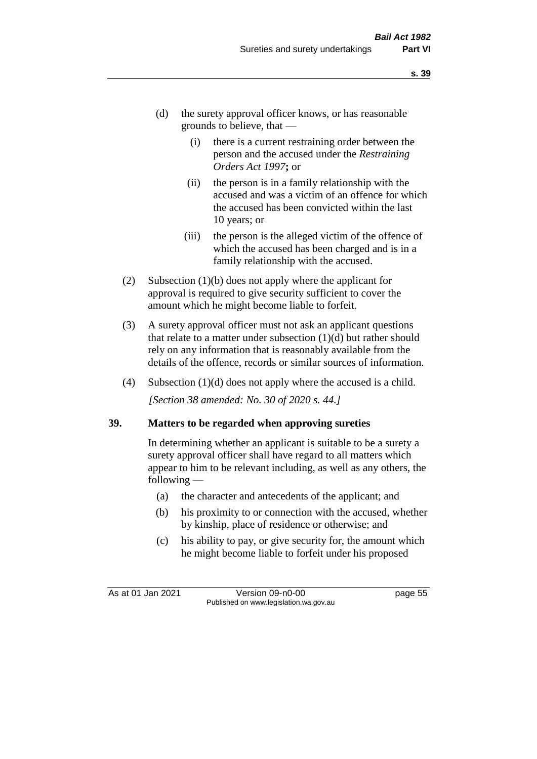- (d) the surety approval officer knows, or has reasonable grounds to believe, that —
	- (i) there is a current restraining order between the person and the accused under the *Restraining Orders Act 1997***;** or
	- (ii) the person is in a family relationship with the accused and was a victim of an offence for which the accused has been convicted within the last 10 years; or
	- (iii) the person is the alleged victim of the offence of which the accused has been charged and is in a family relationship with the accused.
- (2) Subsection (1)(b) does not apply where the applicant for approval is required to give security sufficient to cover the amount which he might become liable to forfeit.
- (3) A surety approval officer must not ask an applicant questions that relate to a matter under subsection  $(1)(d)$  but rather should rely on any information that is reasonably available from the details of the offence, records or similar sources of information.
- (4) Subsection (1)(d) does not apply where the accused is a child. *[Section 38 amended: No. 30 of 2020 s. 44.]*

#### **39. Matters to be regarded when approving sureties**

In determining whether an applicant is suitable to be a surety a surety approval officer shall have regard to all matters which appear to him to be relevant including, as well as any others, the following —

- (a) the character and antecedents of the applicant; and
- (b) his proximity to or connection with the accused, whether by kinship, place of residence or otherwise; and
- (c) his ability to pay, or give security for, the amount which he might become liable to forfeit under his proposed

As at 01 Jan 2021 Version 09-n0-00 page 55 Published on www.legislation.wa.gov.au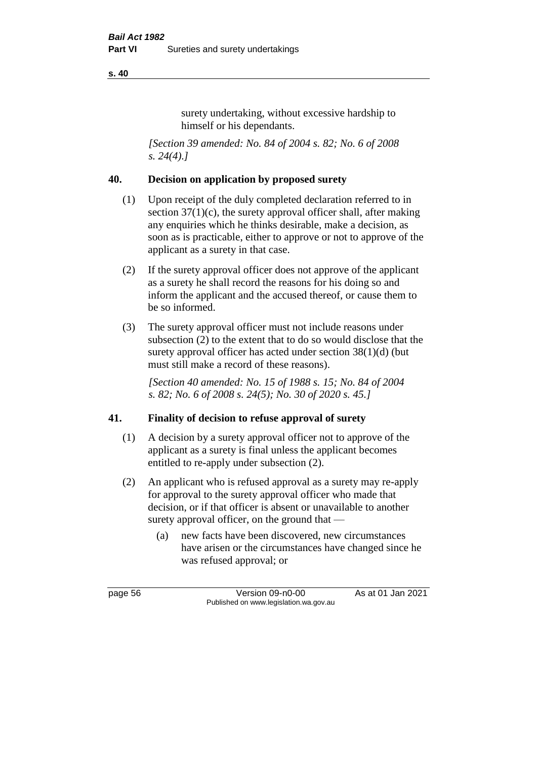surety undertaking, without excessive hardship to himself or his dependants.

*[Section 39 amended: No. 84 of 2004 s. 82; No. 6 of 2008 s. 24(4).]* 

#### **40. Decision on application by proposed surety**

- (1) Upon receipt of the duly completed declaration referred to in section  $37(1)(c)$ , the surety approval officer shall, after making any enquiries which he thinks desirable, make a decision, as soon as is practicable, either to approve or not to approve of the applicant as a surety in that case.
- (2) If the surety approval officer does not approve of the applicant as a surety he shall record the reasons for his doing so and inform the applicant and the accused thereof, or cause them to be so informed.
- (3) The surety approval officer must not include reasons under subsection (2) to the extent that to do so would disclose that the surety approval officer has acted under section 38(1)(d) (but must still make a record of these reasons).

*[Section 40 amended: No. 15 of 1988 s. 15; No. 84 of 2004 s. 82; No. 6 of 2008 s. 24(5); No. 30 of 2020 s. 45.]* 

# **41. Finality of decision to refuse approval of surety**

- (1) A decision by a surety approval officer not to approve of the applicant as a surety is final unless the applicant becomes entitled to re-apply under subsection (2).
- (2) An applicant who is refused approval as a surety may re-apply for approval to the surety approval officer who made that decision, or if that officer is absent or unavailable to another surety approval officer, on the ground that —
	- (a) new facts have been discovered, new circumstances have arisen or the circumstances have changed since he was refused approval; or

page 56 Version 09-n0-00 As at 01 Jan 2021 Published on www.legislation.wa.gov.au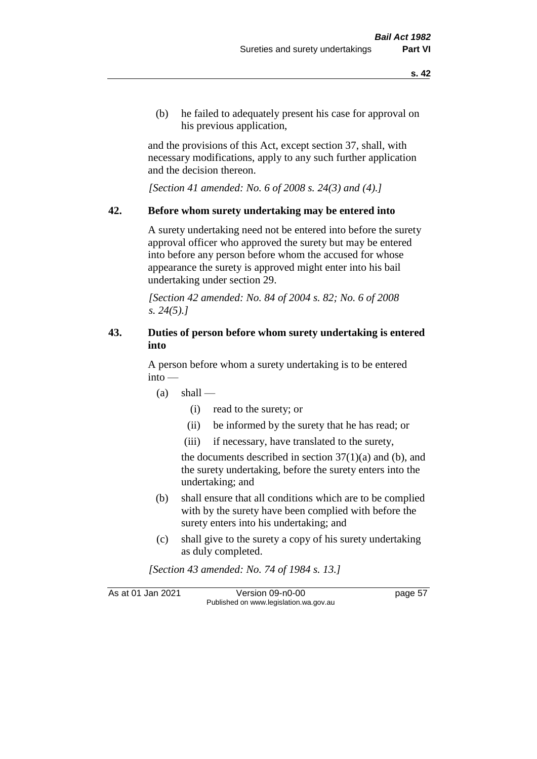(b) he failed to adequately present his case for approval on his previous application,

and the provisions of this Act, except section 37, shall, with necessary modifications, apply to any such further application and the decision thereon.

*[Section 41 amended: No. 6 of 2008 s. 24(3) and (4).]*

#### **42. Before whom surety undertaking may be entered into**

A surety undertaking need not be entered into before the surety approval officer who approved the surety but may be entered into before any person before whom the accused for whose appearance the surety is approved might enter into his bail undertaking under section 29.

*[Section 42 amended: No. 84 of 2004 s. 82; No. 6 of 2008 s. 24(5).]* 

#### **43. Duties of person before whom surety undertaking is entered into**

A person before whom a surety undertaking is to be entered into —

- $(a)$  shall
	- (i) read to the surety; or
	- (ii) be informed by the surety that he has read; or
	- (iii) if necessary, have translated to the surety,

the documents described in section  $37(1)(a)$  and (b), and the surety undertaking, before the surety enters into the undertaking; and

- (b) shall ensure that all conditions which are to be complied with by the surety have been complied with before the surety enters into his undertaking; and
- (c) shall give to the surety a copy of his surety undertaking as duly completed.

*[Section 43 amended: No. 74 of 1984 s. 13.]* 

As at 01 Jan 2021 Version 09-n0-00 page 57 Published on www.legislation.wa.gov.au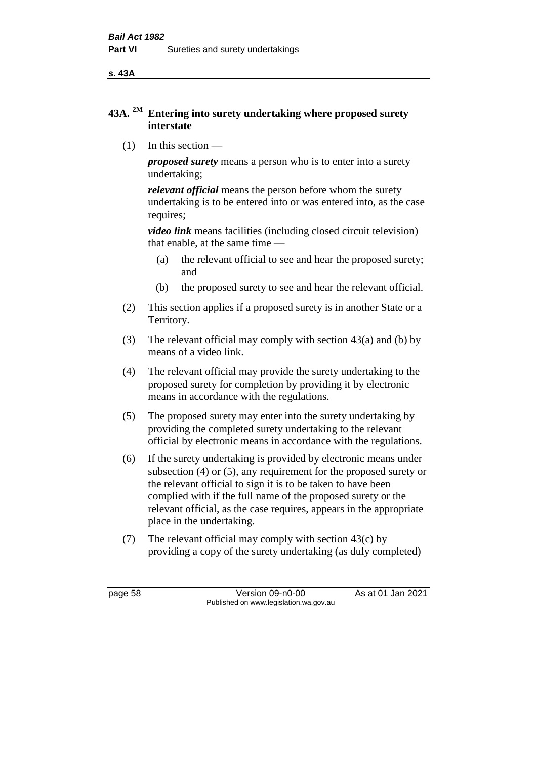**s. 43A**

# **43A. 2M Entering into surety undertaking where proposed surety interstate**

(1) In this section —

*proposed surety* means a person who is to enter into a surety undertaking;

*relevant official* means the person before whom the surety undertaking is to be entered into or was entered into, as the case requires;

*video link* means facilities (including closed circuit television) that enable, at the same time —

- (a) the relevant official to see and hear the proposed surety; and
- (b) the proposed surety to see and hear the relevant official.
- (2) This section applies if a proposed surety is in another State or a Territory.
- (3) The relevant official may comply with section 43(a) and (b) by means of a video link.
- (4) The relevant official may provide the surety undertaking to the proposed surety for completion by providing it by electronic means in accordance with the regulations.
- (5) The proposed surety may enter into the surety undertaking by providing the completed surety undertaking to the relevant official by electronic means in accordance with the regulations.
- (6) If the surety undertaking is provided by electronic means under subsection (4) or (5), any requirement for the proposed surety or the relevant official to sign it is to be taken to have been complied with if the full name of the proposed surety or the relevant official, as the case requires, appears in the appropriate place in the undertaking.
- (7) The relevant official may comply with section 43(c) by providing a copy of the surety undertaking (as duly completed)

page 58 Version 09-n0-00 As at 01 Jan 2021 Published on www.legislation.wa.gov.au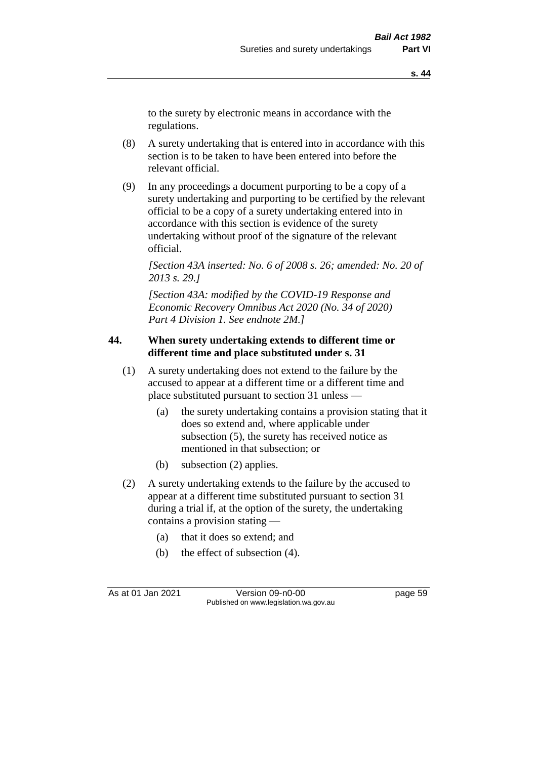to the surety by electronic means in accordance with the regulations.

- (8) A surety undertaking that is entered into in accordance with this section is to be taken to have been entered into before the relevant official.
- (9) In any proceedings a document purporting to be a copy of a surety undertaking and purporting to be certified by the relevant official to be a copy of a surety undertaking entered into in accordance with this section is evidence of the surety undertaking without proof of the signature of the relevant official.

*[Section 43A inserted: No. 6 of 2008 s. 26; amended: No. 20 of 2013 s. 29.]*

*[Section 43A: modified by the COVID-19 Response and Economic Recovery Omnibus Act 2020 (No. 34 of 2020) Part 4 Division 1. See endnote 2M.]*

#### **44. When surety undertaking extends to different time or different time and place substituted under s. 31**

- (1) A surety undertaking does not extend to the failure by the accused to appear at a different time or a different time and place substituted pursuant to section 31 unless —
	- (a) the surety undertaking contains a provision stating that it does so extend and, where applicable under subsection (5), the surety has received notice as mentioned in that subsection; or
	- (b) subsection (2) applies.
- (2) A surety undertaking extends to the failure by the accused to appear at a different time substituted pursuant to section 31 during a trial if, at the option of the surety, the undertaking contains a provision stating —
	- (a) that it does so extend; and
	- (b) the effect of subsection (4).

As at 01 Jan 2021 Version 09-n0-00 Page 59 Published on www.legislation.wa.gov.au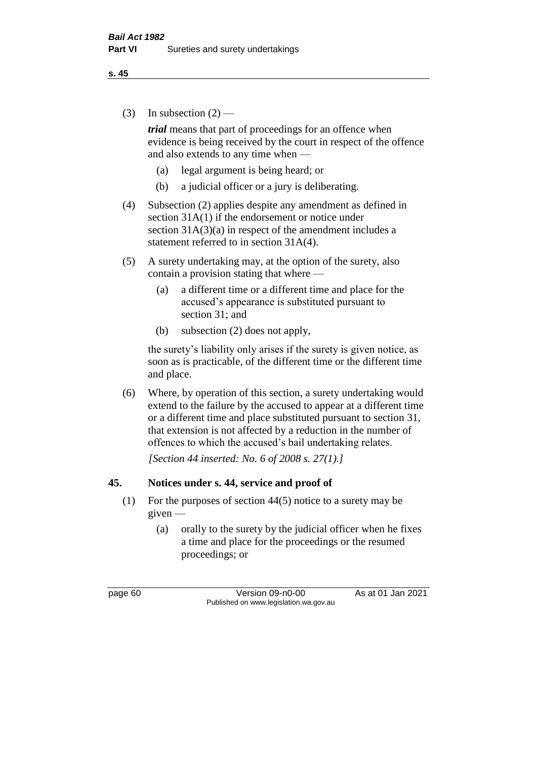(3) In subsection  $(2)$  —

*trial* means that part of proceedings for an offence when evidence is being received by the court in respect of the offence and also extends to any time when —

- (a) legal argument is being heard; or
- (b) a judicial officer or a jury is deliberating.
- (4) Subsection (2) applies despite any amendment as defined in section 31A(1) if the endorsement or notice under section  $31A(3)(a)$  in respect of the amendment includes a statement referred to in section 31A(4).
- (5) A surety undertaking may, at the option of the surety, also contain a provision stating that where —
	- (a) a different time or a different time and place for the accused's appearance is substituted pursuant to section 31; and
	- (b) subsection (2) does not apply,

the surety's liability only arises if the surety is given notice, as soon as is practicable, of the different time or the different time and place.

(6) Where, by operation of this section, a surety undertaking would extend to the failure by the accused to appear at a different time or a different time and place substituted pursuant to section 31, that extension is not affected by a reduction in the number of offences to which the accused's bail undertaking relates.

*[Section 44 inserted: No. 6 of 2008 s. 27(1).]*

#### **45. Notices under s. 44, service and proof of**

- (1) For the purposes of section 44(5) notice to a surety may be given —
	- (a) orally to the surety by the judicial officer when he fixes a time and place for the proceedings or the resumed proceedings; or

page 60 Version 09-n0-00 As at 01 Jan 2021 Published on www.legislation.wa.gov.au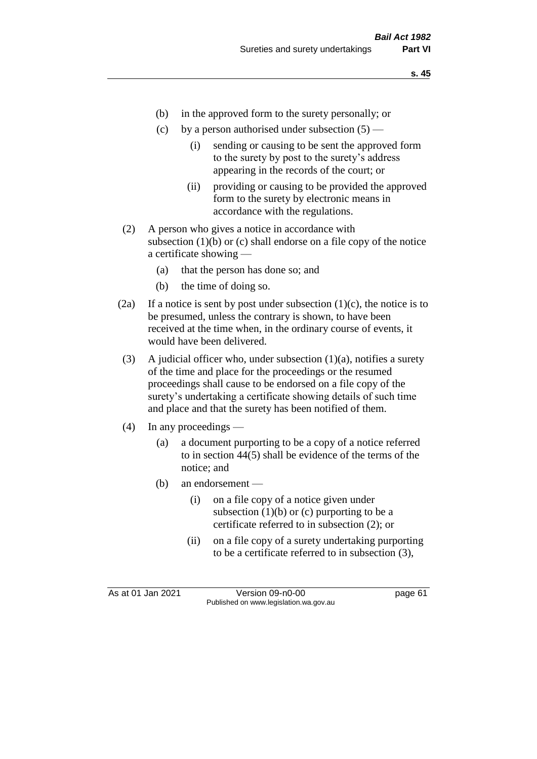- (b) in the approved form to the surety personally; or
- (c) by a person authorised under subsection  $(5)$ 
	- (i) sending or causing to be sent the approved form to the surety by post to the surety's address appearing in the records of the court; or
	- (ii) providing or causing to be provided the approved form to the surety by electronic means in accordance with the regulations.
- (2) A person who gives a notice in accordance with subsection  $(1)(b)$  or  $(c)$  shall endorse on a file copy of the notice a certificate showing —
	- (a) that the person has done so; and
	- (b) the time of doing so.
- (2a) If a notice is sent by post under subsection  $(1)(c)$ , the notice is to be presumed, unless the contrary is shown, to have been received at the time when, in the ordinary course of events, it would have been delivered.
- (3) A judicial officer who, under subsection  $(1)(a)$ , notifies a surety of the time and place for the proceedings or the resumed proceedings shall cause to be endorsed on a file copy of the surety's undertaking a certificate showing details of such time and place and that the surety has been notified of them.
- (4) In any proceedings
	- (a) a document purporting to be a copy of a notice referred to in section 44(5) shall be evidence of the terms of the notice; and
	- (b) an endorsement
		- (i) on a file copy of a notice given under subsection  $(1)(b)$  or  $(c)$  purporting to be a certificate referred to in subsection (2); or
		- (ii) on a file copy of a surety undertaking purporting to be a certificate referred to in subsection (3),

As at 01 Jan 2021 Version 09-n0-00 Page 61 Published on www.legislation.wa.gov.au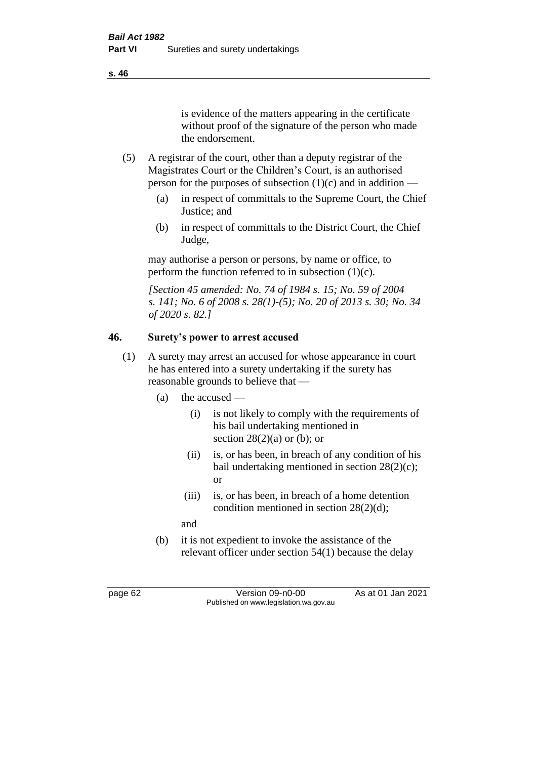is evidence of the matters appearing in the certificate without proof of the signature of the person who made the endorsement.

- (5) A registrar of the court, other than a deputy registrar of the Magistrates Court or the Children's Court, is an authorised person for the purposes of subsection  $(1)(c)$  and in addition —
	- (a) in respect of committals to the Supreme Court, the Chief Justice; and
	- (b) in respect of committals to the District Court, the Chief Judge,

may authorise a person or persons, by name or office, to perform the function referred to in subsection  $(1)(c)$ .

*[Section 45 amended: No. 74 of 1984 s. 15; No. 59 of 2004 s. 141; No. 6 of 2008 s. 28(1)-(5); No. 20 of 2013 s. 30; No. 34 of 2020 s. 82.]* 

# **46. Surety's power to arrest accused**

- (1) A surety may arrest an accused for whose appearance in court he has entered into a surety undertaking if the surety has reasonable grounds to believe that —
	- (a) the accused
		- (i) is not likely to comply with the requirements of his bail undertaking mentioned in section  $28(2)(a)$  or (b); or
		- (ii) is, or has been, in breach of any condition of his bail undertaking mentioned in section 28(2)(c); or
		- (iii) is, or has been, in breach of a home detention condition mentioned in section 28(2)(d);
		- and
	- (b) it is not expedient to invoke the assistance of the relevant officer under section 54(1) because the delay

page 62 Version 09-n0-00 As at 01 Jan 2021 Published on www.legislation.wa.gov.au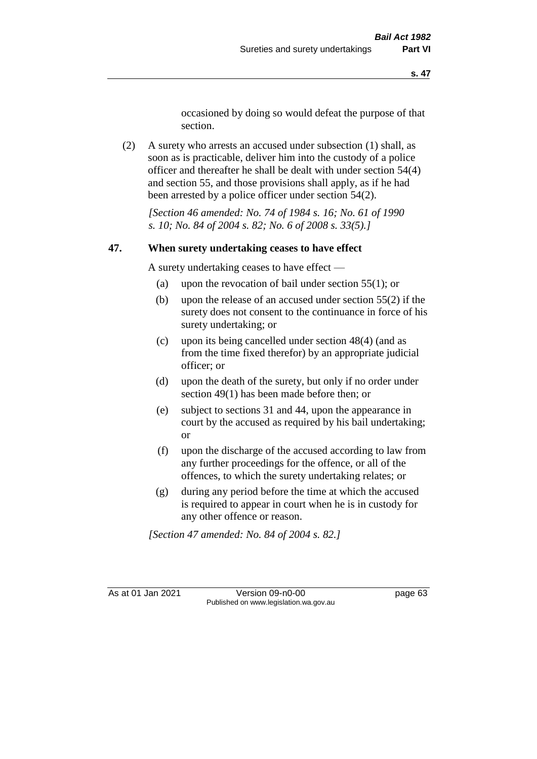occasioned by doing so would defeat the purpose of that section.

(2) A surety who arrests an accused under subsection (1) shall, as soon as is practicable, deliver him into the custody of a police officer and thereafter he shall be dealt with under section 54(4) and section 55, and those provisions shall apply, as if he had been arrested by a police officer under section 54(2).

*[Section 46 amended: No. 74 of 1984 s. 16; No. 61 of 1990 s. 10; No. 84 of 2004 s. 82; No. 6 of 2008 s. 33(5).]* 

#### **47. When surety undertaking ceases to have effect**

A surety undertaking ceases to have effect —

- (a) upon the revocation of bail under section 55(1); or
- (b) upon the release of an accused under section 55(2) if the surety does not consent to the continuance in force of his surety undertaking; or
- (c) upon its being cancelled under section 48(4) (and as from the time fixed therefor) by an appropriate judicial officer; or
- (d) upon the death of the surety, but only if no order under section 49(1) has been made before then; or
- (e) subject to sections 31 and 44, upon the appearance in court by the accused as required by his bail undertaking; or
- (f) upon the discharge of the accused according to law from any further proceedings for the offence, or all of the offences, to which the surety undertaking relates; or
- (g) during any period before the time at which the accused is required to appear in court when he is in custody for any other offence or reason.

*[Section 47 amended: No. 84 of 2004 s. 82.]* 

As at 01 Jan 2021 Version 09-n0-00 Page 63 Published on www.legislation.wa.gov.au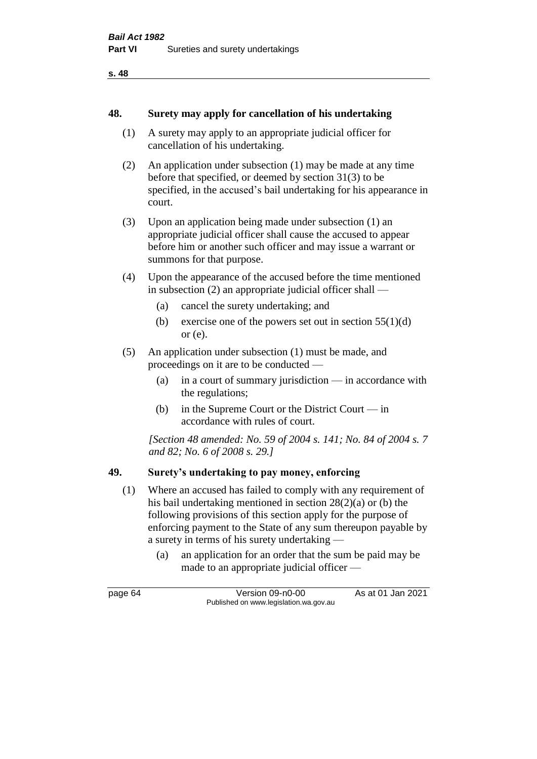**s. 48**

#### **48. Surety may apply for cancellation of his undertaking**

- (1) A surety may apply to an appropriate judicial officer for cancellation of his undertaking.
- (2) An application under subsection (1) may be made at any time before that specified, or deemed by section 31(3) to be specified, in the accused's bail undertaking for his appearance in court.
- (3) Upon an application being made under subsection (1) an appropriate judicial officer shall cause the accused to appear before him or another such officer and may issue a warrant or summons for that purpose.
- (4) Upon the appearance of the accused before the time mentioned in subsection (2) an appropriate judicial officer shall —
	- (a) cancel the surety undertaking; and
	- (b) exercise one of the powers set out in section  $55(1)(d)$ or (e).
- (5) An application under subsection (1) must be made, and proceedings on it are to be conducted —
	- (a) in a court of summary jurisdiction in accordance with the regulations;
	- (b) in the Supreme Court or the District Court in accordance with rules of court.

*[Section 48 amended: No. 59 of 2004 s. 141; No. 84 of 2004 s. 7 and 82; No. 6 of 2008 s. 29.]* 

#### **49. Surety's undertaking to pay money, enforcing**

- (1) Where an accused has failed to comply with any requirement of his bail undertaking mentioned in section 28(2)(a) or (b) the following provisions of this section apply for the purpose of enforcing payment to the State of any sum thereupon payable by a surety in terms of his surety undertaking —
	- (a) an application for an order that the sum be paid may be made to an appropriate judicial officer —

page 64 Version 09-n0-00 As at 01 Jan 2021 Published on www.legislation.wa.gov.au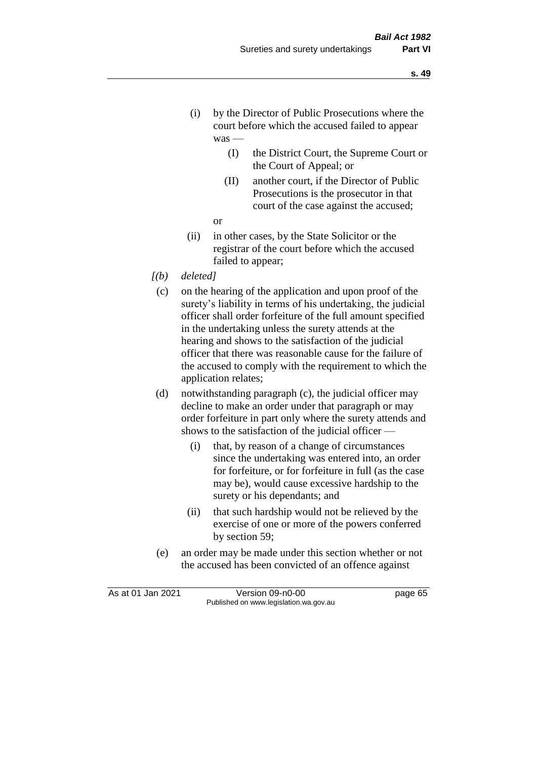- (i) by the Director of Public Prosecutions where the court before which the accused failed to appear was —
	- (I) the District Court, the Supreme Court or the Court of Appeal; or
	- (II) another court, if the Director of Public Prosecutions is the prosecutor in that court of the case against the accused;
	- or
- (ii) in other cases, by the State Solicitor or the registrar of the court before which the accused failed to appear;
- *[(b) deleted]*
	- (c) on the hearing of the application and upon proof of the surety's liability in terms of his undertaking, the judicial officer shall order forfeiture of the full amount specified in the undertaking unless the surety attends at the hearing and shows to the satisfaction of the judicial officer that there was reasonable cause for the failure of the accused to comply with the requirement to which the application relates;
	- (d) notwithstanding paragraph (c), the judicial officer may decline to make an order under that paragraph or may order forfeiture in part only where the surety attends and shows to the satisfaction of the judicial officer —
		- (i) that, by reason of a change of circumstances since the undertaking was entered into, an order for forfeiture, or for forfeiture in full (as the case may be), would cause excessive hardship to the surety or his dependants; and
		- (ii) that such hardship would not be relieved by the exercise of one or more of the powers conferred by section 59;
	- (e) an order may be made under this section whether or not the accused has been convicted of an offence against

As at 01 Jan 2021 Version 09-n0-00 Published on www.legislation.wa.gov.au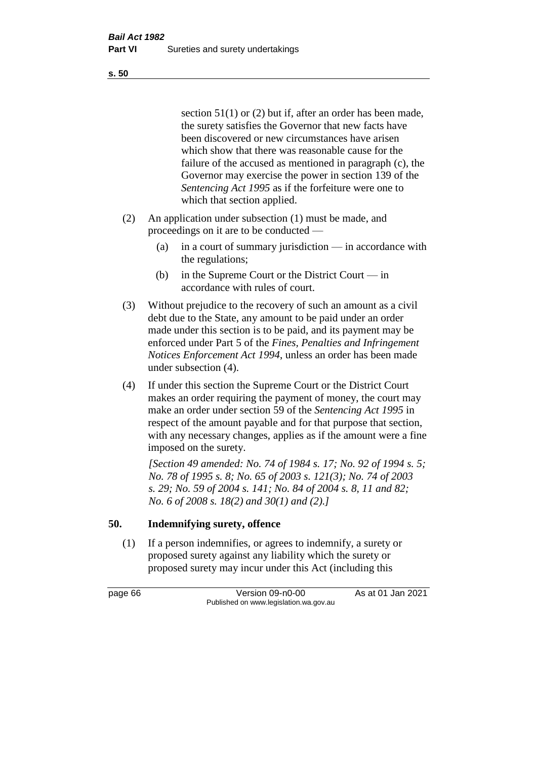section 51(1) or (2) but if, after an order has been made, the surety satisfies the Governor that new facts have been discovered or new circumstances have arisen which show that there was reasonable cause for the failure of the accused as mentioned in paragraph (c), the Governor may exercise the power in section 139 of the *Sentencing Act 1995* as if the forfeiture were one to which that section applied.

- (2) An application under subsection (1) must be made, and proceedings on it are to be conducted —
	- (a) in a court of summary jurisdiction in accordance with the regulations;
	- (b) in the Supreme Court or the District Court in accordance with rules of court.
- (3) Without prejudice to the recovery of such an amount as a civil debt due to the State, any amount to be paid under an order made under this section is to be paid, and its payment may be enforced under Part 5 of the *Fines, Penalties and Infringement Notices Enforcement Act 1994*, unless an order has been made under subsection (4).
- (4) If under this section the Supreme Court or the District Court makes an order requiring the payment of money, the court may make an order under section 59 of the *Sentencing Act 1995* in respect of the amount payable and for that purpose that section, with any necessary changes, applies as if the amount were a fine imposed on the surety.

*[Section 49 amended: No. 74 of 1984 s. 17; No. 92 of 1994 s. 5; No. 78 of 1995 s. 8; No. 65 of 2003 s. 121(3); No. 74 of 2003 s. 29; No. 59 of 2004 s. 141; No. 84 of 2004 s. 8, 11 and 82; No. 6 of 2008 s. 18(2) and 30(1) and (2).]* 

# **50. Indemnifying surety, offence**

(1) If a person indemnifies, or agrees to indemnify, a surety or proposed surety against any liability which the surety or proposed surety may incur under this Act (including this

page 66 Version 09-n0-00 As at 01 Jan 2021 Published on www.legislation.wa.gov.au

**s. 50**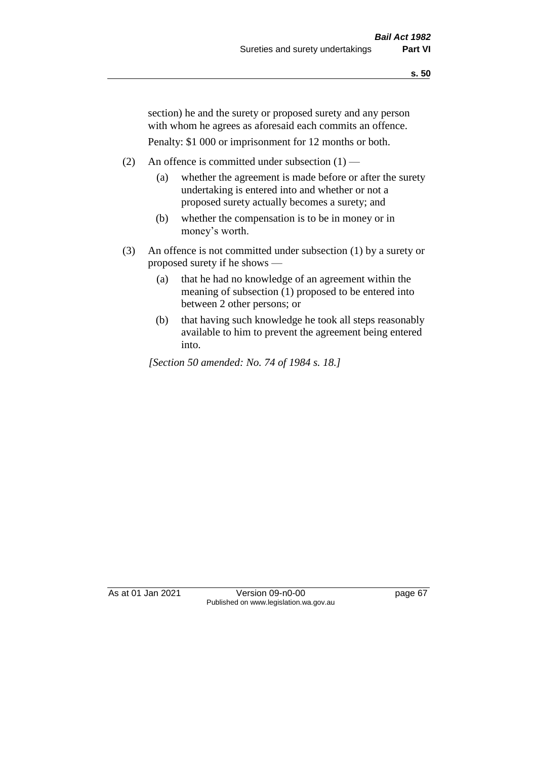section) he and the surety or proposed surety and any person with whom he agrees as aforesaid each commits an offence.

Penalty: \$1 000 or imprisonment for 12 months or both.

- (2) An offence is committed under subsection  $(1)$ 
	- (a) whether the agreement is made before or after the surety undertaking is entered into and whether or not a proposed surety actually becomes a surety; and
	- (b) whether the compensation is to be in money or in money's worth.
- (3) An offence is not committed under subsection (1) by a surety or proposed surety if he shows —
	- (a) that he had no knowledge of an agreement within the meaning of subsection (1) proposed to be entered into between 2 other persons; or
	- (b) that having such knowledge he took all steps reasonably available to him to prevent the agreement being entered into.

*[Section 50 amended: No. 74 of 1984 s. 18.]* 

As at 01 Jan 2021 Version 09-n0-00 Page 67 Published on www.legislation.wa.gov.au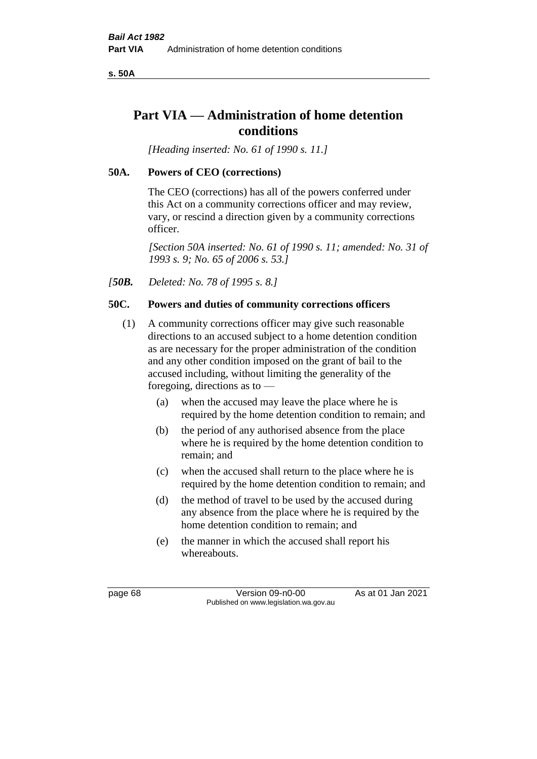**s. 50A**

# **Part VIA — Administration of home detention conditions**

*[Heading inserted: No. 61 of 1990 s. 11.]* 

# **50A. Powers of CEO (corrections)**

The CEO (corrections) has all of the powers conferred under this Act on a community corrections officer and may review, vary, or rescind a direction given by a community corrections officer.

*[Section 50A inserted: No. 61 of 1990 s. 11; amended: No. 31 of 1993 s. 9; No. 65 of 2006 s. 53.]* 

*[50B. Deleted: No. 78 of 1995 s. 8.]* 

# **50C. Powers and duties of community corrections officers**

- (1) A community corrections officer may give such reasonable directions to an accused subject to a home detention condition as are necessary for the proper administration of the condition and any other condition imposed on the grant of bail to the accused including, without limiting the generality of the foregoing, directions as to —
	- (a) when the accused may leave the place where he is required by the home detention condition to remain; and
	- (b) the period of any authorised absence from the place where he is required by the home detention condition to remain; and
	- (c) when the accused shall return to the place where he is required by the home detention condition to remain; and
	- (d) the method of travel to be used by the accused during any absence from the place where he is required by the home detention condition to remain; and
	- (e) the manner in which the accused shall report his whereabouts.

page 68 Version 09-n0-00 As at 01 Jan 2021 Published on www.legislation.wa.gov.au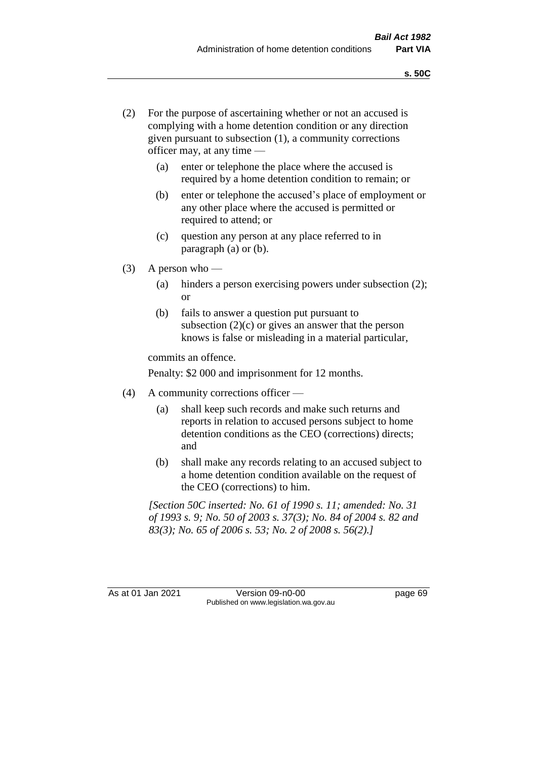- (2) For the purpose of ascertaining whether or not an accused is complying with a home detention condition or any direction given pursuant to subsection (1), a community corrections officer may, at any time —
	- (a) enter or telephone the place where the accused is required by a home detention condition to remain; or
	- (b) enter or telephone the accused's place of employment or any other place where the accused is permitted or required to attend; or
	- (c) question any person at any place referred to in paragraph (a) or (b).
- (3) A person who
	- (a) hinders a person exercising powers under subsection (2); or
	- (b) fails to answer a question put pursuant to subsection  $(2)(c)$  or gives an answer that the person knows is false or misleading in a material particular,

commits an offence.

Penalty: \$2 000 and imprisonment for 12 months.

- (4) A community corrections officer
	- (a) shall keep such records and make such returns and reports in relation to accused persons subject to home detention conditions as the CEO (corrections) directs; and
	- (b) shall make any records relating to an accused subject to a home detention condition available on the request of the CEO (corrections) to him.

*[Section 50C inserted: No. 61 of 1990 s. 11; amended: No. 31 of 1993 s. 9; No. 50 of 2003 s. 37(3); No. 84 of 2004 s. 82 and 83(3); No. 65 of 2006 s. 53; No. 2 of 2008 s. 56(2).]* 

As at 01 Jan 2021 Version 09-n0-00 Page 69 Published on www.legislation.wa.gov.au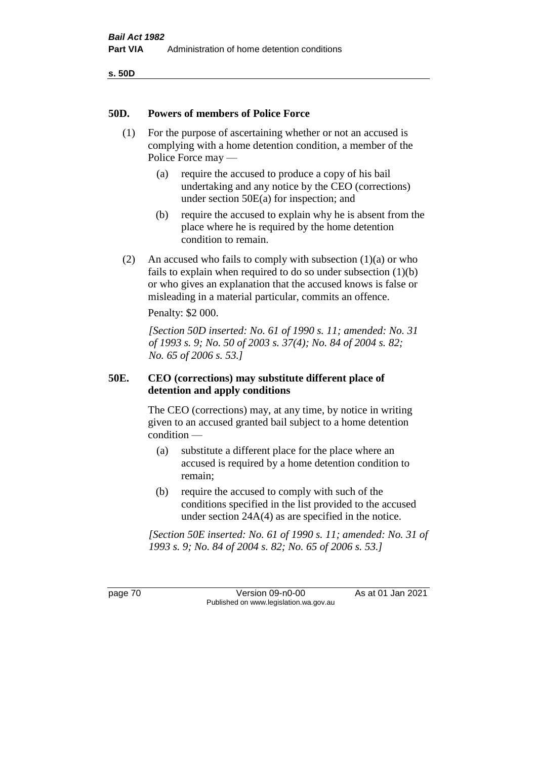**s. 50D**

#### **50D. Powers of members of Police Force**

- (1) For the purpose of ascertaining whether or not an accused is complying with a home detention condition, a member of the Police Force may —
	- (a) require the accused to produce a copy of his bail undertaking and any notice by the CEO (corrections) under section 50E(a) for inspection; and
	- (b) require the accused to explain why he is absent from the place where he is required by the home detention condition to remain.
- (2) An accused who fails to comply with subsection  $(1)(a)$  or who fails to explain when required to do so under subsection  $(1)(b)$ or who gives an explanation that the accused knows is false or misleading in a material particular, commits an offence.

Penalty: \$2 000.

*[Section 50D inserted: No. 61 of 1990 s. 11; amended: No. 31 of 1993 s. 9; No. 50 of 2003 s. 37(4); No. 84 of 2004 s. 82; No. 65 of 2006 s. 53.]* 

#### **50E. CEO (corrections) may substitute different place of detention and apply conditions**

The CEO (corrections) may, at any time, by notice in writing given to an accused granted bail subject to a home detention condition —

- (a) substitute a different place for the place where an accused is required by a home detention condition to remain;
- (b) require the accused to comply with such of the conditions specified in the list provided to the accused under section 24A(4) as are specified in the notice.

*[Section 50E inserted: No. 61 of 1990 s. 11; amended: No. 31 of 1993 s. 9; No. 84 of 2004 s. 82; No. 65 of 2006 s. 53.]* 

page 70 Version 09-n0-00 As at 01 Jan 2021 Published on www.legislation.wa.gov.au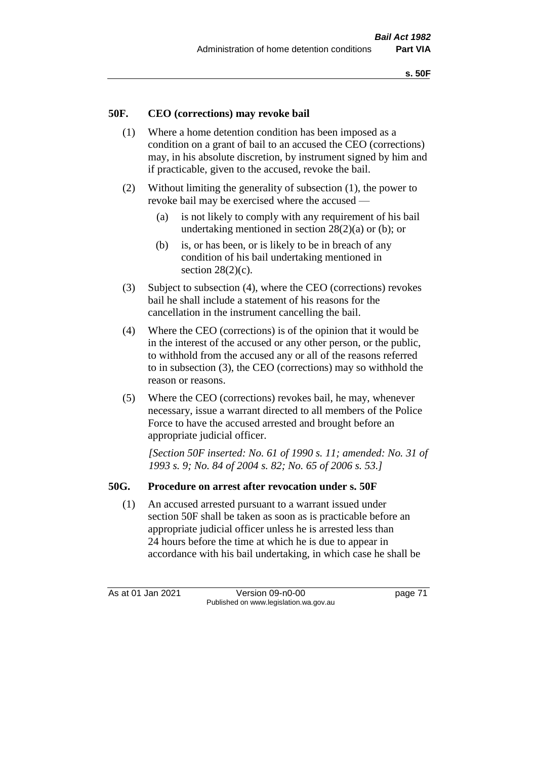### **50F. CEO (corrections) may revoke bail**

- (1) Where a home detention condition has been imposed as a condition on a grant of bail to an accused the CEO (corrections) may, in his absolute discretion, by instrument signed by him and if practicable, given to the accused, revoke the bail.
- (2) Without limiting the generality of subsection (1), the power to revoke bail may be exercised where the accused —
	- (a) is not likely to comply with any requirement of his bail undertaking mentioned in section 28(2)(a) or (b); or
	- (b) is, or has been, or is likely to be in breach of any condition of his bail undertaking mentioned in section  $28(2)(c)$ .
- (3) Subject to subsection (4), where the CEO (corrections) revokes bail he shall include a statement of his reasons for the cancellation in the instrument cancelling the bail.
- (4) Where the CEO (corrections) is of the opinion that it would be in the interest of the accused or any other person, or the public, to withhold from the accused any or all of the reasons referred to in subsection (3), the CEO (corrections) may so withhold the reason or reasons.
- (5) Where the CEO (corrections) revokes bail, he may, whenever necessary, issue a warrant directed to all members of the Police Force to have the accused arrested and brought before an appropriate judicial officer.

*[Section 50F inserted: No. 61 of 1990 s. 11; amended: No. 31 of 1993 s. 9; No. 84 of 2004 s. 82; No. 65 of 2006 s. 53.]* 

#### **50G. Procedure on arrest after revocation under s. 50F**

(1) An accused arrested pursuant to a warrant issued under section 50F shall be taken as soon as is practicable before an appropriate judicial officer unless he is arrested less than 24 hours before the time at which he is due to appear in accordance with his bail undertaking, in which case he shall be

As at 01 Jan 2021 Version 09-n0-00 page 71 Published on www.legislation.wa.gov.au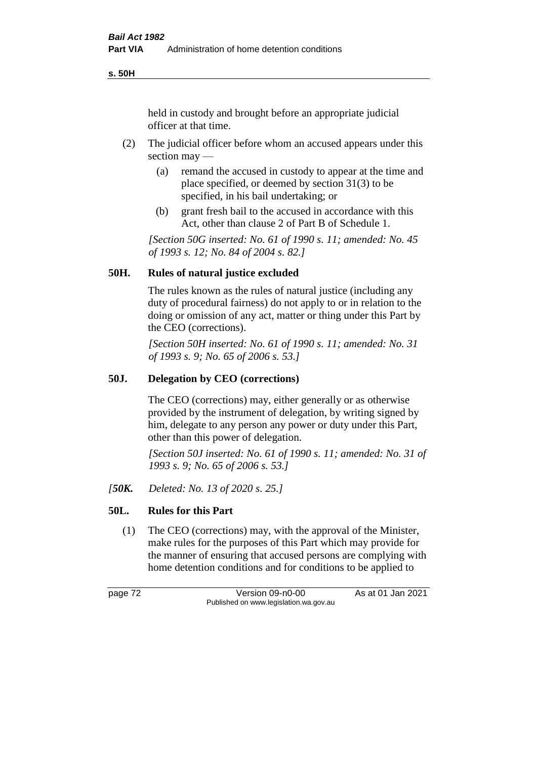**s. 50H**

held in custody and brought before an appropriate judicial officer at that time.

- (2) The judicial officer before whom an accused appears under this section may —
	- (a) remand the accused in custody to appear at the time and place specified, or deemed by section 31(3) to be specified, in his bail undertaking; or
	- (b) grant fresh bail to the accused in accordance with this Act, other than clause 2 of Part B of Schedule 1.

*[Section 50G inserted: No. 61 of 1990 s. 11; amended: No. 45 of 1993 s. 12; No. 84 of 2004 s. 82.]* 

#### **50H. Rules of natural justice excluded**

The rules known as the rules of natural justice (including any duty of procedural fairness) do not apply to or in relation to the doing or omission of any act, matter or thing under this Part by the CEO (corrections).

*[Section 50H inserted: No. 61 of 1990 s. 11; amended: No. 31 of 1993 s. 9; No. 65 of 2006 s. 53.]* 

#### **50J. Delegation by CEO (corrections)**

The CEO (corrections) may, either generally or as otherwise provided by the instrument of delegation, by writing signed by him, delegate to any person any power or duty under this Part, other than this power of delegation.

*[Section 50J inserted: No. 61 of 1990 s. 11; amended: No. 31 of 1993 s. 9; No. 65 of 2006 s. 53.]* 

*[50K. Deleted: No. 13 of 2020 s. 25.]*

# **50L. Rules for this Part**

(1) The CEO (corrections) may, with the approval of the Minister, make rules for the purposes of this Part which may provide for the manner of ensuring that accused persons are complying with home detention conditions and for conditions to be applied to

page 72 Version 09-n0-00 As at 01 Jan 2021 Published on www.legislation.wa.gov.au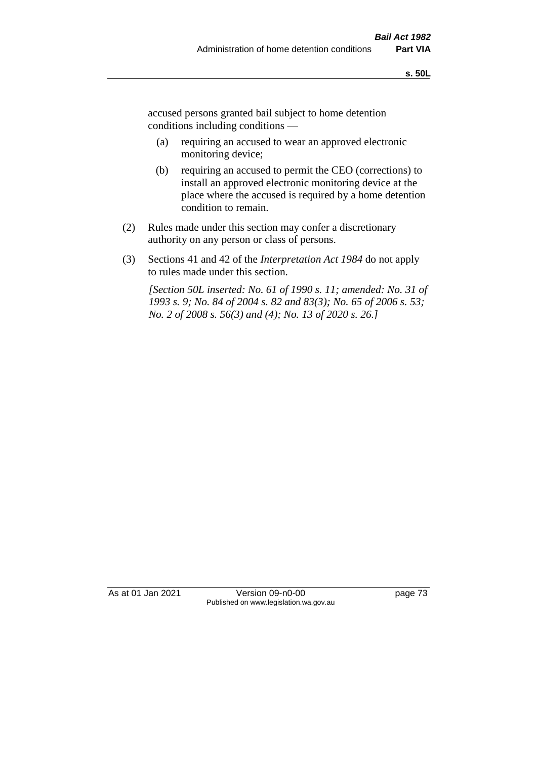accused persons granted bail subject to home detention conditions including conditions —

- (a) requiring an accused to wear an approved electronic monitoring device;
- (b) requiring an accused to permit the CEO (corrections) to install an approved electronic monitoring device at the place where the accused is required by a home detention condition to remain.
- (2) Rules made under this section may confer a discretionary authority on any person or class of persons.
- (3) Sections 41 and 42 of the *Interpretation Act 1984* do not apply to rules made under this section.

*[Section 50L inserted: No. 61 of 1990 s. 11; amended: No. 31 of 1993 s. 9; No. 84 of 2004 s. 82 and 83(3); No. 65 of 2006 s. 53; No. 2 of 2008 s. 56(3) and (4); No. 13 of 2020 s. 26.]* 

As at 01 Jan 2021 Version 09-n0-00 page 73 Published on www.legislation.wa.gov.au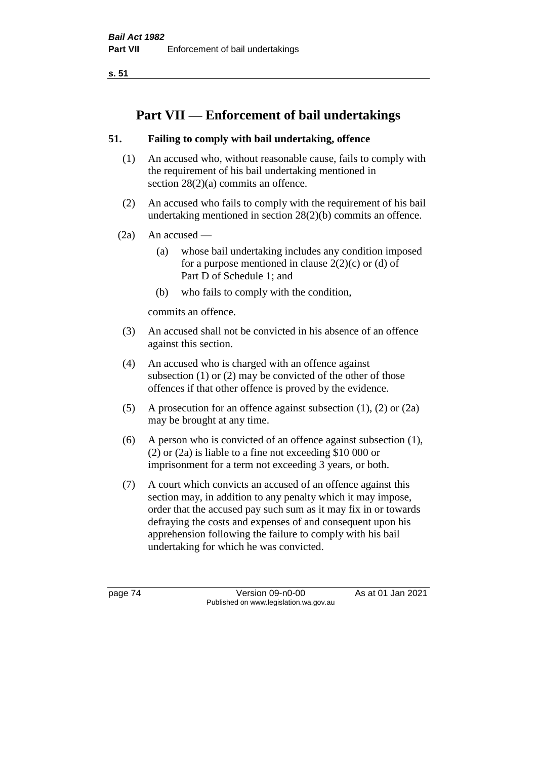**s. 51**

# **Part VII — Enforcement of bail undertakings**

# **51. Failing to comply with bail undertaking, offence**

- (1) An accused who, without reasonable cause, fails to comply with the requirement of his bail undertaking mentioned in section 28(2)(a) commits an offence.
- (2) An accused who fails to comply with the requirement of his bail undertaking mentioned in section 28(2)(b) commits an offence.
- $(2a)$  An accused
	- (a) whose bail undertaking includes any condition imposed for a purpose mentioned in clause  $2(2)(c)$  or (d) of Part D of Schedule 1; and
	- (b) who fails to comply with the condition,

commits an offence.

- (3) An accused shall not be convicted in his absence of an offence against this section.
- (4) An accused who is charged with an offence against subsection (1) or (2) may be convicted of the other of those offences if that other offence is proved by the evidence.
- (5) A prosecution for an offence against subsection (1), (2) or (2a) may be brought at any time.
- (6) A person who is convicted of an offence against subsection (1), (2) or (2a) is liable to a fine not exceeding \$10 000 or imprisonment for a term not exceeding 3 years, or both.
- (7) A court which convicts an accused of an offence against this section may, in addition to any penalty which it may impose, order that the accused pay such sum as it may fix in or towards defraying the costs and expenses of and consequent upon his apprehension following the failure to comply with his bail undertaking for which he was convicted.

page 74 Version 09-n0-00 As at 01 Jan 2021 Published on www.legislation.wa.gov.au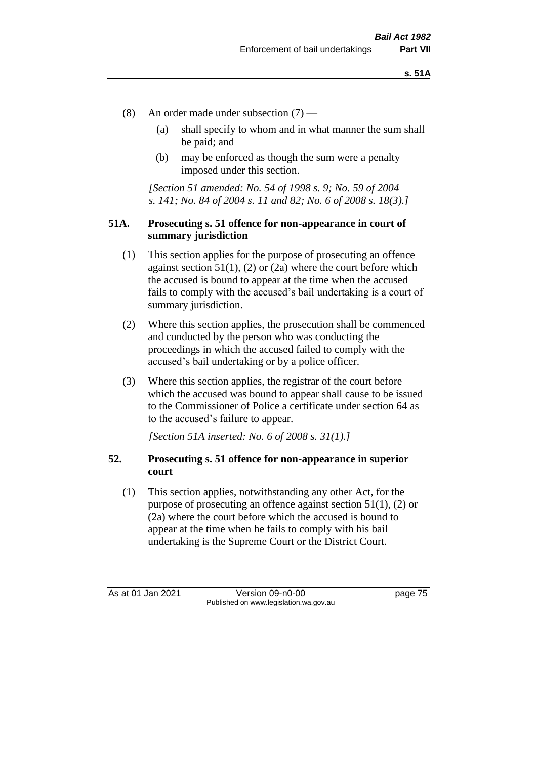- (8) An order made under subsection (7)
	- (a) shall specify to whom and in what manner the sum shall be paid; and
	- (b) may be enforced as though the sum were a penalty imposed under this section.

*[Section 51 amended: No. 54 of 1998 s. 9; No. 59 of 2004 s. 141; No. 84 of 2004 s. 11 and 82; No. 6 of 2008 s. 18(3).]*

#### **51A. Prosecuting s. 51 offence for non-appearance in court of summary jurisdiction**

- (1) This section applies for the purpose of prosecuting an offence against section  $51(1)$ , (2) or (2a) where the court before which the accused is bound to appear at the time when the accused fails to comply with the accused's bail undertaking is a court of summary jurisdiction.
- (2) Where this section applies, the prosecution shall be commenced and conducted by the person who was conducting the proceedings in which the accused failed to comply with the accused's bail undertaking or by a police officer.
- (3) Where this section applies, the registrar of the court before which the accused was bound to appear shall cause to be issued to the Commissioner of Police a certificate under section 64 as to the accused's failure to appear.

*[Section 51A inserted: No. 6 of 2008 s. 31(1).]*

#### **52. Prosecuting s. 51 offence for non-appearance in superior court**

(1) This section applies, notwithstanding any other Act, for the purpose of prosecuting an offence against section 51(1), (2) or (2a) where the court before which the accused is bound to appear at the time when he fails to comply with his bail undertaking is the Supreme Court or the District Court.

As at 01 Jan 2021 Version 09-n0-00 Page 75 Published on www.legislation.wa.gov.au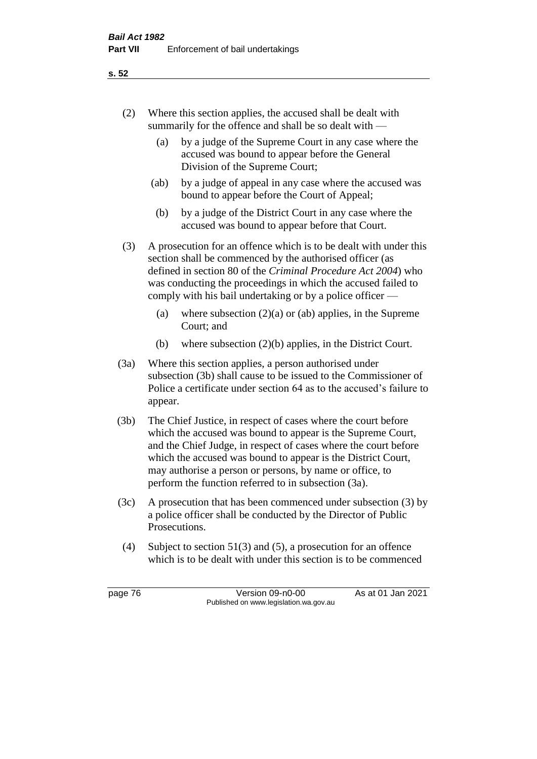- (2) Where this section applies, the accused shall be dealt with summarily for the offence and shall be so dealt with —
	- (a) by a judge of the Supreme Court in any case where the accused was bound to appear before the General Division of the Supreme Court;
	- (ab) by a judge of appeal in any case where the accused was bound to appear before the Court of Appeal;
	- (b) by a judge of the District Court in any case where the accused was bound to appear before that Court.
- (3) A prosecution for an offence which is to be dealt with under this section shall be commenced by the authorised officer (as defined in section 80 of the *Criminal Procedure Act 2004*) who was conducting the proceedings in which the accused failed to comply with his bail undertaking or by a police officer —
	- (a) where subsection  $(2)(a)$  or (ab) applies, in the Supreme Court; and
	- (b) where subsection (2)(b) applies, in the District Court.
- (3a) Where this section applies, a person authorised under subsection (3b) shall cause to be issued to the Commissioner of Police a certificate under section 64 as to the accused's failure to appear.
- (3b) The Chief Justice, in respect of cases where the court before which the accused was bound to appear is the Supreme Court, and the Chief Judge, in respect of cases where the court before which the accused was bound to appear is the District Court, may authorise a person or persons, by name or office, to perform the function referred to in subsection (3a).
- (3c) A prosecution that has been commenced under subsection (3) by a police officer shall be conducted by the Director of Public Prosecutions.
- (4) Subject to section 51(3) and (5), a prosecution for an offence which is to be dealt with under this section is to be commenced

page 76 Version 09-n0-00 As at 01 Jan 2021 Published on www.legislation.wa.gov.au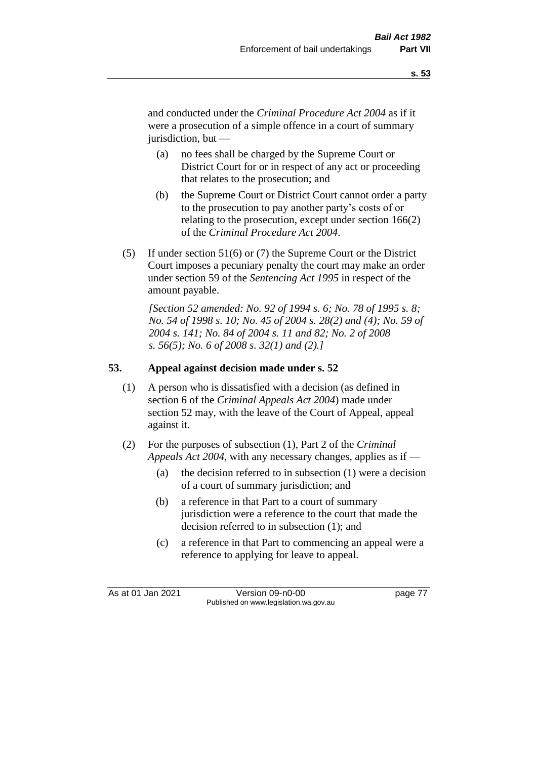and conducted under the *Criminal Procedure Act 2004* as if it were a prosecution of a simple offence in a court of summary jurisdiction, but —

- (a) no fees shall be charged by the Supreme Court or District Court for or in respect of any act or proceeding that relates to the prosecution; and
- (b) the Supreme Court or District Court cannot order a party to the prosecution to pay another party's costs of or relating to the prosecution, except under section 166(2) of the *Criminal Procedure Act 2004*.
- (5) If under section 51(6) or (7) the Supreme Court or the District Court imposes a pecuniary penalty the court may make an order under section 59 of the *Sentencing Act 1995* in respect of the amount payable.

*[Section 52 amended: No. 92 of 1994 s. 6; No. 78 of 1995 s. 8; No. 54 of 1998 s. 10; No. 45 of 2004 s. 28(2) and (4); No. 59 of 2004 s. 141; No. 84 of 2004 s. 11 and 82; No. 2 of 2008 s. 56(5); No. 6 of 2008 s. 32(1) and (2).]* 

# **53. Appeal against decision made under s. 52**

- (1) A person who is dissatisfied with a decision (as defined in section 6 of the *Criminal Appeals Act 2004*) made under section 52 may, with the leave of the Court of Appeal, appeal against it.
- (2) For the purposes of subsection (1), Part 2 of the *Criminal Appeals Act 2004*, with any necessary changes, applies as if —
	- (a) the decision referred to in subsection (1) were a decision of a court of summary jurisdiction; and
	- (b) a reference in that Part to a court of summary jurisdiction were a reference to the court that made the decision referred to in subsection (1); and
	- (c) a reference in that Part to commencing an appeal were a reference to applying for leave to appeal.

As at 01 Jan 2021 Version 09-n0-00 page 77 Published on www.legislation.wa.gov.au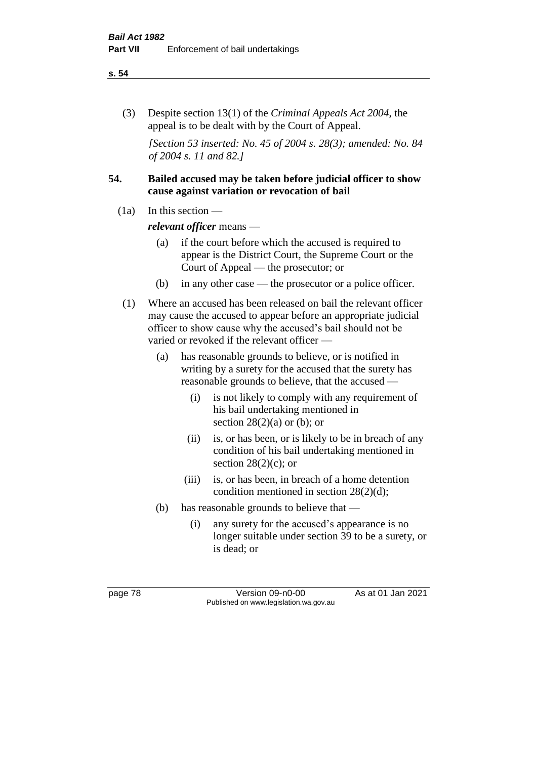#### **s. 54**

(3) Despite section 13(1) of the *Criminal Appeals Act 2004*, the appeal is to be dealt with by the Court of Appeal.

*[Section 53 inserted: No. 45 of 2004 s. 28(3); amended: No. 84 of 2004 s. 11 and 82.]*

### **54. Bailed accused may be taken before judicial officer to show cause against variation or revocation of bail**

 $(1a)$  In this section —

*relevant officer* means —

- (a) if the court before which the accused is required to appear is the District Court, the Supreme Court or the Court of Appeal — the prosecutor; or
- (b) in any other case the prosecutor or a police officer.
- (1) Where an accused has been released on bail the relevant officer may cause the accused to appear before an appropriate judicial officer to show cause why the accused's bail should not be varied or revoked if the relevant officer —
	- (a) has reasonable grounds to believe, or is notified in writing by a surety for the accused that the surety has reasonable grounds to believe, that the accused —
		- (i) is not likely to comply with any requirement of his bail undertaking mentioned in section  $28(2)(a)$  or (b); or
		- (ii) is, or has been, or is likely to be in breach of any condition of his bail undertaking mentioned in section  $28(2)(c)$ ; or
		- (iii) is, or has been, in breach of a home detention condition mentioned in section 28(2)(d);
	- (b) has reasonable grounds to believe that
		- (i) any surety for the accused's appearance is no longer suitable under section 39 to be a surety, or is dead; or

page 78 Version 09-n0-00 As at 01 Jan 2021 Published on www.legislation.wa.gov.au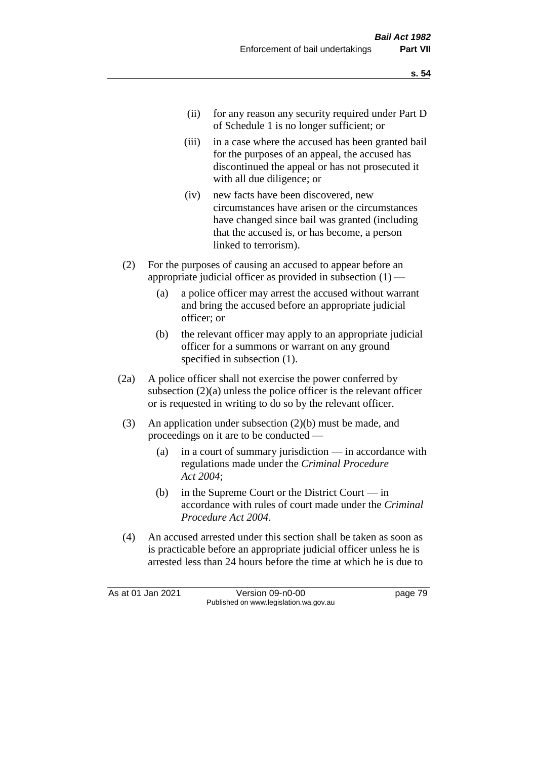- (ii) for any reason any security required under Part D of Schedule 1 is no longer sufficient; or
- (iii) in a case where the accused has been granted bail for the purposes of an appeal, the accused has discontinued the appeal or has not prosecuted it with all due diligence; or
- (iv) new facts have been discovered, new circumstances have arisen or the circumstances have changed since bail was granted (including that the accused is, or has become, a person linked to terrorism).
- (2) For the purposes of causing an accused to appear before an appropriate judicial officer as provided in subsection  $(1)$  —
	- (a) a police officer may arrest the accused without warrant and bring the accused before an appropriate judicial officer; or
	- (b) the relevant officer may apply to an appropriate judicial officer for a summons or warrant on any ground specified in subsection (1).
- (2a) A police officer shall not exercise the power conferred by subsection (2)(a) unless the police officer is the relevant officer or is requested in writing to do so by the relevant officer.
- (3) An application under subsection (2)(b) must be made, and proceedings on it are to be conducted —
	- (a) in a court of summary jurisdiction in accordance with regulations made under the *Criminal Procedure Act 2004*;
	- (b) in the Supreme Court or the District Court  $-\text{in}$ accordance with rules of court made under the *Criminal Procedure Act 2004*.
- (4) An accused arrested under this section shall be taken as soon as is practicable before an appropriate judicial officer unless he is arrested less than 24 hours before the time at which he is due to

As at 01 Jan 2021 Version 09-n0-00 page 79 Published on www.legislation.wa.gov.au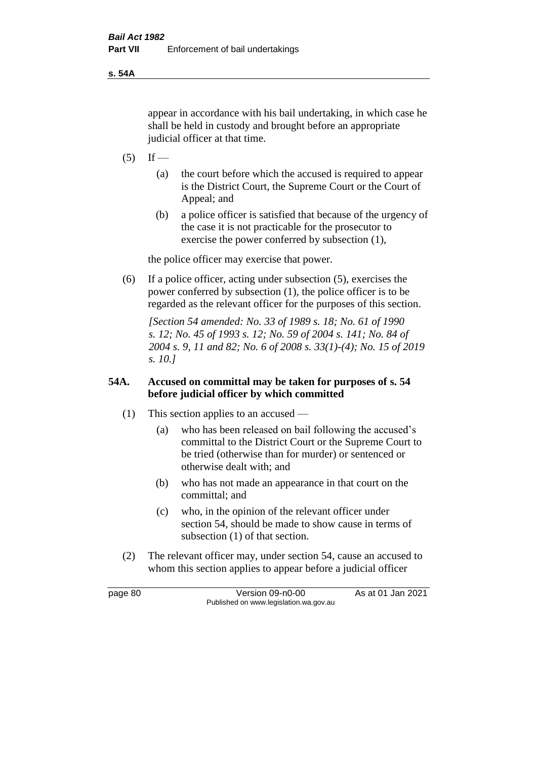**s. 54A**

appear in accordance with his bail undertaking, in which case he shall be held in custody and brought before an appropriate judicial officer at that time.

- $(5)$  If
	- (a) the court before which the accused is required to appear is the District Court, the Supreme Court or the Court of Appeal; and
	- (b) a police officer is satisfied that because of the urgency of the case it is not practicable for the prosecutor to exercise the power conferred by subsection (1),

the police officer may exercise that power.

(6) If a police officer, acting under subsection (5), exercises the power conferred by subsection (1), the police officer is to be regarded as the relevant officer for the purposes of this section.

*[Section 54 amended: No. 33 of 1989 s. 18; No. 61 of 1990 s. 12; No. 45 of 1993 s. 12; No. 59 of 2004 s. 141; No. 84 of 2004 s. 9, 11 and 82; No. 6 of 2008 s. 33(1)-(4); No. 15 of 2019 s. 10.]* 

# **54A. Accused on committal may be taken for purposes of s. 54 before judicial officer by which committed**

- (1) This section applies to an accused
	- (a) who has been released on bail following the accused's committal to the District Court or the Supreme Court to be tried (otherwise than for murder) or sentenced or otherwise dealt with; and
	- (b) who has not made an appearance in that court on the committal; and
	- (c) who, in the opinion of the relevant officer under section 54, should be made to show cause in terms of subsection (1) of that section.
- (2) The relevant officer may, under section 54, cause an accused to whom this section applies to appear before a judicial officer

page 80 Version 09-n0-00 As at 01 Jan 2021 Published on www.legislation.wa.gov.au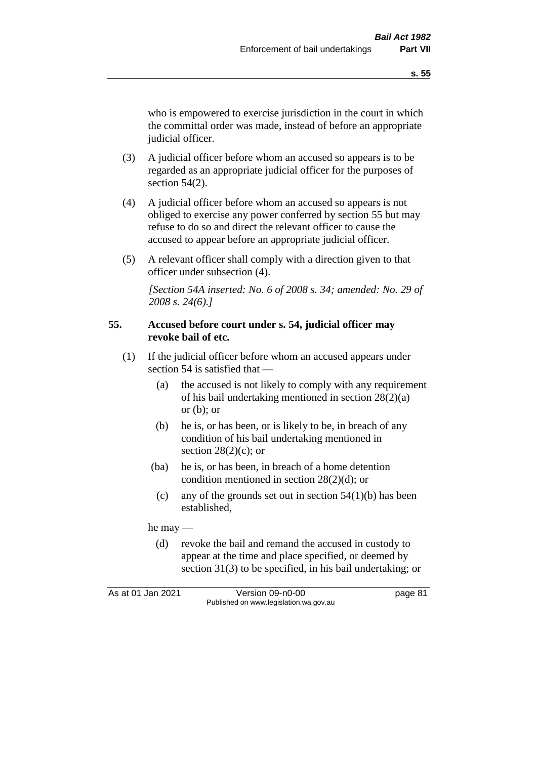who is empowered to exercise jurisdiction in the court in which the committal order was made, instead of before an appropriate judicial officer.

- (3) A judicial officer before whom an accused so appears is to be regarded as an appropriate judicial officer for the purposes of section 54(2).
- (4) A judicial officer before whom an accused so appears is not obliged to exercise any power conferred by section 55 but may refuse to do so and direct the relevant officer to cause the accused to appear before an appropriate judicial officer.
- (5) A relevant officer shall comply with a direction given to that officer under subsection (4).

*[Section 54A inserted: No. 6 of 2008 s. 34; amended: No. 29 of 2008 s. 24(6).]*

#### **55. Accused before court under s. 54, judicial officer may revoke bail of etc.**

- (1) If the judicial officer before whom an accused appears under section 54 is satisfied that —
	- (a) the accused is not likely to comply with any requirement of his bail undertaking mentioned in section 28(2)(a) or  $(b)$ ; or
	- (b) he is, or has been, or is likely to be, in breach of any condition of his bail undertaking mentioned in section  $28(2)(c)$ ; or
	- (ba) he is, or has been, in breach of a home detention condition mentioned in section 28(2)(d); or
		- (c) any of the grounds set out in section  $54(1)(b)$  has been established,

he may —

(d) revoke the bail and remand the accused in custody to appear at the time and place specified, or deemed by section 31(3) to be specified, in his bail undertaking; or

As at 01 Jan 2021 Version 09-n0-00 page 81 Published on www.legislation.wa.gov.au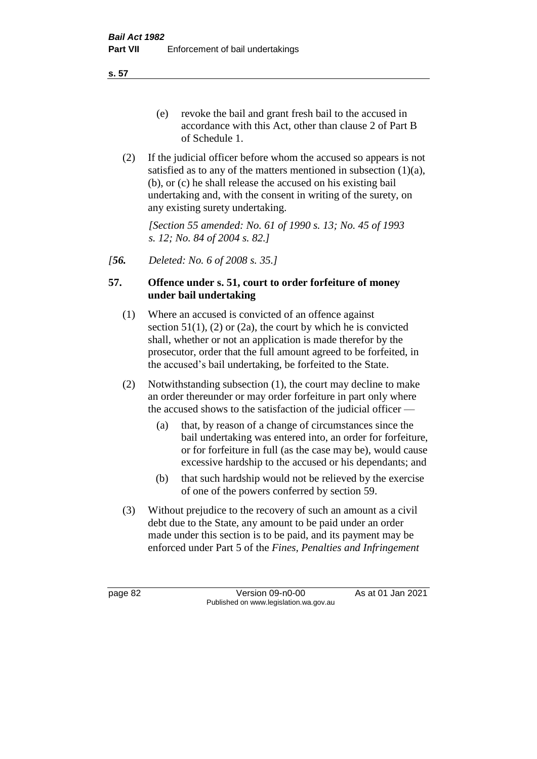**s. 57**

- (e) revoke the bail and grant fresh bail to the accused in accordance with this Act, other than clause 2 of Part B of Schedule 1.
- (2) If the judicial officer before whom the accused so appears is not satisfied as to any of the matters mentioned in subsection (1)(a), (b), or (c) he shall release the accused on his existing bail undertaking and, with the consent in writing of the surety, on any existing surety undertaking.

*[Section 55 amended: No. 61 of 1990 s. 13; No. 45 of 1993 s. 12; No. 84 of 2004 s. 82.]* 

*[56. Deleted: No. 6 of 2008 s. 35.]*

# **57. Offence under s. 51, court to order forfeiture of money under bail undertaking**

- (1) Where an accused is convicted of an offence against section  $51(1)$ ,  $(2)$  or  $(2a)$ , the court by which he is convicted shall, whether or not an application is made therefor by the prosecutor, order that the full amount agreed to be forfeited, in the accused's bail undertaking, be forfeited to the State.
- (2) Notwithstanding subsection (1), the court may decline to make an order thereunder or may order forfeiture in part only where the accused shows to the satisfaction of the judicial officer —
	- (a) that, by reason of a change of circumstances since the bail undertaking was entered into, an order for forfeiture, or for forfeiture in full (as the case may be), would cause excessive hardship to the accused or his dependants; and
	- (b) that such hardship would not be relieved by the exercise of one of the powers conferred by section 59.
- (3) Without prejudice to the recovery of such an amount as a civil debt due to the State, any amount to be paid under an order made under this section is to be paid, and its payment may be enforced under Part 5 of the *Fines, Penalties and Infringement*

page 82 Version 09-n0-00 As at 01 Jan 2021 Published on www.legislation.wa.gov.au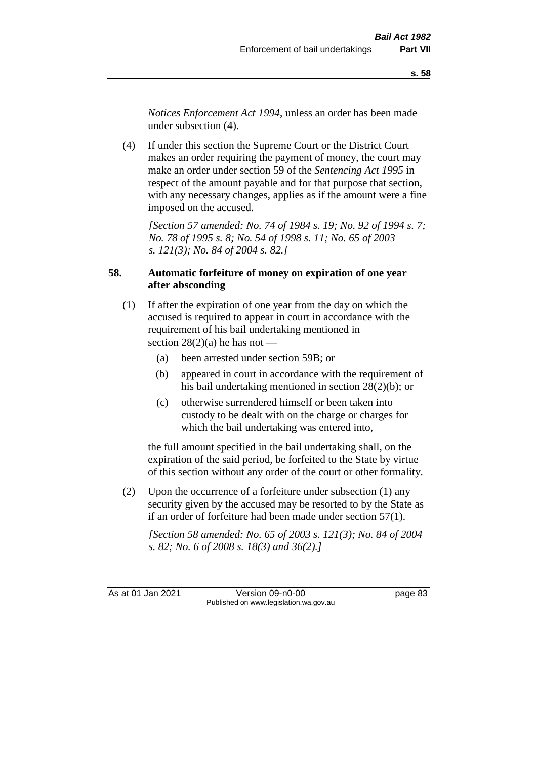*Notices Enforcement Act 1994*, unless an order has been made under subsection (4).

(4) If under this section the Supreme Court or the District Court makes an order requiring the payment of money, the court may make an order under section 59 of the *Sentencing Act 1995* in respect of the amount payable and for that purpose that section, with any necessary changes, applies as if the amount were a fine imposed on the accused.

*[Section 57 amended: No. 74 of 1984 s. 19; No. 92 of 1994 s. 7; No. 78 of 1995 s. 8; No. 54 of 1998 s. 11; No. 65 of 2003 s. 121(3); No. 84 of 2004 s. 82.]* 

# **58. Automatic forfeiture of money on expiration of one year after absconding**

- (1) If after the expiration of one year from the day on which the accused is required to appear in court in accordance with the requirement of his bail undertaking mentioned in section  $28(2)(a)$  he has not —
	- (a) been arrested under section 59B; or
	- (b) appeared in court in accordance with the requirement of his bail undertaking mentioned in section 28(2)(b); or
	- (c) otherwise surrendered himself or been taken into custody to be dealt with on the charge or charges for which the bail undertaking was entered into,

the full amount specified in the bail undertaking shall, on the expiration of the said period, be forfeited to the State by virtue of this section without any order of the court or other formality.

(2) Upon the occurrence of a forfeiture under subsection (1) any security given by the accused may be resorted to by the State as if an order of forfeiture had been made under section 57(1).

*[Section 58 amended: No. 65 of 2003 s. 121(3); No. 84 of 2004 s. 82; No. 6 of 2008 s. 18(3) and 36(2).]*

As at 01 Jan 2021 Version 09-n0-00 Page 83 Published on www.legislation.wa.gov.au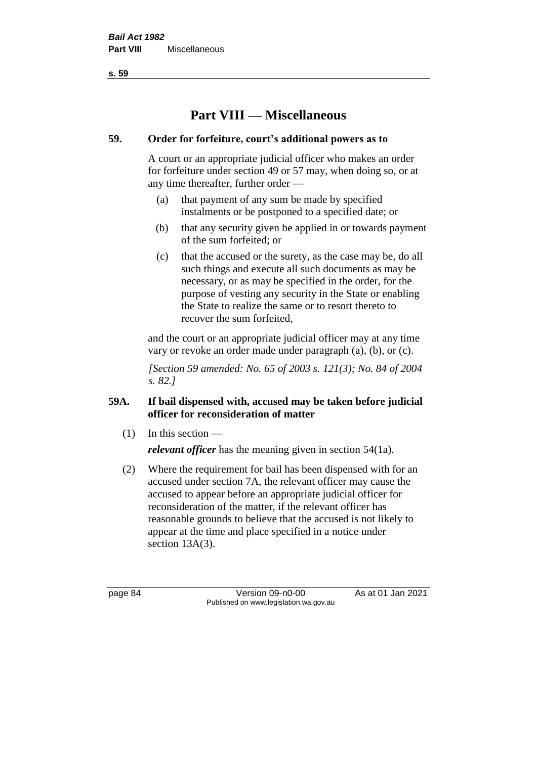**s. 59**

# **Part VIII — Miscellaneous**

## **59. Order for forfeiture, court's additional powers as to**

A court or an appropriate judicial officer who makes an order for forfeiture under section 49 or 57 may, when doing so, or at any time thereafter, further order —

- (a) that payment of any sum be made by specified instalments or be postponed to a specified date; or
- (b) that any security given be applied in or towards payment of the sum forfeited; or
- (c) that the accused or the surety, as the case may be, do all such things and execute all such documents as may be necessary, or as may be specified in the order, for the purpose of vesting any security in the State or enabling the State to realize the same or to resort thereto to recover the sum forfeited,

and the court or an appropriate judicial officer may at any time vary or revoke an order made under paragraph (a), (b), or (c).

*[Section 59 amended: No. 65 of 2003 s. 121(3); No. 84 of 2004 s. 82.]*

# **59A. If bail dispensed with, accused may be taken before judicial officer for reconsideration of matter**

 $(1)$  In this section —

*relevant officer* has the meaning given in section 54(1a).

(2) Where the requirement for bail has been dispensed with for an accused under section 7A, the relevant officer may cause the accused to appear before an appropriate judicial officer for reconsideration of the matter, if the relevant officer has reasonable grounds to believe that the accused is not likely to appear at the time and place specified in a notice under section 13A(3).

page 84 Version 09-n0-00 As at 01 Jan 2021 Published on www.legislation.wa.gov.au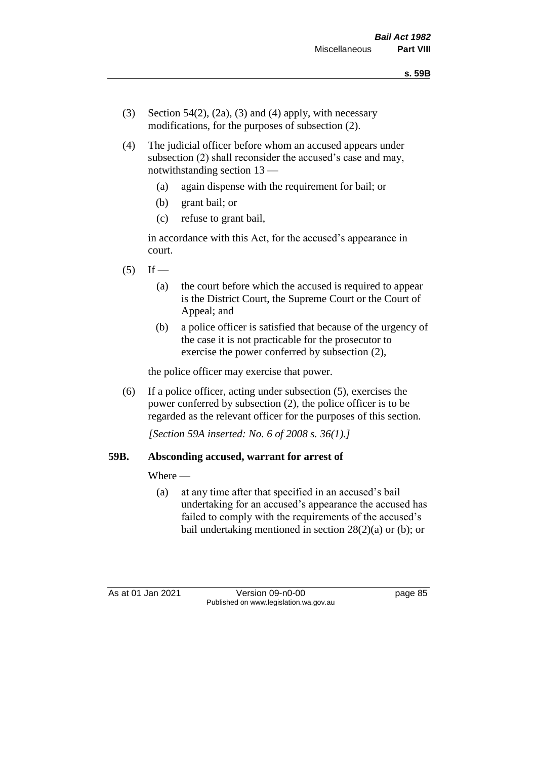- (3) Section 54(2), (2a), (3) and (4) apply, with necessary modifications, for the purposes of subsection (2).
- (4) The judicial officer before whom an accused appears under subsection (2) shall reconsider the accused's case and may, notwithstanding section 13 —
	- (a) again dispense with the requirement for bail; or
	- (b) grant bail; or
	- (c) refuse to grant bail,

in accordance with this Act, for the accused's appearance in court.

- $(5)$  If
	- (a) the court before which the accused is required to appear is the District Court, the Supreme Court or the Court of Appeal; and
	- (b) a police officer is satisfied that because of the urgency of the case it is not practicable for the prosecutor to exercise the power conferred by subsection (2),

the police officer may exercise that power.

(6) If a police officer, acting under subsection (5), exercises the power conferred by subsection (2), the police officer is to be regarded as the relevant officer for the purposes of this section.

*[Section 59A inserted: No. 6 of 2008 s. 36(1).]*

#### **59B. Absconding accused, warrant for arrest of**

Where —

(a) at any time after that specified in an accused's bail undertaking for an accused's appearance the accused has failed to comply with the requirements of the accused's bail undertaking mentioned in section  $28(2)(a)$  or (b); or

As at 01 Jan 2021 Version 09-n0-00 Page 85 Published on www.legislation.wa.gov.au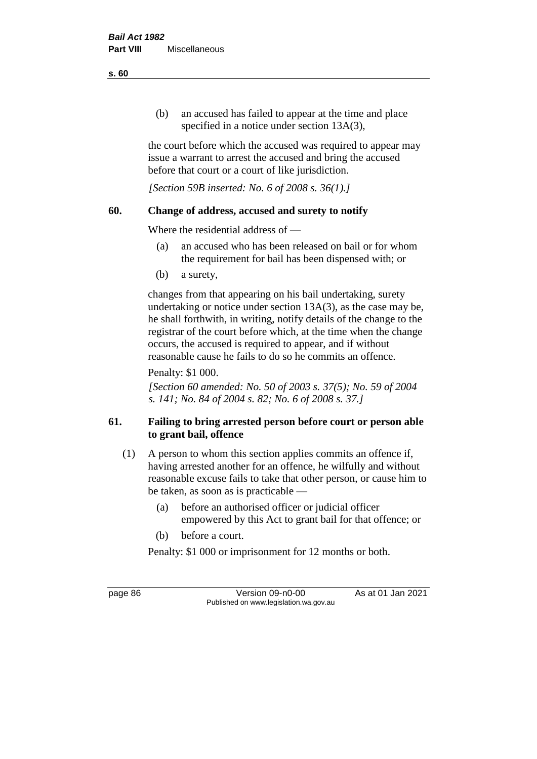(b) an accused has failed to appear at the time and place specified in a notice under section 13A(3),

the court before which the accused was required to appear may issue a warrant to arrest the accused and bring the accused before that court or a court of like jurisdiction.

*[Section 59B inserted: No. 6 of 2008 s. 36(1).]*

# **60. Change of address, accused and surety to notify**

Where the residential address of —

- (a) an accused who has been released on bail or for whom the requirement for bail has been dispensed with; or
- (b) a surety,

changes from that appearing on his bail undertaking, surety undertaking or notice under section 13A(3), as the case may be, he shall forthwith, in writing, notify details of the change to the registrar of the court before which, at the time when the change occurs, the accused is required to appear, and if without reasonable cause he fails to do so he commits an offence.

Penalty: \$1 000.

*[Section 60 amended: No. 50 of 2003 s. 37(5); No. 59 of 2004 s. 141; No. 84 of 2004 s. 82; No. 6 of 2008 s. 37.]*

# **61. Failing to bring arrested person before court or person able to grant bail, offence**

- (1) A person to whom this section applies commits an offence if, having arrested another for an offence, he wilfully and without reasonable excuse fails to take that other person, or cause him to be taken, as soon as is practicable —
	- (a) before an authorised officer or judicial officer empowered by this Act to grant bail for that offence; or
	- (b) before a court.

Penalty: \$1 000 or imprisonment for 12 months or both.

page 86 Version 09-n0-00 As at 01 Jan 2021 Published on www.legislation.wa.gov.au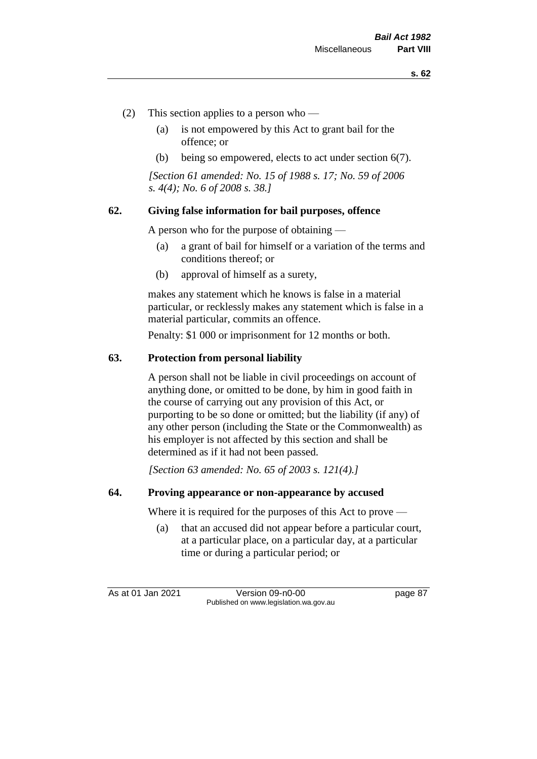- (2) This section applies to a person who
	- (a) is not empowered by this Act to grant bail for the offence; or
	- (b) being so empowered, elects to act under section 6(7).

*[Section 61 amended: No. 15 of 1988 s. 17; No. 59 of 2006 s. 4(4); No. 6 of 2008 s. 38.]* 

#### **62. Giving false information for bail purposes, offence**

A person who for the purpose of obtaining —

- (a) a grant of bail for himself or a variation of the terms and conditions thereof; or
- (b) approval of himself as a surety,

makes any statement which he knows is false in a material particular, or recklessly makes any statement which is false in a material particular, commits an offence.

Penalty: \$1 000 or imprisonment for 12 months or both.

#### **63. Protection from personal liability**

A person shall not be liable in civil proceedings on account of anything done, or omitted to be done, by him in good faith in the course of carrying out any provision of this Act, or purporting to be so done or omitted; but the liability (if any) of any other person (including the State or the Commonwealth) as his employer is not affected by this section and shall be determined as if it had not been passed.

*[Section 63 amended: No. 65 of 2003 s. 121(4).]*

#### **64. Proving appearance or non-appearance by accused**

Where it is required for the purposes of this Act to prove —

(a) that an accused did not appear before a particular court, at a particular place, on a particular day, at a particular time or during a particular period; or

As at 01 Jan 2021 Version 09-n0-00 page 87 Published on www.legislation.wa.gov.au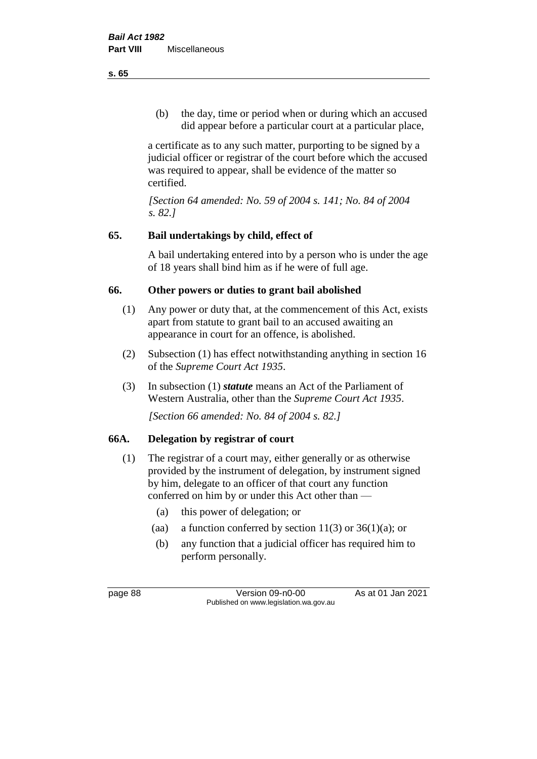(b) the day, time or period when or during which an accused did appear before a particular court at a particular place,

a certificate as to any such matter, purporting to be signed by a judicial officer or registrar of the court before which the accused was required to appear, shall be evidence of the matter so certified.

*[Section 64 amended: No. 59 of 2004 s. 141; No. 84 of 2004 s. 82.]* 

# **65. Bail undertakings by child, effect of**

A bail undertaking entered into by a person who is under the age of 18 years shall bind him as if he were of full age.

# **66. Other powers or duties to grant bail abolished**

- (1) Any power or duty that, at the commencement of this Act, exists apart from statute to grant bail to an accused awaiting an appearance in court for an offence, is abolished.
- (2) Subsection (1) has effect notwithstanding anything in section 16 of the *Supreme Court Act 1935*.
- (3) In subsection (1) *statute* means an Act of the Parliament of Western Australia, other than the *Supreme Court Act 1935*.

*[Section 66 amended: No. 84 of 2004 s. 82.]*

# **66A. Delegation by registrar of court**

- (1) The registrar of a court may, either generally or as otherwise provided by the instrument of delegation, by instrument signed by him, delegate to an officer of that court any function conferred on him by or under this Act other than —
	- (a) this power of delegation; or
	- (aa) a function conferred by section  $11(3)$  or  $36(1)(a)$ ; or
	- (b) any function that a judicial officer has required him to perform personally.

page 88 Version 09-n0-00 As at 01 Jan 2021 Published on www.legislation.wa.gov.au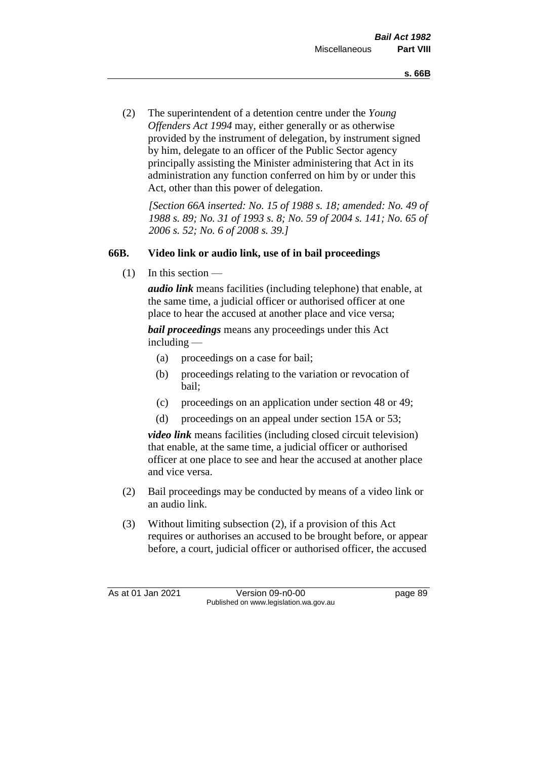(2) The superintendent of a detention centre under the *Young Offenders Act 1994* may, either generally or as otherwise provided by the instrument of delegation, by instrument signed by him, delegate to an officer of the Public Sector agency principally assisting the Minister administering that Act in its administration any function conferred on him by or under this Act, other than this power of delegation.

*[Section 66A inserted: No. 15 of 1988 s. 18; amended: No. 49 of 1988 s. 89; No. 31 of 1993 s. 8; No. 59 of 2004 s. 141; No. 65 of 2006 s. 52; No. 6 of 2008 s. 39.]* 

# **66B. Video link or audio link, use of in bail proceedings**

 $(1)$  In this section —

*audio link* means facilities (including telephone) that enable, at the same time, a judicial officer or authorised officer at one place to hear the accused at another place and vice versa;

*bail proceedings* means any proceedings under this Act including —

- (a) proceedings on a case for bail;
- (b) proceedings relating to the variation or revocation of bail;
- (c) proceedings on an application under section 48 or 49;
- (d) proceedings on an appeal under section 15A or 53;

*video link* means facilities (including closed circuit television) that enable, at the same time, a judicial officer or authorised officer at one place to see and hear the accused at another place and vice versa.

- (2) Bail proceedings may be conducted by means of a video link or an audio link.
- (3) Without limiting subsection (2), if a provision of this Act requires or authorises an accused to be brought before, or appear before, a court, judicial officer or authorised officer, the accused

As at 01 Jan 2021 Version 09-n0-00 Page 89 Published on www.legislation.wa.gov.au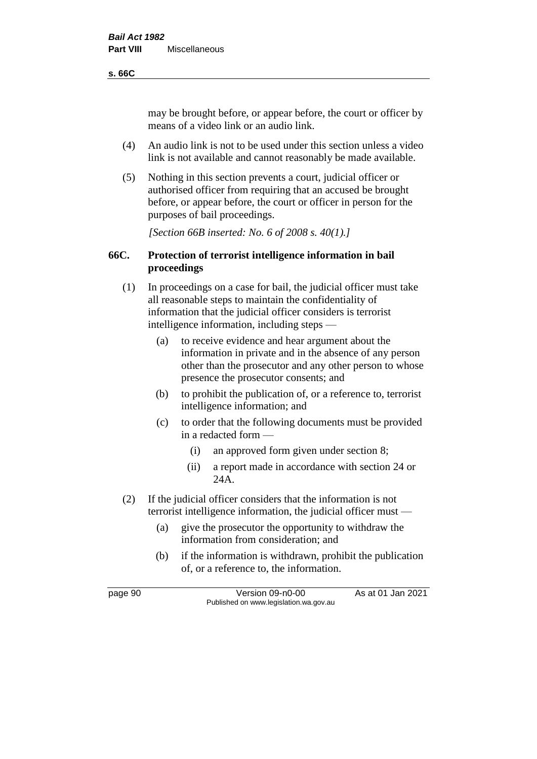#### **s. 66C**

may be brought before, or appear before, the court or officer by means of a video link or an audio link.

- (4) An audio link is not to be used under this section unless a video link is not available and cannot reasonably be made available.
- (5) Nothing in this section prevents a court, judicial officer or authorised officer from requiring that an accused be brought before, or appear before, the court or officer in person for the purposes of bail proceedings.

*[Section 66B inserted: No. 6 of 2008 s. 40(1).]*

## **66C. Protection of terrorist intelligence information in bail proceedings**

- (1) In proceedings on a case for bail, the judicial officer must take all reasonable steps to maintain the confidentiality of information that the judicial officer considers is terrorist intelligence information, including steps —
	- (a) to receive evidence and hear argument about the information in private and in the absence of any person other than the prosecutor and any other person to whose presence the prosecutor consents; and
	- (b) to prohibit the publication of, or a reference to, terrorist intelligence information; and
	- (c) to order that the following documents must be provided in a redacted form —
		- (i) an approved form given under section 8;
		- (ii) a report made in accordance with section 24 or 24A.
- (2) If the judicial officer considers that the information is not terrorist intelligence information, the judicial officer must —
	- (a) give the prosecutor the opportunity to withdraw the information from consideration; and
	- (b) if the information is withdrawn, prohibit the publication of, or a reference to, the information.

page 90 Version 09-n0-00 As at 01 Jan 2021 Published on www.legislation.wa.gov.au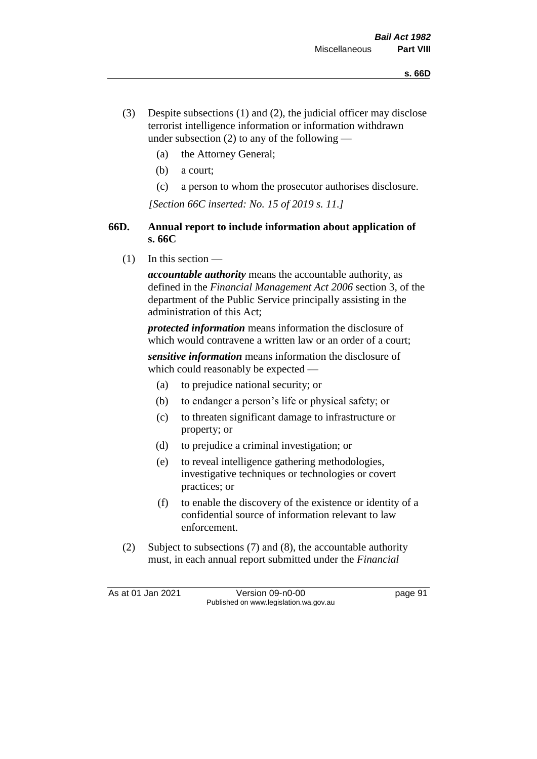- (3) Despite subsections (1) and (2), the judicial officer may disclose terrorist intelligence information or information withdrawn under subsection  $(2)$  to any of the following —
	- (a) the Attorney General;
	- (b) a court;
	- (c) a person to whom the prosecutor authorises disclosure.

*[Section 66C inserted: No. 15 of 2019 s. 11.]*

# **66D. Annual report to include information about application of s. 66C**

 $(1)$  In this section —

*accountable authority* means the accountable authority, as defined in the *Financial Management Act 2006* section 3, of the department of the Public Service principally assisting in the administration of this Act;

*protected information* means information the disclosure of which would contravene a written law or an order of a court;

*sensitive information* means information the disclosure of which could reasonably be expected —

- (a) to prejudice national security; or
- (b) to endanger a person's life or physical safety; or
- (c) to threaten significant damage to infrastructure or property; or
- (d) to prejudice a criminal investigation; or
- (e) to reveal intelligence gathering methodologies, investigative techniques or technologies or covert practices; or
- (f) to enable the discovery of the existence or identity of a confidential source of information relevant to law enforcement.
- (2) Subject to subsections (7) and (8), the accountable authority must, in each annual report submitted under the *Financial*

As at 01 Jan 2021 Version 09-n0-00 Page 91 Published on www.legislation.wa.gov.au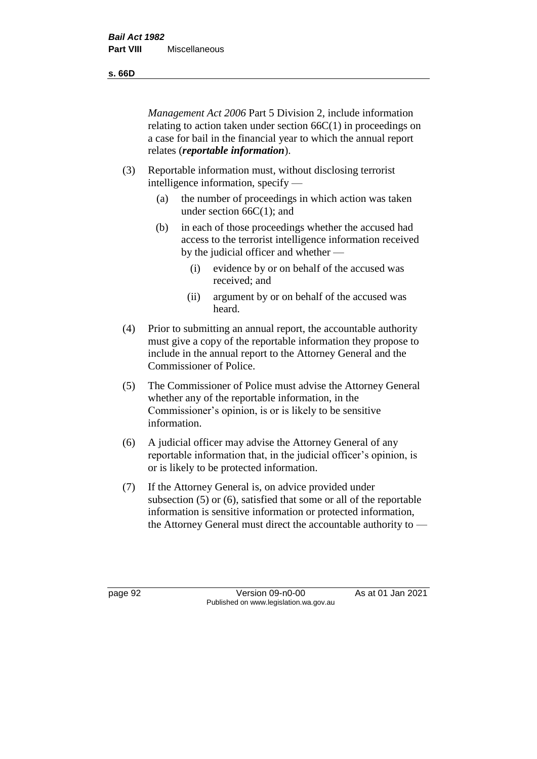**s. 66D**

*Management Act 2006* Part 5 Division 2, include information relating to action taken under section 66C(1) in proceedings on a case for bail in the financial year to which the annual report relates (*reportable information*).

- (3) Reportable information must, without disclosing terrorist intelligence information, specify —
	- (a) the number of proceedings in which action was taken under section  $66C(1)$ ; and
	- (b) in each of those proceedings whether the accused had access to the terrorist intelligence information received by the judicial officer and whether —
		- (i) evidence by or on behalf of the accused was received; and
		- (ii) argument by or on behalf of the accused was heard.
- (4) Prior to submitting an annual report, the accountable authority must give a copy of the reportable information they propose to include in the annual report to the Attorney General and the Commissioner of Police.
- (5) The Commissioner of Police must advise the Attorney General whether any of the reportable information, in the Commissioner's opinion, is or is likely to be sensitive information.
- (6) A judicial officer may advise the Attorney General of any reportable information that, in the judicial officer's opinion, is or is likely to be protected information.
- (7) If the Attorney General is, on advice provided under subsection (5) or (6), satisfied that some or all of the reportable information is sensitive information or protected information, the Attorney General must direct the accountable authority to —

page 92 Version 09-n0-00 As at 01 Jan 2021 Published on www.legislation.wa.gov.au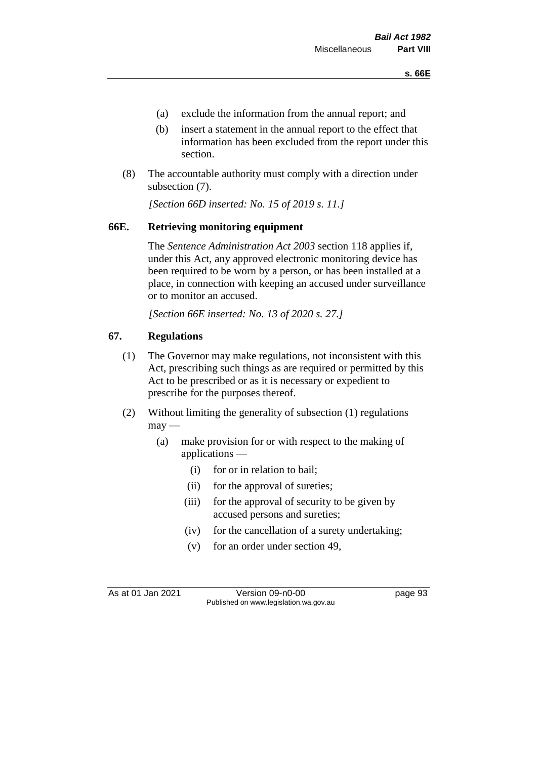- (a) exclude the information from the annual report; and
- (b) insert a statement in the annual report to the effect that information has been excluded from the report under this section.
- (8) The accountable authority must comply with a direction under subsection (7).

*[Section 66D inserted: No. 15 of 2019 s. 11.]*

#### **66E. Retrieving monitoring equipment**

The *Sentence Administration Act 2003* section 118 applies if, under this Act, any approved electronic monitoring device has been required to be worn by a person, or has been installed at a place, in connection with keeping an accused under surveillance or to monitor an accused.

*[Section 66E inserted: No. 13 of 2020 s. 27.]*

#### **67. Regulations**

- (1) The Governor may make regulations, not inconsistent with this Act, prescribing such things as are required or permitted by this Act to be prescribed or as it is necessary or expedient to prescribe for the purposes thereof.
- (2) Without limiting the generality of subsection (1) regulations  $may$ —
	- (a) make provision for or with respect to the making of applications —
		- (i) for or in relation to bail;
		- (ii) for the approval of sureties;
		- (iii) for the approval of security to be given by accused persons and sureties;
		- (iv) for the cancellation of a surety undertaking;
		- (v) for an order under section 49,

As at 01 Jan 2021 Version 09-n0-00 Page 93 Published on www.legislation.wa.gov.au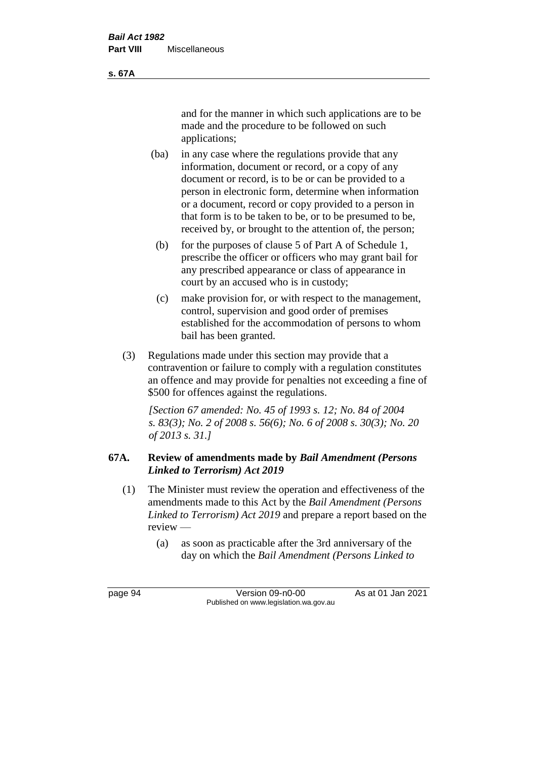and for the manner in which such applications are to be made and the procedure to be followed on such applications;

- (ba) in any case where the regulations provide that any information, document or record, or a copy of any document or record, is to be or can be provided to a person in electronic form, determine when information or a document, record or copy provided to a person in that form is to be taken to be, or to be presumed to be, received by, or brought to the attention of, the person;
	- (b) for the purposes of clause 5 of Part A of Schedule 1, prescribe the officer or officers who may grant bail for any prescribed appearance or class of appearance in court by an accused who is in custody;
	- (c) make provision for, or with respect to the management, control, supervision and good order of premises established for the accommodation of persons to whom bail has been granted.
- (3) Regulations made under this section may provide that a contravention or failure to comply with a regulation constitutes an offence and may provide for penalties not exceeding a fine of \$500 for offences against the regulations.

*[Section 67 amended: No. 45 of 1993 s. 12; No. 84 of 2004 s. 83(3); No. 2 of 2008 s. 56(6); No. 6 of 2008 s. 30(3); No. 20 of 2013 s. 31.]* 

# **67A. Review of amendments made by** *Bail Amendment (Persons Linked to Terrorism) Act 2019*

- (1) The Minister must review the operation and effectiveness of the amendments made to this Act by the *Bail Amendment (Persons Linked to Terrorism) Act 2019* and prepare a report based on the review —
	- (a) as soon as practicable after the 3rd anniversary of the day on which the *Bail Amendment (Persons Linked to*

page 94 Version 09-n0-00 As at 01 Jan 2021 Published on www.legislation.wa.gov.au

**s. 67A**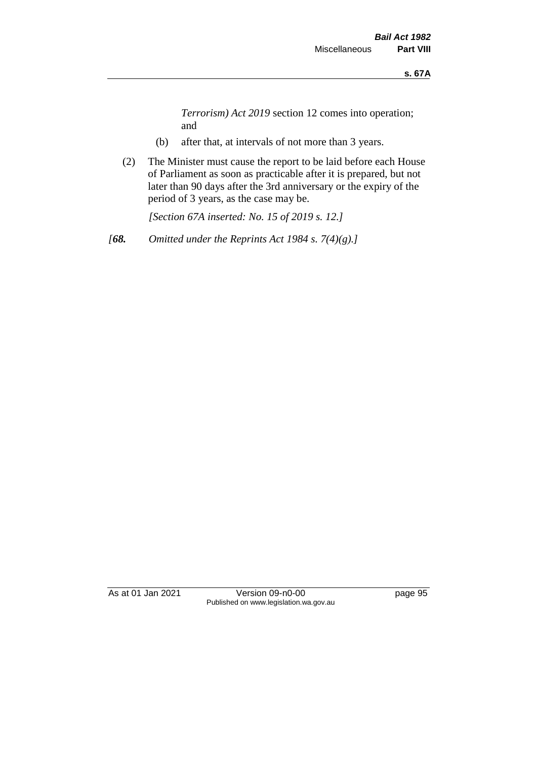*Terrorism) Act 2019* section 12 comes into operation; and

- (b) after that, at intervals of not more than 3 years.
- (2) The Minister must cause the report to be laid before each House of Parliament as soon as practicable after it is prepared, but not later than 90 days after the 3rd anniversary or the expiry of the period of 3 years, as the case may be.

*[Section 67A inserted: No. 15 of 2019 s. 12.]*

*[68. Omitted under the Reprints Act 1984 s. 7(4)(g).]*

As at 01 Jan 2021 Version 09-n0-00 page 95 Published on www.legislation.wa.gov.au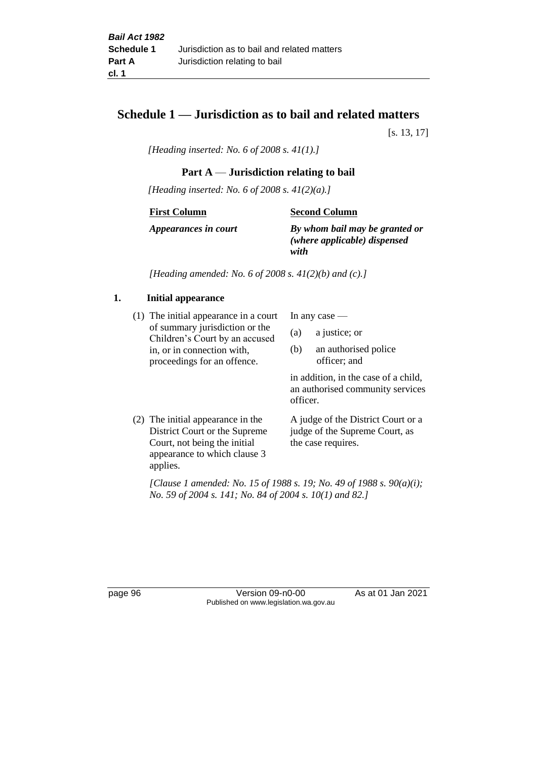# **Schedule 1 — Jurisdiction as to bail and related matters**

[s. 13, 17]

*[Heading inserted: No. 6 of 2008 s. 41(1).]*

## **Part A** — **Jurisdiction relating to bail**

*[Heading inserted: No. 6 of 2008 s. 41(2)(a).]*

**First Column**

**Second Column**

*Appearances in court*

*By whom bail may be granted or (where applicable) dispensed* 

*with*

*[Heading amended: No. 6 of 2008 s. 41(2)(b) and (c).]*

#### **1. Initial appearance**

(1) The initial appearance in a court of summary jurisdiction or the Children's Court by an accused in, or in connection with, proceedings for an offence.

In any case —

- (a) a justice; or
- (b) an authorised police officer; and

in addition, in the case of a child, an authorised community services officer.

(2) The initial appearance in the District Court or the Supreme Court, not being the initial appearance to which clause 3 applies. A judge of the District Court or a judge of the Supreme Court, as the case requires.

*[Clause 1 amended: No. 15 of 1988 s. 19; No. 49 of 1988 s. 90(a)(i); No. 59 of 2004 s. 141; No. 84 of 2004 s. 10(1) and 82.]*

page 96 Version 09-n0-00 As at 01 Jan 2021 Published on www.legislation.wa.gov.au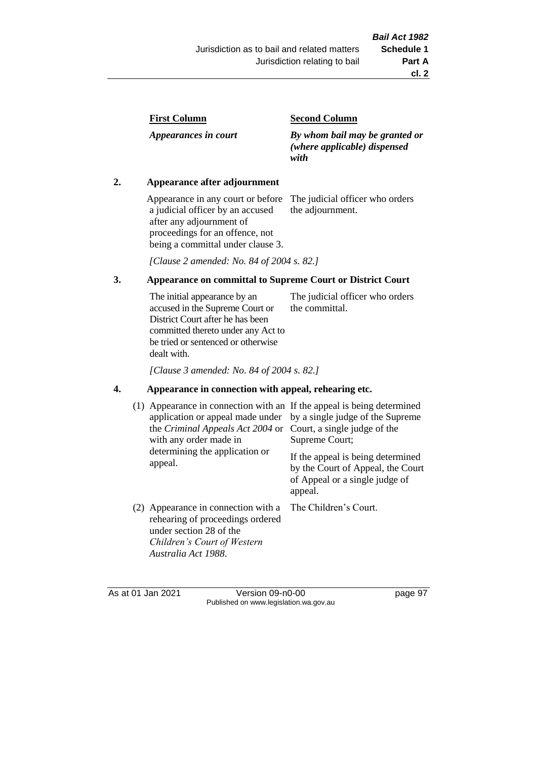| <b>First Column</b> |
|---------------------|
|---------------------|

*Appearances in court*

#### **Second Column**

*By whom bail may be granted or (where applicable) dispensed with*

#### **2. Appearance after adjournment**

Appearance in any court or before a judicial officer by an accused after any adjournment of proceedings for an offence, not being a committal under clause 3.

The judicial officer who orders the adjournment.

*[Clause 2 amended: No. 84 of 2004 s. 82.]*

# **3. Appearance on committal to Supreme Court or District Court**

The initial appearance by an accused in the Supreme Court or District Court after he has been committed thereto under any Act to be tried or sentenced or otherwise dealt with. The judicial officer who orders the committal.

*[Clause 3 amended: No. 84 of 2004 s. 82.]*

#### **4. Appearance in connection with appeal, rehearing etc.**

| (1) Appearance in connection with an If the appeal is being determined<br>application or appeal made under<br>the Criminal Appeals Act 2004 or<br>with any order made in<br>determining the application or<br>appeal. | by a single judge of the Supreme<br>Court, a single judge of the<br>Supreme Court;<br>If the appeal is being determined<br>by the Court of Appeal, the Court<br>of Appeal or a single judge of<br>appeal. |
|-----------------------------------------------------------------------------------------------------------------------------------------------------------------------------------------------------------------------|-----------------------------------------------------------------------------------------------------------------------------------------------------------------------------------------------------------|
| (2) Appearance in connection with a<br>rehearing of proceedings ordered<br>under section 28 of the<br>Children's Court of Western<br>Australia Act 1988.                                                              | The Children's Court.                                                                                                                                                                                     |

As at 01 Jan 2021 Version 09-n0-00 page 97 Published on www.legislation.wa.gov.au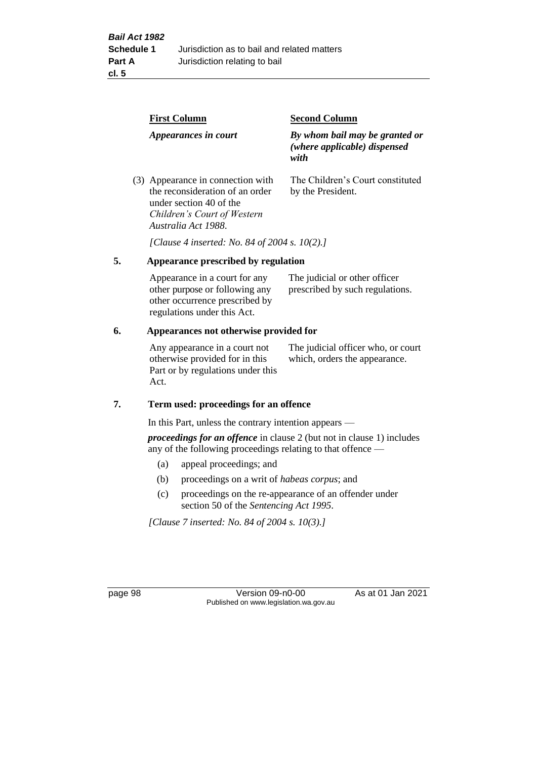|    | <b>First Column</b>                                                                                                                                   | <b>Second Column</b>                                                   |  |
|----|-------------------------------------------------------------------------------------------------------------------------------------------------------|------------------------------------------------------------------------|--|
|    | Appearances in court                                                                                                                                  | By whom bail may be granted or<br>(where applicable) dispensed<br>with |  |
|    | (3) Appearance in connection with<br>the reconsideration of an order<br>under section 40 of the<br>Children's Court of Western<br>Australia Act 1988. | The Children's Court constituted<br>by the President.                  |  |
|    | [Clause 4 inserted: No. 84 of 2004 s. 10(2).]                                                                                                         |                                                                        |  |
| 5. | Appearance prescribed by regulation                                                                                                                   |                                                                        |  |
|    | Appearance in a court for any<br>other purpose or following any<br>other occurrence prescribed by                                                     | The judicial or other officer<br>prescribed by such regulations.       |  |

#### **6. Appearances not otherwise provided for**

regulations under this Act.

Any appearance in a court not otherwise provided for in this Part or by regulations under this Act.

The judicial officer who, or court which, orders the appearance.

#### **7. Term used: proceedings for an offence**

In this Part, unless the contrary intention appears —

*proceedings for an offence* in clause 2 (but not in clause 1) includes any of the following proceedings relating to that offence —

- (a) appeal proceedings; and
- (b) proceedings on a writ of *habeas corpus*; and
- (c) proceedings on the re-appearance of an offender under section 50 of the *Sentencing Act 1995*.

*[Clause 7 inserted: No. 84 of 2004 s. 10(3).]*

page 98 Version 09-n0-00 As at 01 Jan 2021 Published on www.legislation.wa.gov.au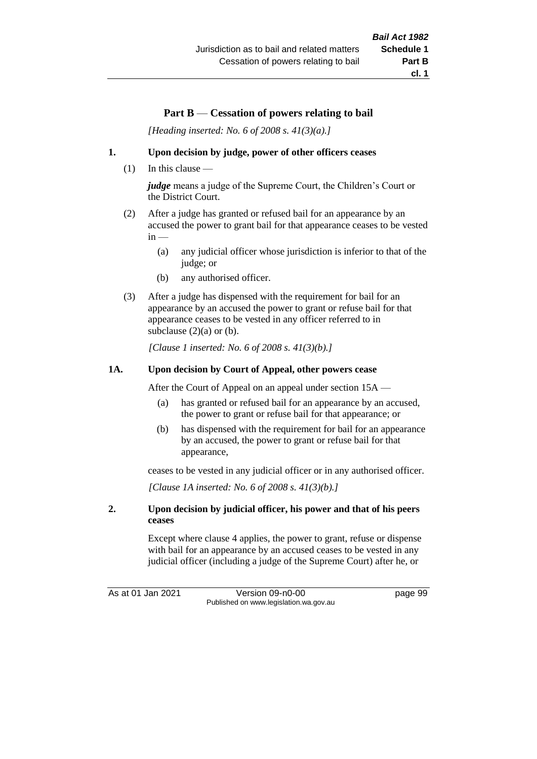# **Part B** — **Cessation of powers relating to bail**

*[Heading inserted: No. 6 of 2008 s. 41(3)(a).]*

#### **1. Upon decision by judge, power of other officers ceases**

(1) In this clause —

*judge* means a judge of the Supreme Court, the Children's Court or the District Court.

- (2) After a judge has granted or refused bail for an appearance by an accused the power to grant bail for that appearance ceases to be vested  $in -$ 
	- (a) any judicial officer whose jurisdiction is inferior to that of the judge; or
	- (b) any authorised officer.
- (3) After a judge has dispensed with the requirement for bail for an appearance by an accused the power to grant or refuse bail for that appearance ceases to be vested in any officer referred to in subclause  $(2)(a)$  or  $(b)$ .

*[Clause 1 inserted: No. 6 of 2008 s. 41(3)(b).]*

#### **1A. Upon decision by Court of Appeal, other powers cease**

After the Court of Appeal on an appeal under section 15A —

- (a) has granted or refused bail for an appearance by an accused, the power to grant or refuse bail for that appearance; or
- (b) has dispensed with the requirement for bail for an appearance by an accused, the power to grant or refuse bail for that appearance,

ceases to be vested in any judicial officer or in any authorised officer.

*[Clause 1A inserted: No. 6 of 2008 s. 41(3)(b).]*

#### **2. Upon decision by judicial officer, his power and that of his peers ceases**

Except where clause 4 applies, the power to grant, refuse or dispense with bail for an appearance by an accused ceases to be vested in any judicial officer (including a judge of the Supreme Court) after he, or

As at 01 Jan 2021 Version 09-n0-00 page 99 Published on www.legislation.wa.gov.au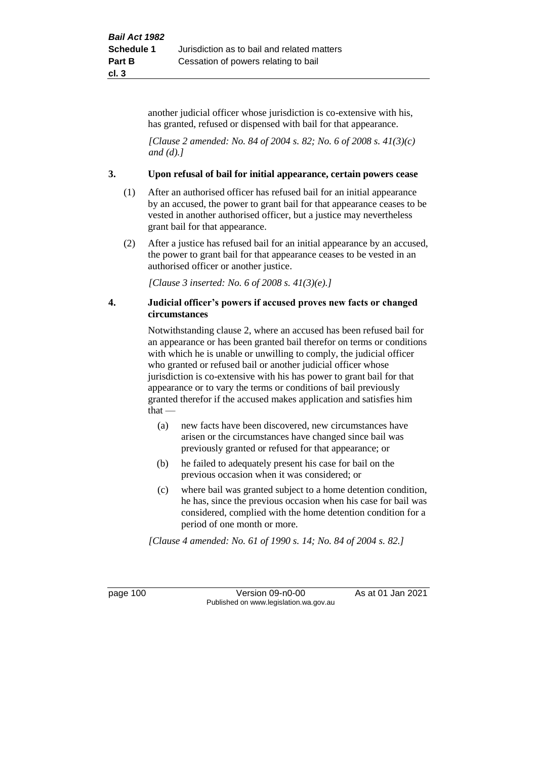another judicial officer whose jurisdiction is co-extensive with his, has granted, refused or dispensed with bail for that appearance.

*[Clause 2 amended: No. 84 of 2004 s. 82; No. 6 of 2008 s. 41(3)(c) and (d).]*

#### **3. Upon refusal of bail for initial appearance, certain powers cease**

- (1) After an authorised officer has refused bail for an initial appearance by an accused, the power to grant bail for that appearance ceases to be vested in another authorised officer, but a justice may nevertheless grant bail for that appearance.
- (2) After a justice has refused bail for an initial appearance by an accused, the power to grant bail for that appearance ceases to be vested in an authorised officer or another justice.

*[Clause 3 inserted: No. 6 of 2008 s. 41(3)(e).]*

#### **4. Judicial officer's powers if accused proves new facts or changed circumstances**

Notwithstanding clause 2, where an accused has been refused bail for an appearance or has been granted bail therefor on terms or conditions with which he is unable or unwilling to comply, the judicial officer who granted or refused bail or another judicial officer whose jurisdiction is co-extensive with his has power to grant bail for that appearance or to vary the terms or conditions of bail previously granted therefor if the accused makes application and satisfies him that —

- (a) new facts have been discovered, new circumstances have arisen or the circumstances have changed since bail was previously granted or refused for that appearance; or
- (b) he failed to adequately present his case for bail on the previous occasion when it was considered; or
- (c) where bail was granted subject to a home detention condition, he has, since the previous occasion when his case for bail was considered, complied with the home detention condition for a period of one month or more.

*[Clause 4 amended: No. 61 of 1990 s. 14; No. 84 of 2004 s. 82.]*

page 100 Version 09-n0-00 As at 01 Jan 2021 Published on www.legislation.wa.gov.au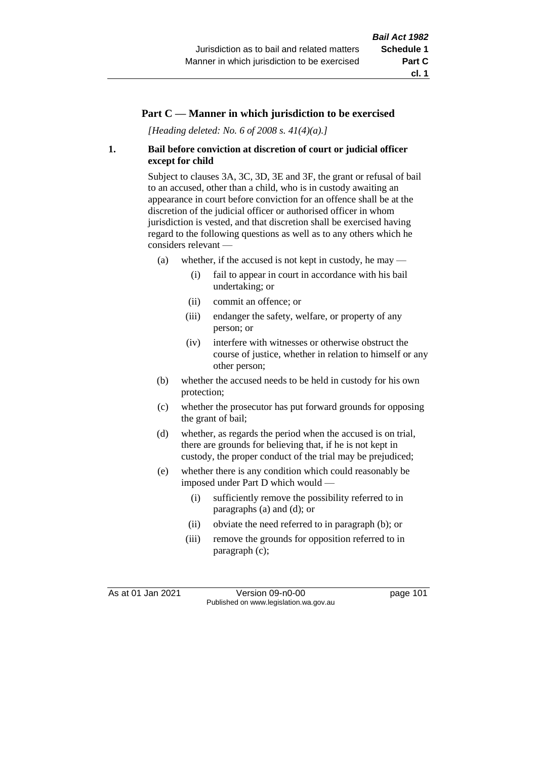### **Part C — Manner in which jurisdiction to be exercised**

*[Heading deleted: No. 6 of 2008 s. 41(4)(a).]*

#### **1. Bail before conviction at discretion of court or judicial officer except for child**

Subject to clauses 3A, 3C, 3D, 3E and 3F, the grant or refusal of bail to an accused, other than a child, who is in custody awaiting an appearance in court before conviction for an offence shall be at the discretion of the judicial officer or authorised officer in whom jurisdiction is vested, and that discretion shall be exercised having regard to the following questions as well as to any others which he considers relevant —

- (a) whether, if the accused is not kept in custody, he may  $-$ 
	- (i) fail to appear in court in accordance with his bail undertaking; or
	- (ii) commit an offence; or
	- (iii) endanger the safety, welfare, or property of any person; or
	- (iv) interfere with witnesses or otherwise obstruct the course of justice, whether in relation to himself or any other person;
- (b) whether the accused needs to be held in custody for his own protection;
- (c) whether the prosecutor has put forward grounds for opposing the grant of bail;
- (d) whether, as regards the period when the accused is on trial, there are grounds for believing that, if he is not kept in custody, the proper conduct of the trial may be prejudiced;
- (e) whether there is any condition which could reasonably be imposed under Part D which would —
	- (i) sufficiently remove the possibility referred to in paragraphs (a) and (d); or
	- (ii) obviate the need referred to in paragraph (b); or
	- (iii) remove the grounds for opposition referred to in paragraph (c);

As at 01 Jan 2021 Version 09-n0-00 page 101 Published on www.legislation.wa.gov.au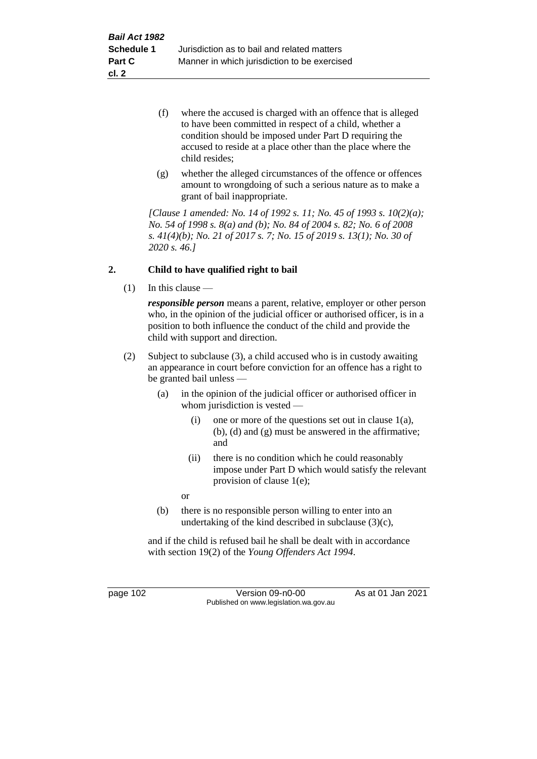- (f) where the accused is charged with an offence that is alleged to have been committed in respect of a child, whether a condition should be imposed under Part D requiring the accused to reside at a place other than the place where the child resides;
- (g) whether the alleged circumstances of the offence or offences amount to wrongdoing of such a serious nature as to make a grant of bail inappropriate.

*[Clause 1 amended: No. 14 of 1992 s. 11; No. 45 of 1993 s. 10(2)(a); No. 54 of 1998 s. 8(a) and (b); No. 84 of 2004 s. 82; No. 6 of 2008 s. 41(4)(b); No. 21 of 2017 s. 7; No. 15 of 2019 s. 13(1); No. 30 of 2020 s. 46.]*

# **2. Child to have qualified right to bail**

 $(1)$  In this clause —

*responsible person* means a parent, relative, employer or other person who, in the opinion of the judicial officer or authorised officer, is in a position to both influence the conduct of the child and provide the child with support and direction.

- (2) Subject to subclause (3), a child accused who is in custody awaiting an appearance in court before conviction for an offence has a right to be granted bail unless —
	- (a) in the opinion of the judicial officer or authorised officer in whom jurisdiction is vested —
		- (i) one or more of the questions set out in clause 1(a), (b), (d) and (g) must be answered in the affirmative; and
		- (ii) there is no condition which he could reasonably impose under Part D which would satisfy the relevant provision of clause 1(e);
		- or
	- (b) there is no responsible person willing to enter into an undertaking of the kind described in subclause  $(3)(c)$ ,

and if the child is refused bail he shall be dealt with in accordance with section 19(2) of the *Young Offenders Act 1994*.

page 102 Version 09-n0-00 As at 01 Jan 2021 Published on www.legislation.wa.gov.au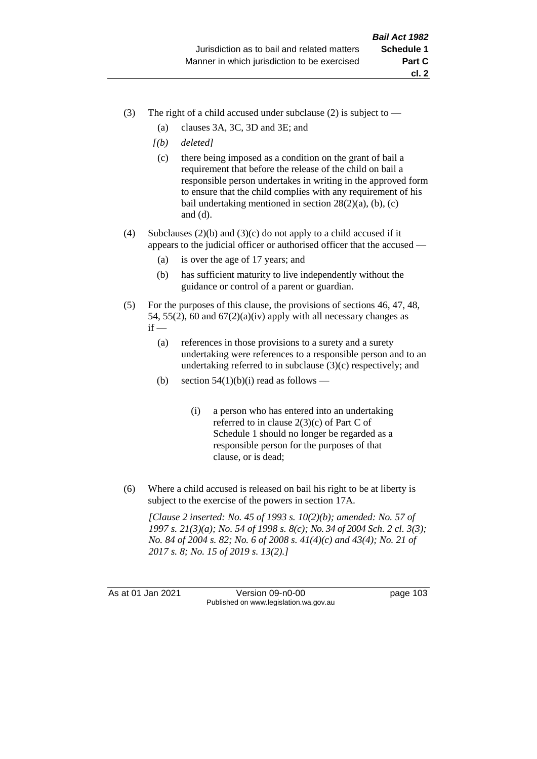- (3) The right of a child accused under subclause (2) is subject to  $-$ 
	- (a) clauses 3A, 3C, 3D and 3E; and
	- *[(b) deleted]*
	- (c) there being imposed as a condition on the grant of bail a requirement that before the release of the child on bail a responsible person undertakes in writing in the approved form to ensure that the child complies with any requirement of his bail undertaking mentioned in section  $28(2)(a)$ , (b), (c) and (d).
- (4) Subclauses (2)(b) and (3)(c) do not apply to a child accused if it appears to the judicial officer or authorised officer that the accused —
	- (a) is over the age of 17 years; and
	- (b) has sufficient maturity to live independently without the guidance or control of a parent or guardian.
- (5) For the purposes of this clause, the provisions of sections 46, 47, 48, 54, 55(2), 60 and  $67(2)(a)(iv)$  apply with all necessary changes as  $if -$ 
	- (a) references in those provisions to a surety and a surety undertaking were references to a responsible person and to an undertaking referred to in subclause (3)(c) respectively; and
	- (b) section  $54(1)(b)(i)$  read as follows
		- (i) a person who has entered into an undertaking referred to in clause  $2(3)(c)$  of Part C of Schedule 1 should no longer be regarded as a responsible person for the purposes of that clause, or is dead;
- (6) Where a child accused is released on bail his right to be at liberty is subject to the exercise of the powers in section 17A.

*[Clause 2 inserted: No. 45 of 1993 s. 10(2)(b); amended: No. 57 of 1997 s. 21(3)(a); No. 54 of 1998 s. 8(c); No. 34 of 2004 Sch. 2 cl. 3(3); No. 84 of 2004 s. 82; No. 6 of 2008 s. 41(4)(c) and 43(4); No. 21 of 2017 s. 8; No. 15 of 2019 s. 13(2).]*

As at 01 Jan 2021 Version 09-n0-00 page 103 Published on www.legislation.wa.gov.au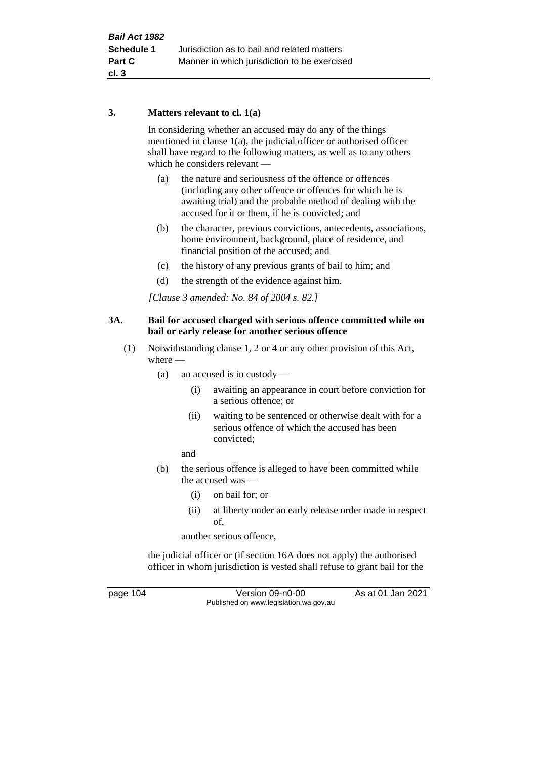#### **3. Matters relevant to cl. 1(a)**

In considering whether an accused may do any of the things mentioned in clause 1(a), the judicial officer or authorised officer shall have regard to the following matters, as well as to any others which he considers relevant —

- (a) the nature and seriousness of the offence or offences (including any other offence or offences for which he is awaiting trial) and the probable method of dealing with the accused for it or them, if he is convicted; and
- (b) the character, previous convictions, antecedents, associations, home environment, background, place of residence, and financial position of the accused; and
- (c) the history of any previous grants of bail to him; and
- (d) the strength of the evidence against him.

*[Clause 3 amended: No. 84 of 2004 s. 82.]*

#### **3A. Bail for accused charged with serious offence committed while on bail or early release for another serious offence**

- (1) Notwithstanding clause 1, 2 or 4 or any other provision of this Act, where —
	- (a) an accused is in custody
		- (i) awaiting an appearance in court before conviction for a serious offence; or
		- (ii) waiting to be sentenced or otherwise dealt with for a serious offence of which the accused has been convicted;

and

- (b) the serious offence is alleged to have been committed while the accused was —
	- (i) on bail for; or
	- (ii) at liberty under an early release order made in respect of,

another serious offence,

the judicial officer or (if section 16A does not apply) the authorised officer in whom jurisdiction is vested shall refuse to grant bail for the

page 104 Version 09-n0-00 As at 01 Jan 2021 Published on www.legislation.wa.gov.au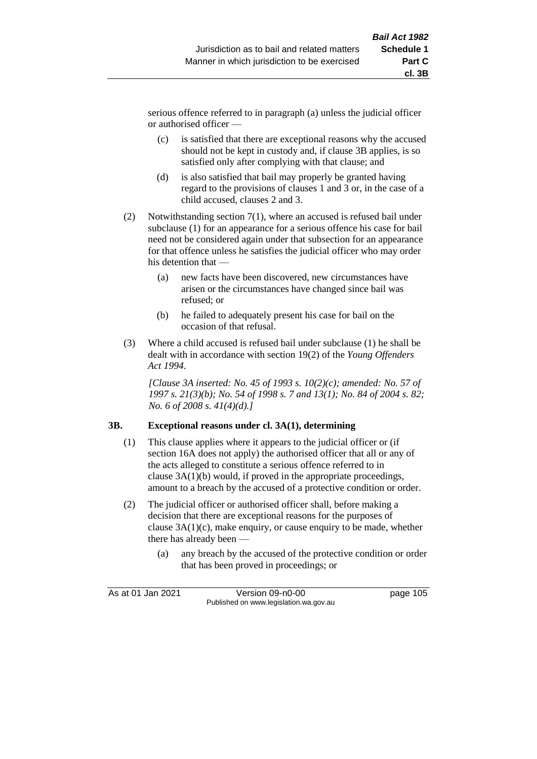serious offence referred to in paragraph (a) unless the judicial officer or authorised officer —

- (c) is satisfied that there are exceptional reasons why the accused should not be kept in custody and, if clause 3B applies, is so satisfied only after complying with that clause; and
- (d) is also satisfied that bail may properly be granted having regard to the provisions of clauses 1 and 3 or, in the case of a child accused, clauses 2 and 3.
- (2) Notwithstanding section 7(1), where an accused is refused bail under subclause (1) for an appearance for a serious offence his case for bail need not be considered again under that subsection for an appearance for that offence unless he satisfies the judicial officer who may order his detention that —
	- (a) new facts have been discovered, new circumstances have arisen or the circumstances have changed since bail was refused; or
	- (b) he failed to adequately present his case for bail on the occasion of that refusal.
- (3) Where a child accused is refused bail under subclause (1) he shall be dealt with in accordance with section 19(2) of the *Young Offenders Act 1994*.

*[Clause 3A inserted: No. 45 of 1993 s. 10(2)(c); amended: No. 57 of 1997 s. 21(3)(b); No. 54 of 1998 s. 7 and 13(1); No. 84 of 2004 s. 82; No. 6 of 2008 s. 41(4)(d).]*

#### **3B. Exceptional reasons under cl. 3A(1), determining**

- (1) This clause applies where it appears to the judicial officer or (if section 16A does not apply) the authorised officer that all or any of the acts alleged to constitute a serious offence referred to in clause 3A(1)(b) would, if proved in the appropriate proceedings, amount to a breach by the accused of a protective condition or order.
- (2) The judicial officer or authorised officer shall, before making a decision that there are exceptional reasons for the purposes of clause 3A(1)(c), make enquiry, or cause enquiry to be made, whether there has already been —
	- (a) any breach by the accused of the protective condition or order that has been proved in proceedings; or

As at 01 Jan 2021 Version 09-n0-00 page 105 Published on www.legislation.wa.gov.au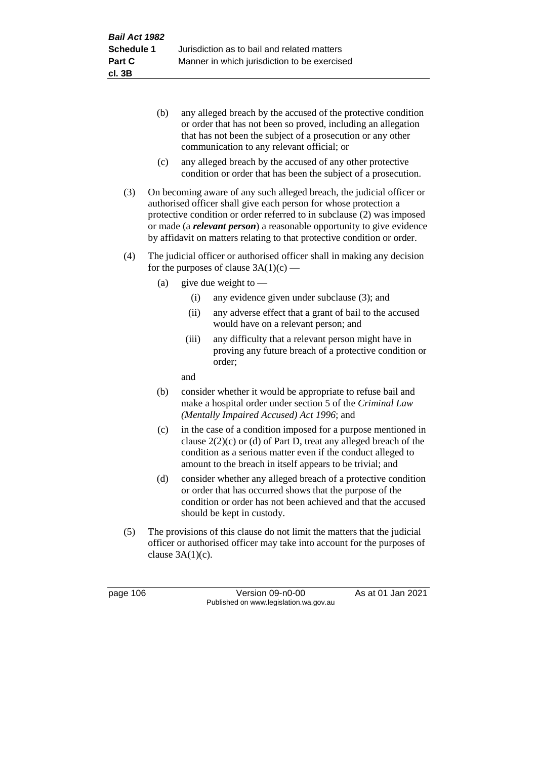- (b) any alleged breach by the accused of the protective condition or order that has not been so proved, including an allegation that has not been the subject of a prosecution or any other communication to any relevant official; or
- (c) any alleged breach by the accused of any other protective condition or order that has been the subject of a prosecution.
- (3) On becoming aware of any such alleged breach, the judicial officer or authorised officer shall give each person for whose protection a protective condition or order referred to in subclause (2) was imposed or made (a *relevant person*) a reasonable opportunity to give evidence by affidavit on matters relating to that protective condition or order.
- (4) The judicial officer or authorised officer shall in making any decision for the purposes of clause  $3A(1)(c)$  —
	- (a) give due weight to  $-$ 
		- (i) any evidence given under subclause (3); and
		- (ii) any adverse effect that a grant of bail to the accused would have on a relevant person; and
		- (iii) any difficulty that a relevant person might have in proving any future breach of a protective condition or order;

and

- (b) consider whether it would be appropriate to refuse bail and make a hospital order under section 5 of the *Criminal Law (Mentally Impaired Accused) Act 1996*; and
- (c) in the case of a condition imposed for a purpose mentioned in clause 2(2)(c) or (d) of Part D, treat any alleged breach of the condition as a serious matter even if the conduct alleged to amount to the breach in itself appears to be trivial; and
- (d) consider whether any alleged breach of a protective condition or order that has occurred shows that the purpose of the condition or order has not been achieved and that the accused should be kept in custody.
- (5) The provisions of this clause do not limit the matters that the judicial officer or authorised officer may take into account for the purposes of clause  $3A(1)(c)$ .

page 106 Version 09-n0-00 As at 01 Jan 2021 Published on www.legislation.wa.gov.au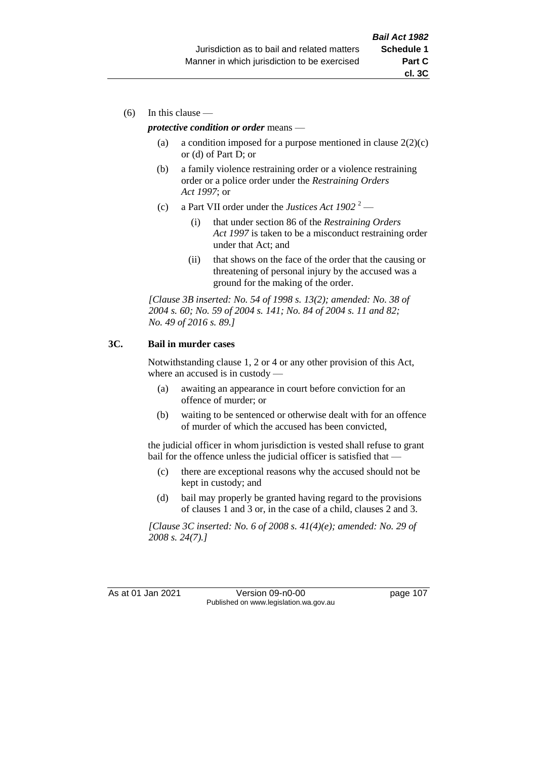(6) In this clause —

#### *protective condition or order* means —

- (a) a condition imposed for a purpose mentioned in clause  $2(2)(c)$ or (d) of Part D; or
- (b) a family violence restraining order or a violence restraining order or a police order under the *Restraining Orders Act 1997*; or
- (c) a Part VII order under the *Justices Act 1902* <sup>2</sup>
	- (i) that under section 86 of the *Restraining Orders Act 1997* is taken to be a misconduct restraining order under that Act; and
	- (ii) that shows on the face of the order that the causing or threatening of personal injury by the accused was a ground for the making of the order.

*[Clause 3B inserted: No. 54 of 1998 s. 13(2); amended: No. 38 of 2004 s. 60; No. 59 of 2004 s. 141; No. 84 of 2004 s. 11 and 82; No. 49 of 2016 s. 89.]*

#### **3C. Bail in murder cases**

Notwithstanding clause 1, 2 or 4 or any other provision of this Act, where an accused is in custody —

- (a) awaiting an appearance in court before conviction for an offence of murder; or
- (b) waiting to be sentenced or otherwise dealt with for an offence of murder of which the accused has been convicted,

the judicial officer in whom jurisdiction is vested shall refuse to grant bail for the offence unless the judicial officer is satisfied that —

- (c) there are exceptional reasons why the accused should not be kept in custody; and
- (d) bail may properly be granted having regard to the provisions of clauses 1 and 3 or, in the case of a child, clauses 2 and 3.

*[Clause 3C inserted: No. 6 of 2008 s. 41(4)(e); amended: No. 29 of 2008 s. 24(7).]*

As at 01 Jan 2021 Version 09-n0-00 page 107 Published on www.legislation.wa.gov.au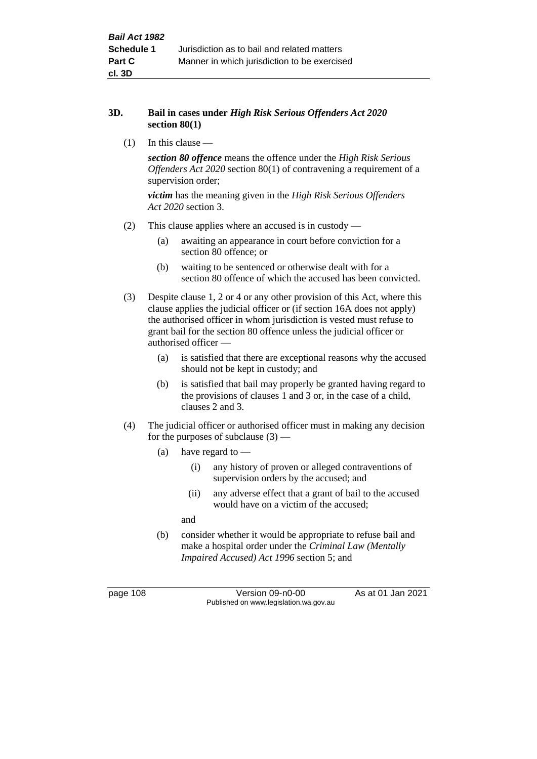#### **3D. Bail in cases under** *High Risk Serious Offenders Act 2020* **section 80(1)**

(1) In this clause —

*section 80 offence* means the offence under the *High Risk Serious Offenders Act 2020* section 80(1) of contravening a requirement of a supervision order;

*victim* has the meaning given in the *High Risk Serious Offenders Act 2020* section 3.

- (2) This clause applies where an accused is in custody
	- (a) awaiting an appearance in court before conviction for a section 80 offence; or
	- (b) waiting to be sentenced or otherwise dealt with for a section 80 offence of which the accused has been convicted.
- (3) Despite clause 1, 2 or 4 or any other provision of this Act, where this clause applies the judicial officer or (if section 16A does not apply) the authorised officer in whom jurisdiction is vested must refuse to grant bail for the section 80 offence unless the judicial officer or authorised officer —
	- (a) is satisfied that there are exceptional reasons why the accused should not be kept in custody; and
	- (b) is satisfied that bail may properly be granted having regard to the provisions of clauses 1 and 3 or, in the case of a child, clauses 2 and 3.
- (4) The judicial officer or authorised officer must in making any decision for the purposes of subclause  $(3)$  —
	- (a) have regard to  $-$ 
		- (i) any history of proven or alleged contraventions of supervision orders by the accused; and
		- (ii) any adverse effect that a grant of bail to the accused would have on a victim of the accused;

and

(b) consider whether it would be appropriate to refuse bail and make a hospital order under the *Criminal Law (Mentally Impaired Accused) Act 1996* section 5; and

page 108 Version 09-n0-00 As at 01 Jan 2021 Published on www.legislation.wa.gov.au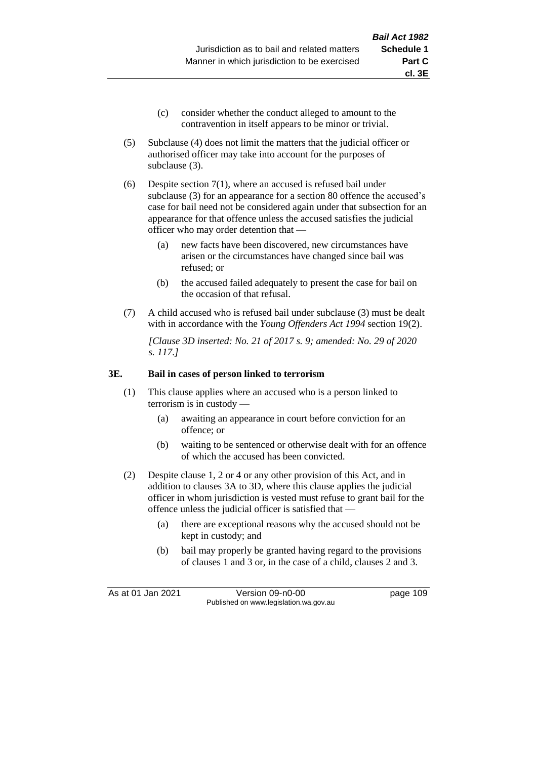- (c) consider whether the conduct alleged to amount to the contravention in itself appears to be minor or trivial.
- (5) Subclause (4) does not limit the matters that the judicial officer or authorised officer may take into account for the purposes of subclause (3).
- (6) Despite section 7(1), where an accused is refused bail under subclause (3) for an appearance for a section 80 offence the accused's case for bail need not be considered again under that subsection for an appearance for that offence unless the accused satisfies the judicial officer who may order detention that —
	- (a) new facts have been discovered, new circumstances have arisen or the circumstances have changed since bail was refused; or
	- (b) the accused failed adequately to present the case for bail on the occasion of that refusal.
- (7) A child accused who is refused bail under subclause (3) must be dealt with in accordance with the *Young Offenders Act 1994* section 19(2).

*[Clause 3D inserted: No. 21 of 2017 s. 9; amended: No. 29 of 2020 s. 117.]*

#### **3E. Bail in cases of person linked to terrorism**

- (1) This clause applies where an accused who is a person linked to terrorism is in custody —
	- (a) awaiting an appearance in court before conviction for an offence; or
	- (b) waiting to be sentenced or otherwise dealt with for an offence of which the accused has been convicted.
- (2) Despite clause 1, 2 or 4 or any other provision of this Act, and in addition to clauses 3A to 3D, where this clause applies the judicial officer in whom jurisdiction is vested must refuse to grant bail for the offence unless the judicial officer is satisfied that —
	- (a) there are exceptional reasons why the accused should not be kept in custody; and
	- (b) bail may properly be granted having regard to the provisions of clauses 1 and 3 or, in the case of a child, clauses 2 and 3.

As at 01 Jan 2021 Version 09-n0-00 page 109 Published on www.legislation.wa.gov.au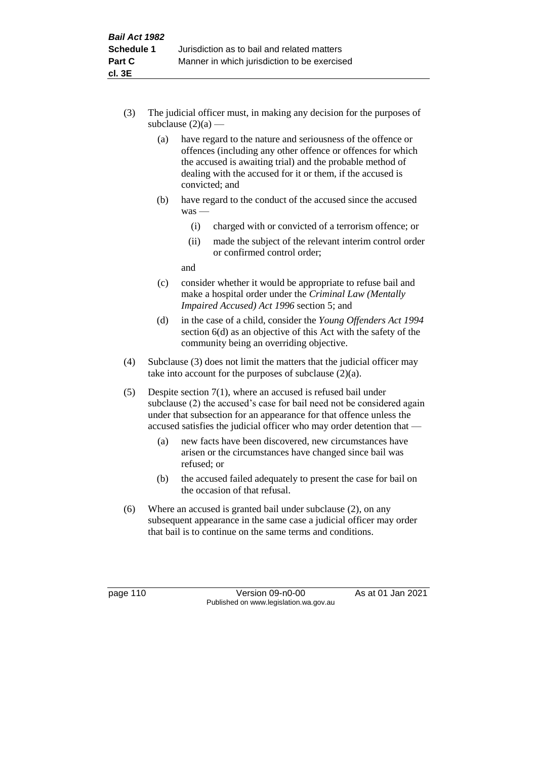- (3) The judicial officer must, in making any decision for the purposes of subclause  $(2)(a)$  —
	- (a) have regard to the nature and seriousness of the offence or offences (including any other offence or offences for which the accused is awaiting trial) and the probable method of dealing with the accused for it or them, if the accused is convicted; and
	- (b) have regard to the conduct of the accused since the accused was —
		- (i) charged with or convicted of a terrorism offence; or
		- (ii) made the subject of the relevant interim control order or confirmed control order;

and

- (c) consider whether it would be appropriate to refuse bail and make a hospital order under the *Criminal Law (Mentally Impaired Accused) Act 1996* section 5; and
- (d) in the case of a child, consider the *Young Offenders Act 1994* section 6(d) as an objective of this Act with the safety of the community being an overriding objective.
- (4) Subclause (3) does not limit the matters that the judicial officer may take into account for the purposes of subclause  $(2)(a)$ .
- (5) Despite section 7(1), where an accused is refused bail under subclause (2) the accused's case for bail need not be considered again under that subsection for an appearance for that offence unless the accused satisfies the judicial officer who may order detention that —
	- (a) new facts have been discovered, new circumstances have arisen or the circumstances have changed since bail was refused; or
	- (b) the accused failed adequately to present the case for bail on the occasion of that refusal.
- (6) Where an accused is granted bail under subclause (2), on any subsequent appearance in the same case a judicial officer may order that bail is to continue on the same terms and conditions.

page 110 Version 09-n0-00 As at 01 Jan 2021 Published on www.legislation.wa.gov.au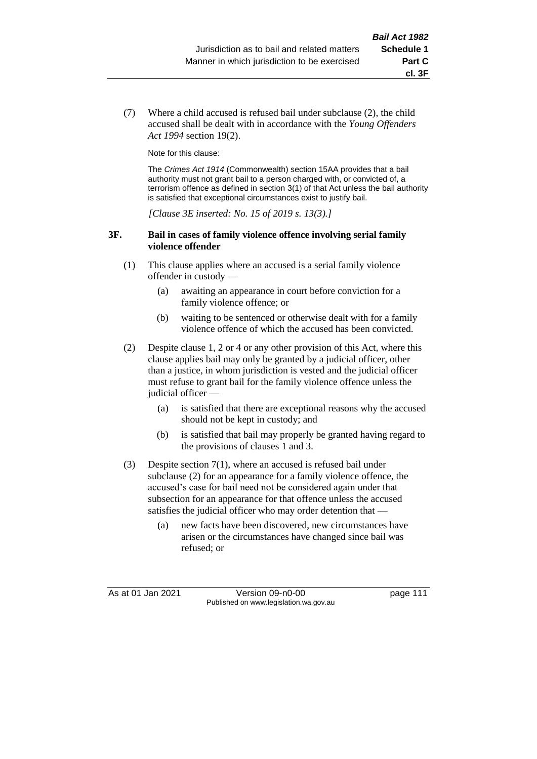(7) Where a child accused is refused bail under subclause (2), the child accused shall be dealt with in accordance with the *Young Offenders Act 1994* section 19(2).

Note for this clause:

The *Crimes Act 1914* (Commonwealth) section 15AA provides that a bail authority must not grant bail to a person charged with, or convicted of, a terrorism offence as defined in section 3(1) of that Act unless the bail authority is satisfied that exceptional circumstances exist to justify bail.

*[Clause 3E inserted: No. 15 of 2019 s. 13(3).]*

#### **3F. Bail in cases of family violence offence involving serial family violence offender**

- (1) This clause applies where an accused is a serial family violence offender in custody —
	- (a) awaiting an appearance in court before conviction for a family violence offence; or
	- (b) waiting to be sentenced or otherwise dealt with for a family violence offence of which the accused has been convicted.
- (2) Despite clause 1, 2 or 4 or any other provision of this Act, where this clause applies bail may only be granted by a judicial officer, other than a justice, in whom jurisdiction is vested and the judicial officer must refuse to grant bail for the family violence offence unless the judicial officer
	- (a) is satisfied that there are exceptional reasons why the accused should not be kept in custody; and
	- (b) is satisfied that bail may properly be granted having regard to the provisions of clauses 1 and 3.
- (3) Despite section 7(1), where an accused is refused bail under subclause (2) for an appearance for a family violence offence, the accused's case for bail need not be considered again under that subsection for an appearance for that offence unless the accused satisfies the judicial officer who may order detention that —
	- (a) new facts have been discovered, new circumstances have arisen or the circumstances have changed since bail was refused; or

As at 01 Jan 2021 Version 09-n0-00 page 111 Published on www.legislation.wa.gov.au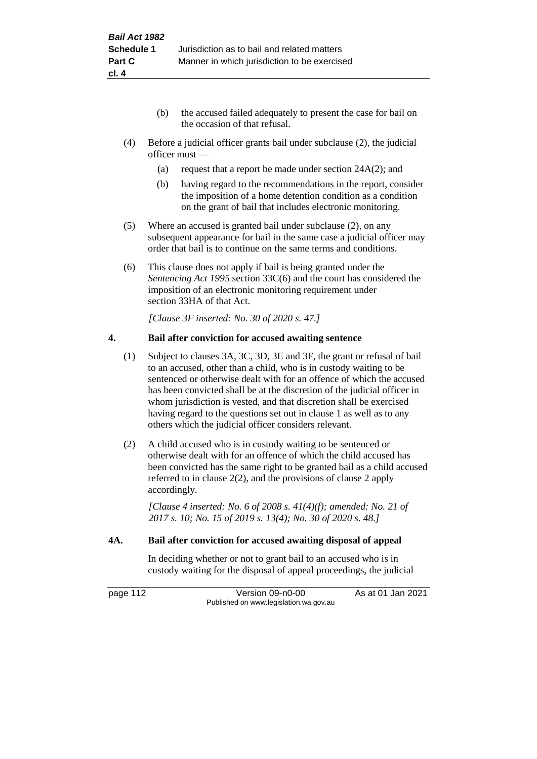- (b) the accused failed adequately to present the case for bail on the occasion of that refusal.
- (4) Before a judicial officer grants bail under subclause (2), the judicial officer must —
	- (a) request that a report be made under section  $24A(2)$ ; and
	- (b) having regard to the recommendations in the report, consider the imposition of a home detention condition as a condition on the grant of bail that includes electronic monitoring.
- (5) Where an accused is granted bail under subclause (2), on any subsequent appearance for bail in the same case a judicial officer may order that bail is to continue on the same terms and conditions.
- (6) This clause does not apply if bail is being granted under the *Sentencing Act 1995* section 33C(6) and the court has considered the imposition of an electronic monitoring requirement under section 33HA of that Act.

*[Clause 3F inserted: No. 30 of 2020 s. 47.]*

#### **4. Bail after conviction for accused awaiting sentence**

- (1) Subject to clauses 3A, 3C, 3D, 3E and 3F, the grant or refusal of bail to an accused, other than a child, who is in custody waiting to be sentenced or otherwise dealt with for an offence of which the accused has been convicted shall be at the discretion of the judicial officer in whom jurisdiction is vested, and that discretion shall be exercised having regard to the questions set out in clause 1 as well as to any others which the judicial officer considers relevant.
- (2) A child accused who is in custody waiting to be sentenced or otherwise dealt with for an offence of which the child accused has been convicted has the same right to be granted bail as a child accused referred to in clause 2(2), and the provisions of clause 2 apply accordingly.

*[Clause 4 inserted: No. 6 of 2008 s. 41(4)(f); amended: No. 21 of 2017 s. 10; No. 15 of 2019 s. 13(4); No. 30 of 2020 s. 48.]*

#### **4A. Bail after conviction for accused awaiting disposal of appeal**

In deciding whether or not to grant bail to an accused who is in custody waiting for the disposal of appeal proceedings, the judicial

page 112 Version 09-n0-00 As at 01 Jan 2021 Published on www.legislation.wa.gov.au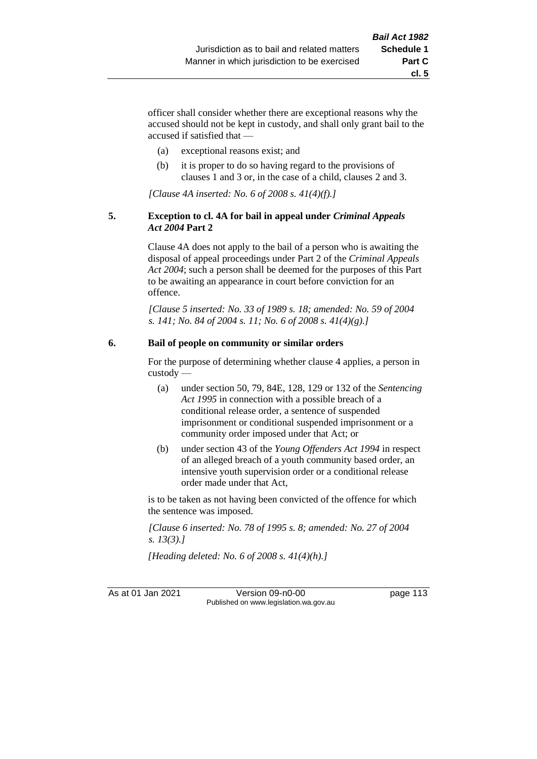**cl. 5**

officer shall consider whether there are exceptional reasons why the accused should not be kept in custody, and shall only grant bail to the accused if satisfied that —

- (a) exceptional reasons exist; and
- (b) it is proper to do so having regard to the provisions of clauses 1 and 3 or, in the case of a child, clauses 2 and 3.

*[Clause 4A inserted: No. 6 of 2008 s. 41(4)(f).]*

#### **5. Exception to cl. 4A for bail in appeal under** *Criminal Appeals Act 2004* **Part 2**

Clause 4A does not apply to the bail of a person who is awaiting the disposal of appeal proceedings under Part 2 of the *Criminal Appeals Act 2004*; such a person shall be deemed for the purposes of this Part to be awaiting an appearance in court before conviction for an offence.

*[Clause 5 inserted: No. 33 of 1989 s. 18; amended: No. 59 of 2004 s. 141; No. 84 of 2004 s. 11; No. 6 of 2008 s. 41(4)(g).]*

# **6. Bail of people on community or similar orders**

For the purpose of determining whether clause 4 applies, a person in custody —

- (a) under section 50, 79, 84E, 128, 129 or 132 of the *Sentencing Act 1995* in connection with a possible breach of a conditional release order, a sentence of suspended imprisonment or conditional suspended imprisonment or a community order imposed under that Act; or
- (b) under section 43 of the *Young Offenders Act 1994* in respect of an alleged breach of a youth community based order, an intensive youth supervision order or a conditional release order made under that Act,

is to be taken as not having been convicted of the offence for which the sentence was imposed.

*[Clause 6 inserted: No. 78 of 1995 s. 8; amended: No. 27 of 2004 s. 13(3).]*

*[Heading deleted: No. 6 of 2008 s. 41(4)(h).]*

As at 01 Jan 2021 Version 09-n0-00 page 113 Published on www.legislation.wa.gov.au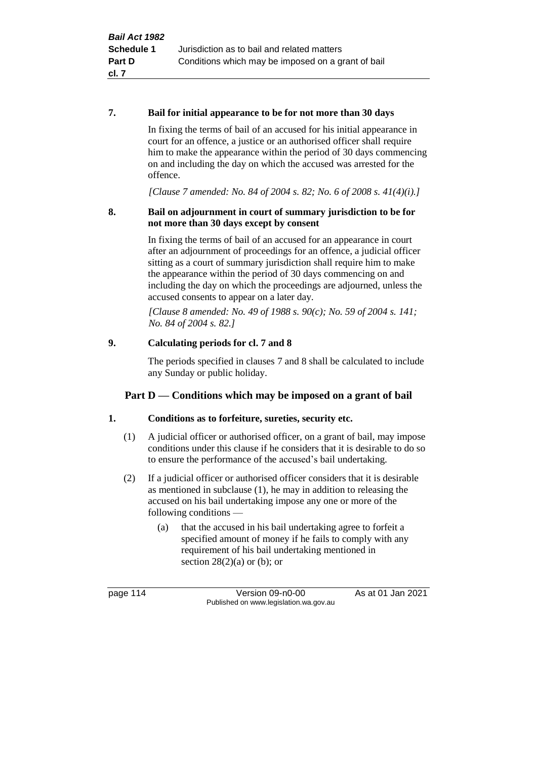#### **7. Bail for initial appearance to be for not more than 30 days**

In fixing the terms of bail of an accused for his initial appearance in court for an offence, a justice or an authorised officer shall require him to make the appearance within the period of 30 days commencing on and including the day on which the accused was arrested for the offence.

*[Clause 7 amended: No. 84 of 2004 s. 82; No. 6 of 2008 s. 41(4)(i).]*

#### **8. Bail on adjournment in court of summary jurisdiction to be for not more than 30 days except by consent**

In fixing the terms of bail of an accused for an appearance in court after an adjournment of proceedings for an offence, a judicial officer sitting as a court of summary jurisdiction shall require him to make the appearance within the period of 30 days commencing on and including the day on which the proceedings are adjourned, unless the accused consents to appear on a later day.

*[Clause 8 amended: No. 49 of 1988 s. 90(c); No. 59 of 2004 s. 141; No. 84 of 2004 s. 82.]*

# **9. Calculating periods for cl. 7 and 8**

The periods specified in clauses 7 and 8 shall be calculated to include any Sunday or public holiday.

# **Part D — Conditions which may be imposed on a grant of bail**

# **1. Conditions as to forfeiture, sureties, security etc.**

- (1) A judicial officer or authorised officer, on a grant of bail, may impose conditions under this clause if he considers that it is desirable to do so to ensure the performance of the accused's bail undertaking.
- (2) If a judicial officer or authorised officer considers that it is desirable as mentioned in subclause (1), he may in addition to releasing the accused on his bail undertaking impose any one or more of the following conditions —
	- (a) that the accused in his bail undertaking agree to forfeit a specified amount of money if he fails to comply with any requirement of his bail undertaking mentioned in section  $28(2)(a)$  or (b); or

page 114 Version 09-n0-00 As at 01 Jan 2021 Published on www.legislation.wa.gov.au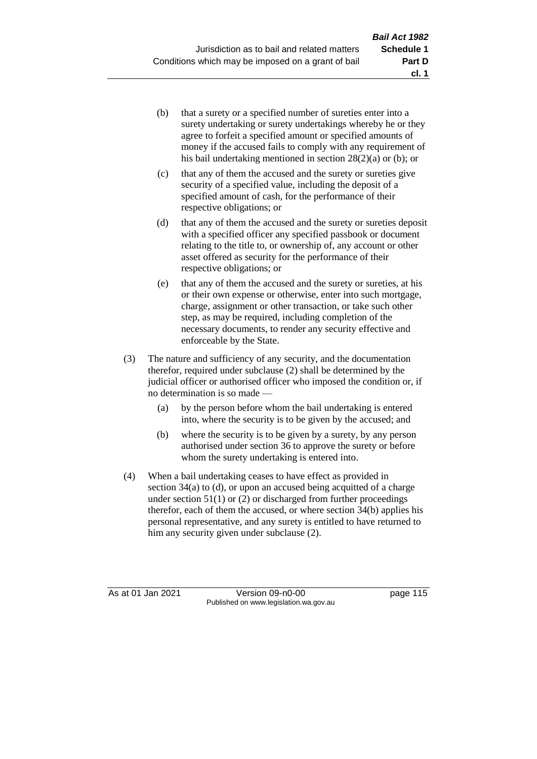- (b) that a surety or a specified number of sureties enter into a surety undertaking or surety undertakings whereby he or they agree to forfeit a specified amount or specified amounts of money if the accused fails to comply with any requirement of his bail undertaking mentioned in section 28(2)(a) or (b); or
- (c) that any of them the accused and the surety or sureties give security of a specified value, including the deposit of a specified amount of cash, for the performance of their respective obligations; or
- (d) that any of them the accused and the surety or sureties deposit with a specified officer any specified passbook or document relating to the title to, or ownership of, any account or other asset offered as security for the performance of their respective obligations; or
- (e) that any of them the accused and the surety or sureties, at his or their own expense or otherwise, enter into such mortgage, charge, assignment or other transaction, or take such other step, as may be required, including completion of the necessary documents, to render any security effective and enforceable by the State.
- (3) The nature and sufficiency of any security, and the documentation therefor, required under subclause (2) shall be determined by the judicial officer or authorised officer who imposed the condition or, if no determination is so made —
	- (a) by the person before whom the bail undertaking is entered into, where the security is to be given by the accused; and
	- (b) where the security is to be given by a surety, by any person authorised under section 36 to approve the surety or before whom the surety undertaking is entered into.
- (4) When a bail undertaking ceases to have effect as provided in section 34(a) to (d), or upon an accused being acquitted of a charge under section  $51(1)$  or (2) or discharged from further proceedings therefor, each of them the accused, or where section 34(b) applies his personal representative, and any surety is entitled to have returned to him any security given under subclause (2).

As at 01 Jan 2021 Version 09-n0-00 page 115 Published on www.legislation.wa.gov.au

**cl. 1**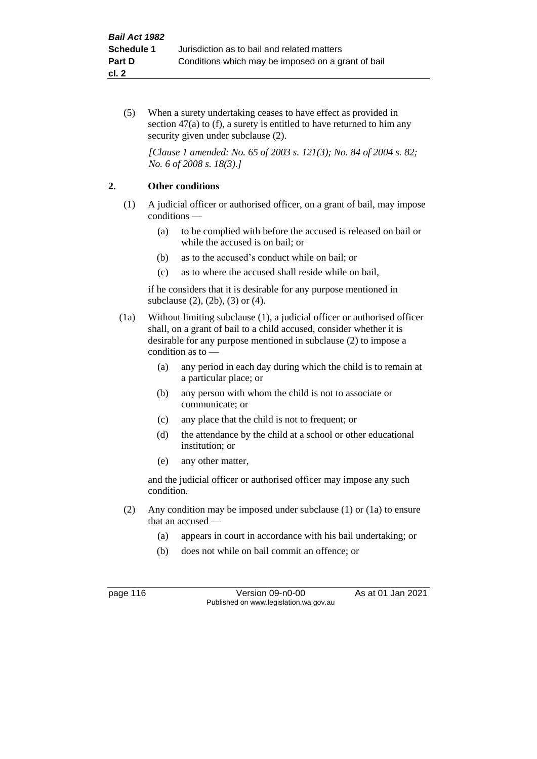(5) When a surety undertaking ceases to have effect as provided in section 47(a) to (f), a surety is entitled to have returned to him any security given under subclause  $(2)$ .

*[Clause 1 amended: No. 65 of 2003 s. 121(3); No. 84 of 2004 s. 82; No. 6 of 2008 s. 18(3).]*

# **2. Other conditions**

- (1) A judicial officer or authorised officer, on a grant of bail, may impose conditions —
	- (a) to be complied with before the accused is released on bail or while the accused is on bail; or
	- (b) as to the accused's conduct while on bail; or
	- (c) as to where the accused shall reside while on bail,

if he considers that it is desirable for any purpose mentioned in subclause (2), (2b), (3) or (4).

- (1a) Without limiting subclause (1), a judicial officer or authorised officer shall, on a grant of bail to a child accused, consider whether it is desirable for any purpose mentioned in subclause (2) to impose a condition as to —
	- (a) any period in each day during which the child is to remain at a particular place; or
	- (b) any person with whom the child is not to associate or communicate; or
	- (c) any place that the child is not to frequent; or
	- (d) the attendance by the child at a school or other educational institution; or
	- (e) any other matter,

and the judicial officer or authorised officer may impose any such condition.

- (2) Any condition may be imposed under subclause (1) or (1a) to ensure that an accused —
	- (a) appears in court in accordance with his bail undertaking; or
	- (b) does not while on bail commit an offence; or

page 116 Version 09-n0-00 As at 01 Jan 2021 Published on www.legislation.wa.gov.au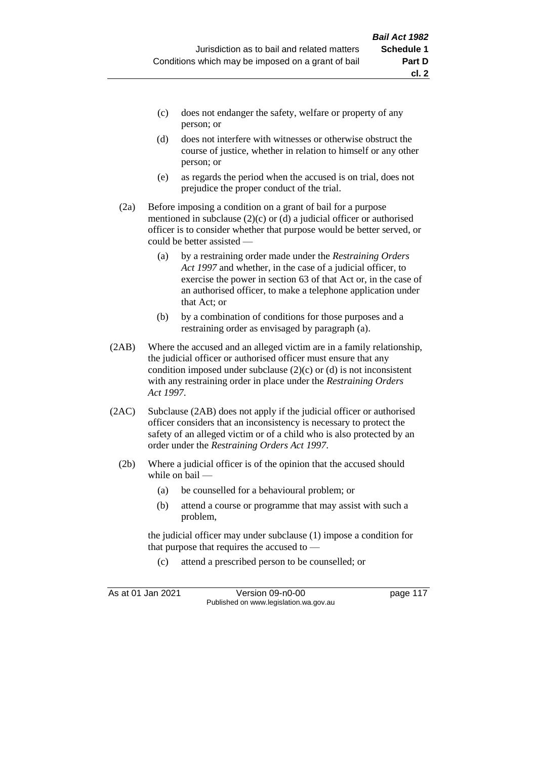- (c) does not endanger the safety, welfare or property of any person; or
- (d) does not interfere with witnesses or otherwise obstruct the course of justice, whether in relation to himself or any other person; or
- (e) as regards the period when the accused is on trial, does not prejudice the proper conduct of the trial.
- (2a) Before imposing a condition on a grant of bail for a purpose mentioned in subclause (2)(c) or (d) a judicial officer or authorised officer is to consider whether that purpose would be better served, or could be better assisted —
	- (a) by a restraining order made under the *Restraining Orders Act 1997* and whether, in the case of a judicial officer, to exercise the power in section 63 of that Act or, in the case of an authorised officer, to make a telephone application under that Act; or
	- (b) by a combination of conditions for those purposes and a restraining order as envisaged by paragraph (a).
- (2AB) Where the accused and an alleged victim are in a family relationship, the judicial officer or authorised officer must ensure that any condition imposed under subclause (2)(c) or (d) is not inconsistent with any restraining order in place under the *Restraining Orders Act 1997*.
- (2AC) Subclause (2AB) does not apply if the judicial officer or authorised officer considers that an inconsistency is necessary to protect the safety of an alleged victim or of a child who is also protected by an order under the *Restraining Orders Act 1997*.
	- (2b) Where a judicial officer is of the opinion that the accused should while on bail —
		- (a) be counselled for a behavioural problem; or
		- (b) attend a course or programme that may assist with such a problem,

the judicial officer may under subclause (1) impose a condition for that purpose that requires the accused to —

(c) attend a prescribed person to be counselled; or

As at 01 Jan 2021 Version 09-n0-00 page 117 Published on www.legislation.wa.gov.au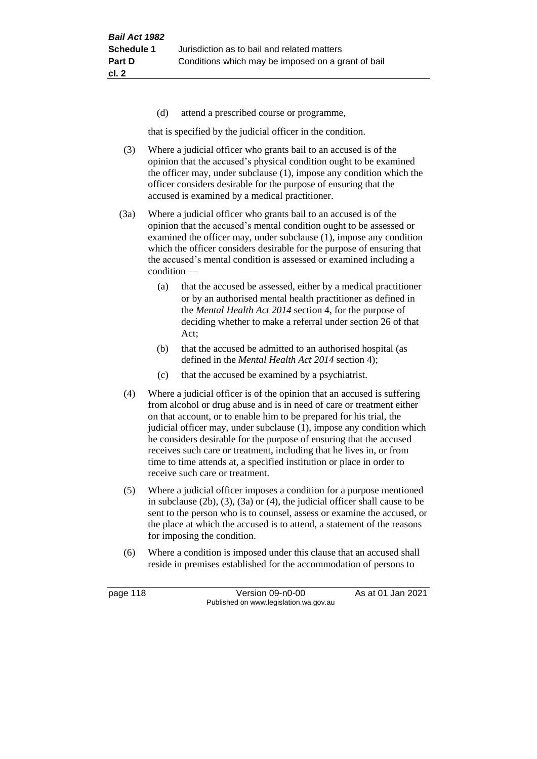(d) attend a prescribed course or programme,

that is specified by the judicial officer in the condition.

- (3) Where a judicial officer who grants bail to an accused is of the opinion that the accused's physical condition ought to be examined the officer may, under subclause (1), impose any condition which the officer considers desirable for the purpose of ensuring that the accused is examined by a medical practitioner.
- (3a) Where a judicial officer who grants bail to an accused is of the opinion that the accused's mental condition ought to be assessed or examined the officer may, under subclause (1), impose any condition which the officer considers desirable for the purpose of ensuring that the accused's mental condition is assessed or examined including a condition —
	- (a) that the accused be assessed, either by a medical practitioner or by an authorised mental health practitioner as defined in the *Mental Health Act 2014* section 4, for the purpose of deciding whether to make a referral under section 26 of that Act;
	- (b) that the accused be admitted to an authorised hospital (as defined in the *Mental Health Act 2014* section 4);
	- (c) that the accused be examined by a psychiatrist.
- (4) Where a judicial officer is of the opinion that an accused is suffering from alcohol or drug abuse and is in need of care or treatment either on that account, or to enable him to be prepared for his trial, the judicial officer may, under subclause (1), impose any condition which he considers desirable for the purpose of ensuring that the accused receives such care or treatment, including that he lives in, or from time to time attends at, a specified institution or place in order to receive such care or treatment.
- (5) Where a judicial officer imposes a condition for a purpose mentioned in subclause (2b), (3), (3a) or (4), the judicial officer shall cause to be sent to the person who is to counsel, assess or examine the accused, or the place at which the accused is to attend, a statement of the reasons for imposing the condition.
- (6) Where a condition is imposed under this clause that an accused shall reside in premises established for the accommodation of persons to

page 118 Version 09-n0-00 As at 01 Jan 2021 Published on www.legislation.wa.gov.au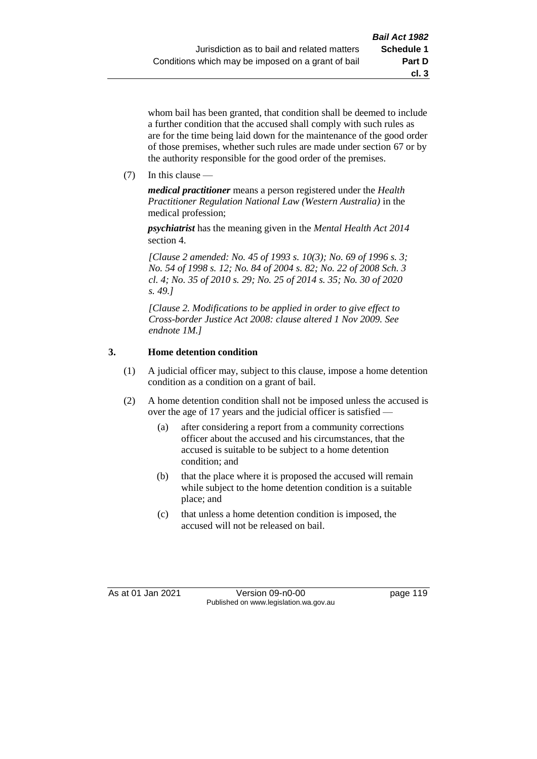whom bail has been granted, that condition shall be deemed to include a further condition that the accused shall comply with such rules as are for the time being laid down for the maintenance of the good order of those premises, whether such rules are made under section 67 or by the authority responsible for the good order of the premises.

(7) In this clause —

*medical practitioner* means a person registered under the *Health Practitioner Regulation National Law (Western Australia)* in the medical profession;

*psychiatrist* has the meaning given in the *Mental Health Act 2014* section 4.

*[Clause 2 amended: No. 45 of 1993 s. 10(3); No. 69 of 1996 s. 3; No. 54 of 1998 s. 12; No. 84 of 2004 s. 82; No. 22 of 2008 Sch. 3 cl. 4; No. 35 of 2010 s. 29; No. 25 of 2014 s. 35; No. 30 of 2020 s. 49.]*

*[Clause 2. Modifications to be applied in order to give effect to Cross-border Justice Act 2008: clause altered 1 Nov 2009. See endnote 1M.]*

# **3. Home detention condition**

- (1) A judicial officer may, subject to this clause, impose a home detention condition as a condition on a grant of bail.
- (2) A home detention condition shall not be imposed unless the accused is over the age of 17 years and the judicial officer is satisfied —
	- (a) after considering a report from a community corrections officer about the accused and his circumstances, that the accused is suitable to be subject to a home detention condition; and
	- (b) that the place where it is proposed the accused will remain while subject to the home detention condition is a suitable place; and
	- (c) that unless a home detention condition is imposed, the accused will not be released on bail.

As at 01 Jan 2021 Version 09-n0-00 page 119 Published on www.legislation.wa.gov.au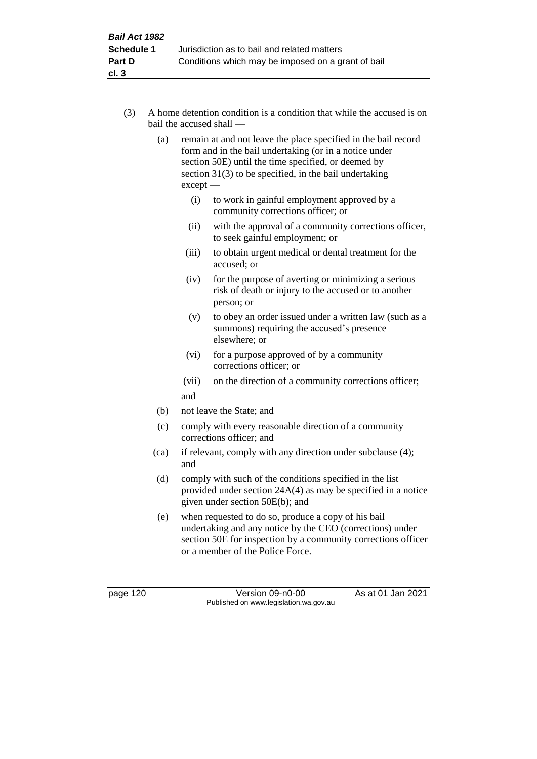- (3) A home detention condition is a condition that while the accused is on bail the accused shall —
	- (a) remain at and not leave the place specified in the bail record form and in the bail undertaking (or in a notice under section 50E) until the time specified, or deemed by section 31(3) to be specified, in the bail undertaking except —
		- (i) to work in gainful employment approved by a community corrections officer; or
		- (ii) with the approval of a community corrections officer, to seek gainful employment; or
		- (iii) to obtain urgent medical or dental treatment for the accused; or
		- (iv) for the purpose of averting or minimizing a serious risk of death or injury to the accused or to another person; or
		- (v) to obey an order issued under a written law (such as a summons) requiring the accused's presence elsewhere; or
		- (vi) for a purpose approved of by a community corrections officer; or
		- (vii) on the direction of a community corrections officer; and
	- (b) not leave the State; and
	- (c) comply with every reasonable direction of a community corrections officer; and
	- (ca) if relevant, comply with any direction under subclause (4); and
	- (d) comply with such of the conditions specified in the list provided under section 24A(4) as may be specified in a notice given under section 50E(b); and
	- (e) when requested to do so, produce a copy of his bail undertaking and any notice by the CEO (corrections) under section 50E for inspection by a community corrections officer or a member of the Police Force.

page 120 Version 09-n0-00 As at 01 Jan 2021 Published on www.legislation.wa.gov.au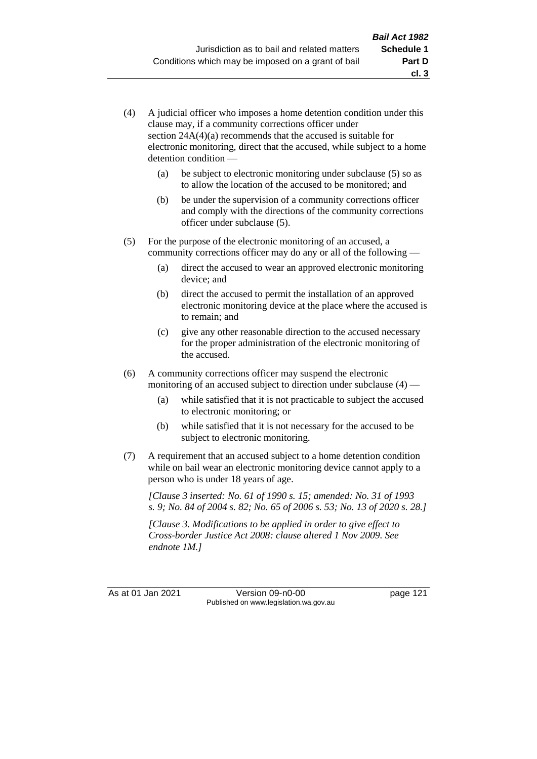- (4) A judicial officer who imposes a home detention condition under this clause may, if a community corrections officer under section 24A(4)(a) recommends that the accused is suitable for electronic monitoring, direct that the accused, while subject to a home detention condition —
	- (a) be subject to electronic monitoring under subclause (5) so as to allow the location of the accused to be monitored; and
	- (b) be under the supervision of a community corrections officer and comply with the directions of the community corrections officer under subclause (5).
- (5) For the purpose of the electronic monitoring of an accused, a community corrections officer may do any or all of the following —
	- (a) direct the accused to wear an approved electronic monitoring device; and
	- (b) direct the accused to permit the installation of an approved electronic monitoring device at the place where the accused is to remain; and
	- (c) give any other reasonable direction to the accused necessary for the proper administration of the electronic monitoring of the accused.
- (6) A community corrections officer may suspend the electronic monitoring of an accused subject to direction under subclause (4) —
	- (a) while satisfied that it is not practicable to subject the accused to electronic monitoring; or
	- (b) while satisfied that it is not necessary for the accused to be subject to electronic monitoring.
- (7) A requirement that an accused subject to a home detention condition while on bail wear an electronic monitoring device cannot apply to a person who is under 18 years of age.

*[Clause 3 inserted: No. 61 of 1990 s. 15; amended: No. 31 of 1993 s. 9; No. 84 of 2004 s. 82; No. 65 of 2006 s. 53; No. 13 of 2020 s. 28.]*

*[Clause 3. Modifications to be applied in order to give effect to Cross-border Justice Act 2008: clause altered 1 Nov 2009. See endnote 1M.]*

As at 01 Jan 2021 Version 09-n0-00 page 121 Published on www.legislation.wa.gov.au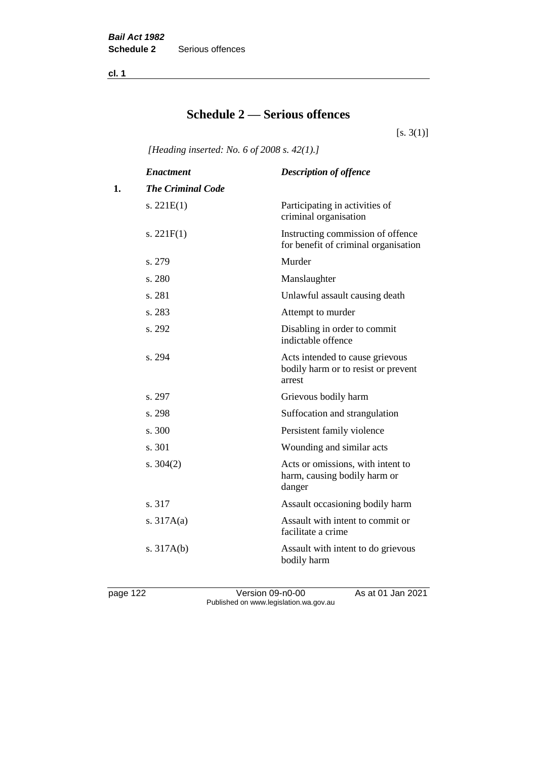**cl. 1**

# **Schedule 2 — Serious offences**

 $[s. 3(1)]$ 

*[Heading inserted: No. 6 of 2008 s. 42(1).]*

|    | <b>Enactment</b>         | <b>Description of offence</b>                                                    |
|----|--------------------------|----------------------------------------------------------------------------------|
| 1. | <b>The Criminal Code</b> |                                                                                  |
|    | s. $221E(1)$             | Participating in activities of<br>criminal organisation                          |
|    | s. $221F(1)$             | Instructing commission of offence<br>for benefit of criminal organisation        |
|    | s. 279                   | Murder                                                                           |
|    | s. 280                   | Manslaughter                                                                     |
|    | s. 281                   | Unlawful assault causing death                                                   |
|    | s. 283                   | Attempt to murder                                                                |
|    | s. 292                   | Disabling in order to commit<br>indictable offence                               |
|    | s. 294                   | Acts intended to cause grievous<br>bodily harm or to resist or prevent<br>arrest |
|    | s. 297                   | Grievous bodily harm                                                             |
|    | s. 298                   | Suffocation and strangulation                                                    |
|    | s. 300                   | Persistent family violence                                                       |
|    | s. 301                   | Wounding and similar acts                                                        |
|    | s. $304(2)$              | Acts or omissions, with intent to<br>harm, causing bodily harm or<br>danger      |
|    | s. 317                   | Assault occasioning bodily harm                                                  |
|    | s. $317A(a)$             | Assault with intent to commit or<br>facilitate a crime                           |
|    | s. $317A(b)$             | Assault with intent to do grievous<br>bodily harm                                |

page 122 Version 09-n0-00 As at 01 Jan 2021 Published on www.legislation.wa.gov.au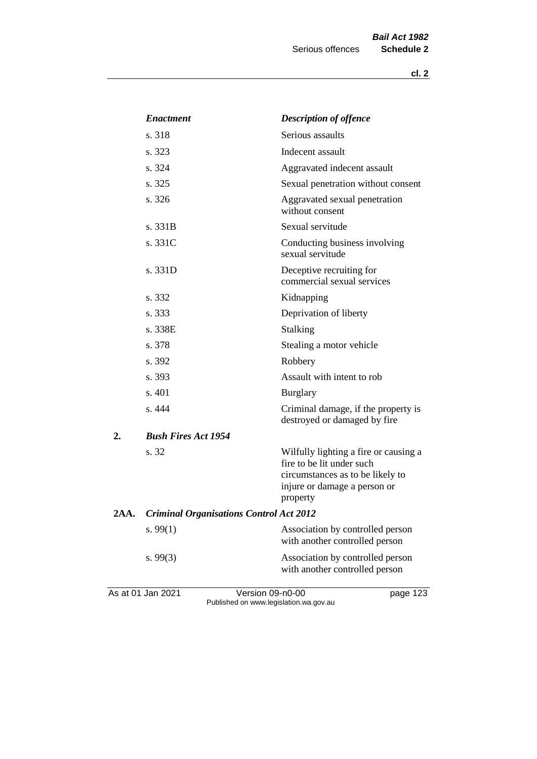**cl. 2**

|      | <b>Enactment</b>                               | <b>Description of offence</b>                                                                                                                      |
|------|------------------------------------------------|----------------------------------------------------------------------------------------------------------------------------------------------------|
|      | s. 318                                         | Serious assaults                                                                                                                                   |
|      | s. 323                                         | Indecent assault                                                                                                                                   |
|      | s. 324                                         | Aggravated indecent assault                                                                                                                        |
|      | s. 325                                         | Sexual penetration without consent                                                                                                                 |
|      | s. 326                                         | Aggravated sexual penetration<br>without consent                                                                                                   |
|      | s. 331B                                        | Sexual servitude                                                                                                                                   |
|      | s. 331C                                        | Conducting business involving<br>sexual servitude                                                                                                  |
|      | s. 331D                                        | Deceptive recruiting for<br>commercial sexual services                                                                                             |
|      | s. 332                                         | Kidnapping                                                                                                                                         |
|      | s. 333                                         | Deprivation of liberty                                                                                                                             |
|      | s. 338E                                        | Stalking                                                                                                                                           |
|      | s. 378                                         | Stealing a motor vehicle                                                                                                                           |
|      | s. 392                                         | Robbery                                                                                                                                            |
|      | s. 393                                         | Assault with intent to rob                                                                                                                         |
|      | s. 401                                         | <b>Burglary</b>                                                                                                                                    |
|      | s. 444                                         | Criminal damage, if the property is<br>destroyed or damaged by fire                                                                                |
| 2.   | <b>Bush Fires Act 1954</b>                     |                                                                                                                                                    |
|      | s. 32                                          | Wilfully lighting a fire or causing a<br>fire to be lit under such<br>circumstances as to be likely to<br>injure or damage a person or<br>property |
| 2AA. | <b>Criminal Organisations Control Act 2012</b> |                                                                                                                                                    |
|      | s. $99(1)$                                     | Association by controlled person<br>with another controlled person                                                                                 |
|      | s. $99(3)$                                     | Association by controlled person<br>with another controlled person                                                                                 |
|      |                                                |                                                                                                                                                    |

As at 01 Jan 2021 **Version 09-n0-00 page 123** Published on www.legislation.wa.gov.au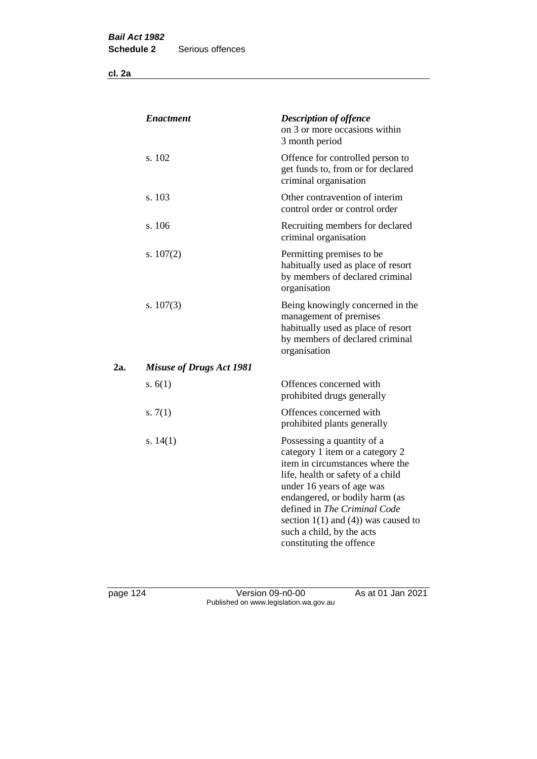**cl. 2a**

| <b>Enactment</b>                | <b>Description of offence</b><br>on 3 or more occasions within<br>3 month period                                                                                                                                                                                                                                                          |
|---------------------------------|-------------------------------------------------------------------------------------------------------------------------------------------------------------------------------------------------------------------------------------------------------------------------------------------------------------------------------------------|
| s. 102                          | Offence for controlled person to<br>get funds to, from or for declared<br>criminal organisation                                                                                                                                                                                                                                           |
| s. 103                          | Other contravention of interim<br>control order or control order                                                                                                                                                                                                                                                                          |
| s. 106                          | Recruiting members for declared<br>criminal organisation                                                                                                                                                                                                                                                                                  |
| s. $107(2)$                     | Permitting premises to be<br>habitually used as place of resort<br>by members of declared criminal<br>organisation                                                                                                                                                                                                                        |
| s. $107(3)$                     | Being knowingly concerned in the<br>management of premises<br>habitually used as place of resort<br>by members of declared criminal<br>organisation                                                                                                                                                                                       |
| <b>Misuse of Drugs Act 1981</b> |                                                                                                                                                                                                                                                                                                                                           |
| s. $6(1)$                       | Offences concerned with<br>prohibited drugs generally                                                                                                                                                                                                                                                                                     |
| s. $7(1)$                       | Offences concerned with<br>prohibited plants generally                                                                                                                                                                                                                                                                                    |
| s. $14(1)$                      | Possessing a quantity of a<br>category 1 item or a category 2<br>item in circumstances where the<br>life, health or safety of a child<br>under 16 years of age was<br>endangered, or bodily harm (as<br>defined in The Criminal Code<br>section $1(1)$ and $(4)$ ) was caused to<br>such a child, by the acts<br>constituting the offence |
|                                 |                                                                                                                                                                                                                                                                                                                                           |

page 124 Version 09-n0-00 As at 01 Jan 2021 Published on www.legislation.wa.gov.au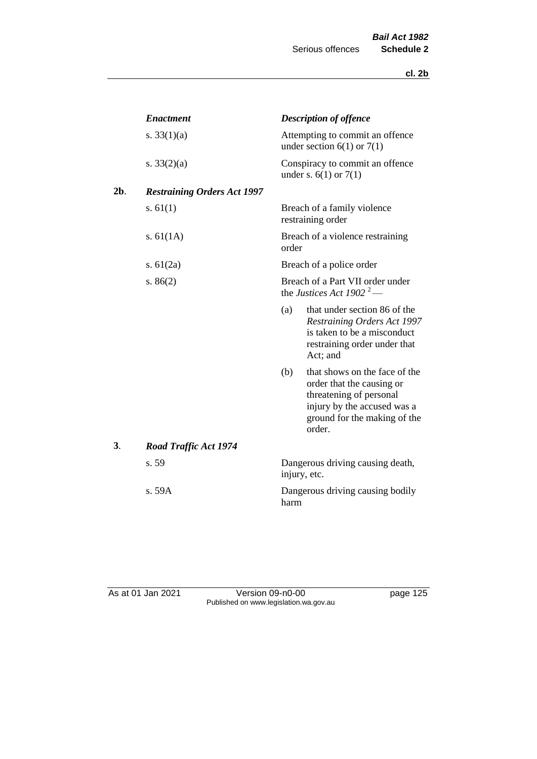|        | <b>Enactment</b>                   | <b>Description of offence</b>                                                                                                                                         |  |
|--------|------------------------------------|-----------------------------------------------------------------------------------------------------------------------------------------------------------------------|--|
|        | s. $33(1)(a)$                      | Attempting to commit an offence<br>under section $6(1)$ or $7(1)$                                                                                                     |  |
|        | s. $33(2)(a)$                      | Conspiracy to commit an offence<br>under s. $6(1)$ or $7(1)$                                                                                                          |  |
| $2b$ . | <b>Restraining Orders Act 1997</b> |                                                                                                                                                                       |  |
|        | s. $61(1)$                         | Breach of a family violence<br>restraining order                                                                                                                      |  |
|        | s. $61(1A)$                        | Breach of a violence restraining<br>order                                                                                                                             |  |
|        | s. $61(2a)$                        | Breach of a police order                                                                                                                                              |  |
|        | s. $86(2)$                         | Breach of a Part VII order under<br>the Justices Act 1902 <sup>2</sup> —                                                                                              |  |
|        |                                    | that under section 86 of the<br>(a)<br>Restraining Orders Act 1997<br>is taken to be a misconduct<br>restraining order under that<br>Act; and                         |  |
|        |                                    | that shows on the face of the<br>(b)<br>order that the causing or<br>threatening of personal<br>injury by the accused was a<br>ground for the making of the<br>order. |  |
| 3.     | <b>Road Traffic Act 1974</b>       |                                                                                                                                                                       |  |
|        | s. 59                              | Dangerous driving causing death,<br>injury, etc.                                                                                                                      |  |
|        | s. 59A                             | Dangerous driving causing bodily<br>harm                                                                                                                              |  |

As at 01 Jan 2021 **Version 09-n0-00 page 125** Published on www.legislation.wa.gov.au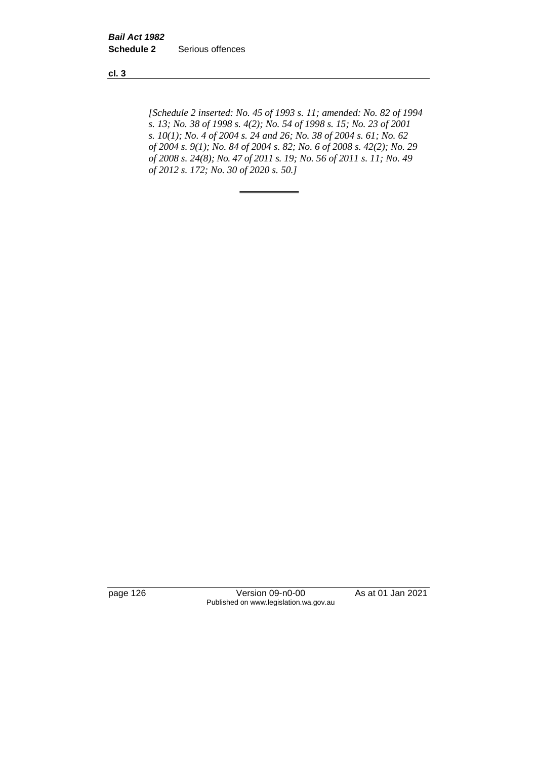**cl. 3**

*[Schedule 2 inserted: No. 45 of 1993 s. 11; amended: No. 82 of 1994 s. 13; No. 38 of 1998 s. 4(2); No. 54 of 1998 s. 15; No. 23 of 2001 s. 10(1); No. 4 of 2004 s. 24 and 26; No. 38 of 2004 s. 61; No. 62 of 2004 s. 9(1); No. 84 of 2004 s. 82; No. 6 of 2008 s. 42(2); No. 29 of 2008 s. 24(8); No. 47 of 2011 s. 19; No. 56 of 2011 s. 11; No. 49 of 2012 s. 172; No. 30 of 2020 s. 50.]* 

page 126 Version 09-n0-00 As at 01 Jan 2021 Published on www.legislation.wa.gov.au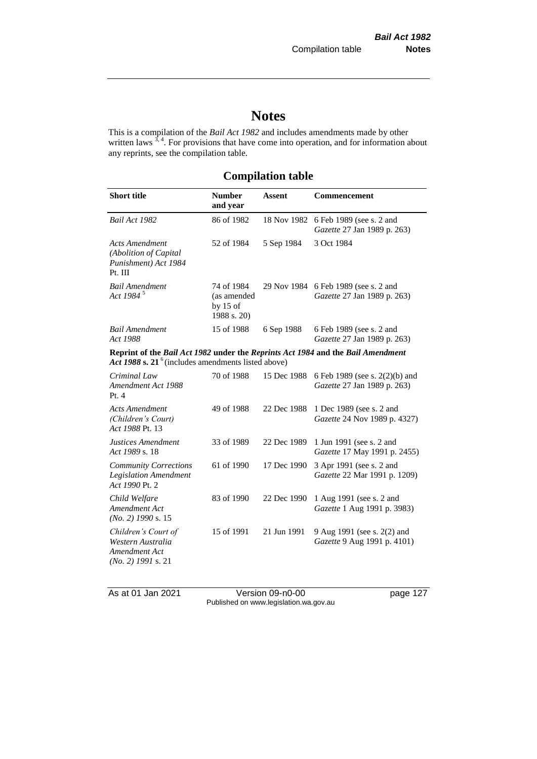# **Notes**

This is a compilation of the *Bail Act 1982* and includes amendments made by other written laws  $3, 4$ . For provisions that have come into operation, and for information about any reprints, see the compilation table.

# **Compilation table**

| <b>Short title</b>                                                                                                                       | <b>Number</b><br>and year                              | <b>Assent</b> | Commencement                                                  |
|------------------------------------------------------------------------------------------------------------------------------------------|--------------------------------------------------------|---------------|---------------------------------------------------------------|
| Bail Act 1982                                                                                                                            | 86 of 1982                                             | 18 Nov 1982   | 6 Feb 1989 (see s. 2 and<br>Gazette 27 Jan 1989 p. 263)       |
| <b>Acts Amendment</b><br>(Abolition of Capital<br>Punishment) Act 1984<br>Pt. III                                                        | 52 of 1984                                             | 5 Sep 1984    | 3 Oct 1984                                                    |
| <b>Bail Amendment</b><br>Act 1984 <sup>5</sup>                                                                                           | 74 of 1984<br>(as amended<br>by $15$ of<br>1988 s. 20) | 29 Nov 1984   | 6 Feb 1989 (see s. 2 and<br>Gazette 27 Jan 1989 p. 263)       |
| <b>Bail Amendment</b><br>Act 1988                                                                                                        | 15 of 1988                                             | 6 Sep 1988    | 6 Feb 1989 (see s. 2 and<br>Gazette 27 Jan 1989 p. 263)       |
| Reprint of the Bail Act 1982 under the Reprints Act 1984 and the Bail Amendment<br>Act 1988 s. $21^6$ (includes amendments listed above) |                                                        |               |                                                               |
| Criminal Law<br>Amendment Act 1988<br>Pt.4                                                                                               | 70 of 1988                                             | 15 Dec 1988   | 6 Feb 1989 (see s. 2(2)(b) and<br>Gazette 27 Jan 1989 p. 263) |
| <b>Acts Amendment</b><br>(Children's Court)<br>Act 1988 Pt. 13                                                                           | 49 of 1988                                             | 22 Dec 1988   | 1 Dec 1989 (see s. 2 and<br>Gazette 24 Nov 1989 p. 4327)      |
| Justices Amendment<br>Act 1989 s. 18                                                                                                     | 33 of 1989                                             | 22 Dec 1989   | 1 Jun 1991 (see s. 2 and<br>Gazette 17 May 1991 p. 2455)      |
| <b>Community Corrections</b><br><b>Legislation Amendment</b><br>Act 1990 Pt. 2                                                           | 61 of 1990                                             | 17 Dec 1990   | 3 Apr 1991 (see s. 2 and<br>Gazette 22 Mar 1991 p. 1209)      |
| Child Welfare<br>Amendment Act<br>$(No. 2)$ 1990 s. 15                                                                                   | 83 of 1990                                             | 22 Dec 1990   | 1 Aug 1991 (see s. 2 and<br>Gazette 1 Aug 1991 p. 3983)       |
| Children's Court of<br>Western Australia<br>Amendment Act<br>$(No. 2)$ 1991 s. 21                                                        | 15 of 1991                                             | 21 Jun 1991   | 9 Aug 1991 (see s. 2(2) and<br>Gazette 9 Aug 1991 p. 4101)    |

As at 01 Jan 2021 Version 09-n0-00 page 127 Published on www.legislation.wa.gov.au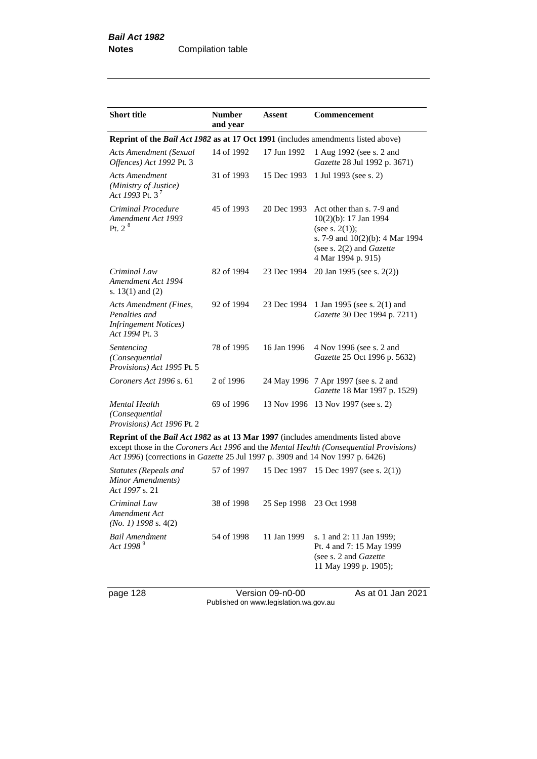| <b>Short title</b>                                                                                | <b>Number</b><br>and year | <b>Assent</b> | <b>Commencement</b>                                                                                                                                                   |  |
|---------------------------------------------------------------------------------------------------|---------------------------|---------------|-----------------------------------------------------------------------------------------------------------------------------------------------------------------------|--|
| Reprint of the <i>Bail Act 1982</i> as at 17 Oct 1991 (includes amendments listed above)          |                           |               |                                                                                                                                                                       |  |
| Acts Amendment (Sexual<br>Offences) Act 1992 Pt. 3                                                | 14 of 1992                | 17 Jun 1992   | 1 Aug 1992 (see s. 2 and<br>Gazette 28 Jul 1992 p. 3671)                                                                                                              |  |
| <b>Acts Amendment</b><br>(Ministry of Justice)<br>Act 1993 Pt. 3 <sup>7</sup>                     | 31 of 1993                | 15 Dec 1993   | 1 Jul 1993 (see s. 2)                                                                                                                                                 |  |
| Criminal Procedure<br>Amendment Act 1993<br>Pt. 2 <sup>8</sup>                                    | 45 of 1993                | 20 Dec 1993   | Act other than s. 7-9 and<br>10(2)(b): 17 Jan 1994<br>(see s. $2(1)$ );<br>s. 7-9 and 10(2)(b): 4 Mar 1994<br>(see s. $2(2)$ and <i>Gazette</i><br>4 Mar 1994 p. 915) |  |
| Criminal Law<br>Amendment Act 1994<br>s. $13(1)$ and $(2)$                                        | 82 of 1994                | 23 Dec 1994   | 20 Jan 1995 (see s. 2(2))                                                                                                                                             |  |
| <b>Acts Amendment (Fines,</b><br>Penalties and<br><b>Infringement Notices</b> )<br>Act 1994 Pt. 3 | 92 of 1994                | 23 Dec 1994   | 1 Jan 1995 (see s. 2(1) and<br>Gazette 30 Dec 1994 p. 7211)                                                                                                           |  |
| Sentencing<br>(Consequential<br>Provisions) Act 1995 Pt. 5                                        | 78 of 1995                | 16 Jan 1996   | 4 Nov 1996 (see s. 2 and<br>Gazette 25 Oct 1996 p. 5632)                                                                                                              |  |
| Coroners Act 1996 s. 61                                                                           | 2 of 1996                 |               | 24 May 1996 7 Apr 1997 (see s. 2 and<br>Gazette 18 Mar 1997 p. 1529)                                                                                                  |  |
| <b>Mental Health</b><br>(Consequential<br>Provisions) Act 1996 Pt. 2                              | 69 of 1996                |               | 13 Nov 1996 13 Nov 1997 (see s. 2)                                                                                                                                    |  |
| <b>Reprint of the Rail Act 1082 as at 13 Mar 1007</b> (includes amendments listed above           |                           |               |                                                                                                                                                                       |  |

**Reprint of the** *Bail Act 1982* **as at 13 Mar 1997** (includes amendments listed above except those in the *Coroners Act 1996* and the *Mental Health (Consequential Provisions) Act 1996*) (corrections in *Gazette* 25 Jul 1997 p. 3909 and 14 Nov 1997 p. 6426)

| Statutes (Repeals and<br>Minor Amendments)<br>Act 1997 s. 21 | 57 of 1997 |                         | 15 Dec 1997 15 Dec 1997 (see s. 2(1))                                                                           |
|--------------------------------------------------------------|------------|-------------------------|-----------------------------------------------------------------------------------------------------------------|
| Criminal Law<br>Amendment Act<br>$(No. 1)$ 1998 s. 4(2)      | 38 of 1998 | 25 Sep 1998 23 Oct 1998 |                                                                                                                 |
| Bail Amendment<br>Act 1998 <sup>9</sup>                      | 54 of 1998 | 11 Jan 1999             | s. 1 and 2: 11 Jan 1999;<br>Pt. 4 and 7: 15 May 1999<br>(see s. 2 and <i>Gazette</i> )<br>11 May 1999 p. 1905); |

page 128 Version 09-n0-00 As at 01 Jan 2021 Published on www.legislation.wa.gov.au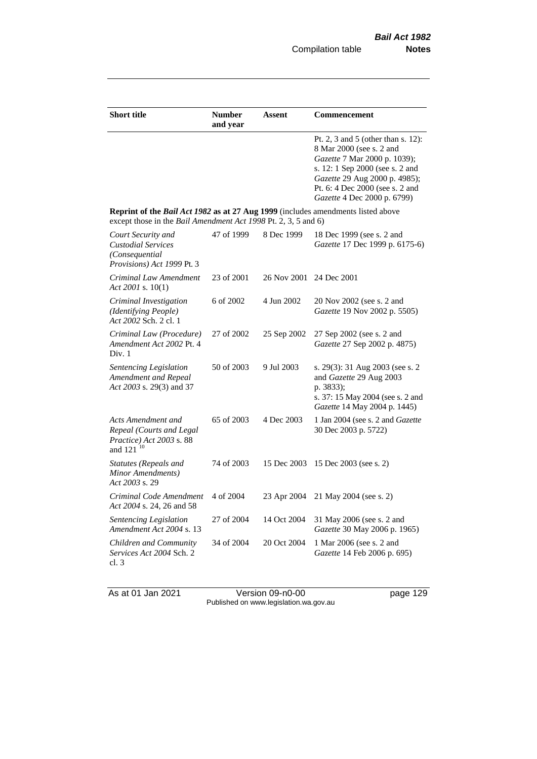| <b>Short title</b>                                                                                                                                 | <b>Number</b><br>and year | <b>Assent</b> | <b>Commencement</b>                                                                                                                                                                                                                  |
|----------------------------------------------------------------------------------------------------------------------------------------------------|---------------------------|---------------|--------------------------------------------------------------------------------------------------------------------------------------------------------------------------------------------------------------------------------------|
|                                                                                                                                                    |                           |               | Pt. 2, 3 and 5 (other than s. 12):<br>8 Mar 2000 (see s. 2 and<br>Gazette 7 Mar 2000 p. 1039);<br>s. 12: 1 Sep 2000 (see s. 2 and<br>Gazette 29 Aug 2000 p. 4985);<br>Pt. 6: 4 Dec 2000 (see s. 2 and<br>Gazette 4 Dec 2000 p. 6799) |
| Reprint of the Bail Act 1982 as at 27 Aug 1999 (includes amendments listed above<br>except those in the Bail Amendment Act 1998 Pt. 2, 3, 5 and 6) |                           |               |                                                                                                                                                                                                                                      |
| Court Security and<br><b>Custodial Services</b><br>(Consequential<br>Provisions) Act 1999 Pt. 3                                                    | 47 of 1999                | 8 Dec 1999    | 18 Dec 1999 (see s. 2 and<br>Gazette 17 Dec 1999 p. 6175-6)                                                                                                                                                                          |
| Criminal Law Amendment<br>Act 2001 s. 10(1)                                                                                                        | 23 of 2001                | 26 Nov 2001   | 24 Dec 2001                                                                                                                                                                                                                          |
| Criminal Investigation<br>(Identifying People)<br>Act 2002 Sch. 2 cl. 1                                                                            | 6 of 2002                 | 4 Jun 2002    | 20 Nov 2002 (see s. 2 and<br>Gazette 19 Nov 2002 p. 5505)                                                                                                                                                                            |
| Criminal Law (Procedure)<br>Amendment Act 2002 Pt. 4<br>Div. 1                                                                                     | 27 of 2002                | 25 Sep 2002   | 27 Sep 2002 (see s. 2 and<br>Gazette 27 Sep 2002 p. 4875)                                                                                                                                                                            |
| Sentencing Legislation<br>Amendment and Repeal<br>Act 2003 s. 29(3) and 37                                                                         | 50 of 2003                | 9 Jul 2003    | s. 29(3): 31 Aug 2003 (see s. 2<br>and Gazette 29 Aug 2003<br>p. 3833);<br>s. 37: 15 May 2004 (see s. 2 and<br>Gazette 14 May 2004 p. 1445)                                                                                          |
| Acts Amendment and<br>Repeal (Courts and Legal<br>Practice) Act 2003 s. 88<br>and 121 <sup>10</sup>                                                | 65 of 2003                | 4 Dec 2003    | 1 Jan 2004 (see s. 2 and Gazette<br>30 Dec 2003 p. 5722)                                                                                                                                                                             |
| <b>Statutes (Repeals and</b><br>Minor Amendments)<br>Act 2003 s. 29                                                                                | 74 of 2003                | 15 Dec 2003   | 15 Dec 2003 (see s. 2)                                                                                                                                                                                                               |
| Criminal Code Amendment<br>Act 2004 s. 24, 26 and 58                                                                                               | 4 of 2004                 | 23 Apr 2004   | 21 May 2004 (see s. 2)                                                                                                                                                                                                               |
| <b>Sentencing Legislation</b><br>Amendment Act 2004 s. 13                                                                                          | 27 of 2004                | 14 Oct 2004   | 31 May 2006 (see s. 2 and<br>Gazette 30 May 2006 p. 1965)                                                                                                                                                                            |
| Children and Community<br>Services Act 2004 Sch. 2<br>cl. 3                                                                                        | 34 of 2004                | 20 Oct 2004   | 1 Mar 2006 (see s. 2 and<br>Gazette 14 Feb 2006 p. 695)                                                                                                                                                                              |

As at 01 Jan 2021 **Details Access 129** Version 09-n0-00 **page 129** page 129 Published on www.legislation.wa.gov.au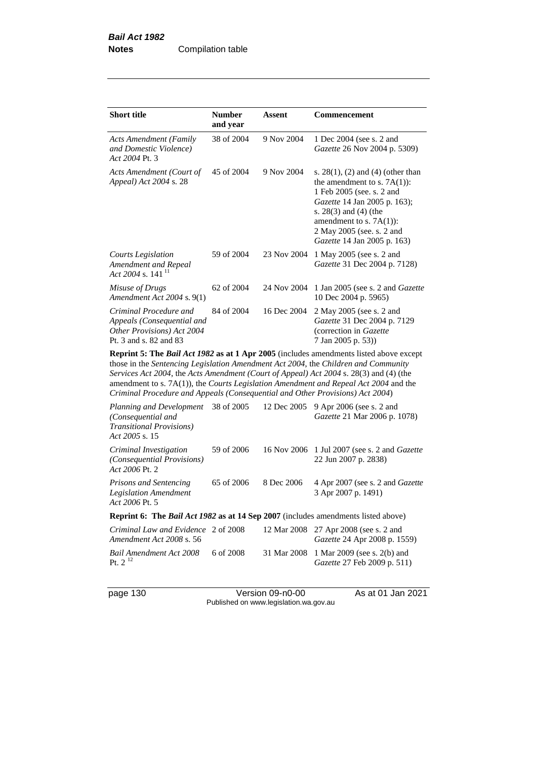| <b>Short title</b>                                                                                           | <b>Number</b><br>and year | Assent      | <b>Commencement</b>                                                                                                                                                                                                                                                    |
|--------------------------------------------------------------------------------------------------------------|---------------------------|-------------|------------------------------------------------------------------------------------------------------------------------------------------------------------------------------------------------------------------------------------------------------------------------|
| <b>Acts Amendment (Family</b><br>and Domestic Violence)<br>Act 2004 Pt. 3                                    | 38 of 2004                | 9 Nov 2004  | 1 Dec 2004 (see s. 2 and<br>Gazette 26 Nov 2004 p. 5309)                                                                                                                                                                                                               |
| Acts Amendment (Court of<br>Appeal) Act 2004 s. 28                                                           | 45 of 2004                | 9 Nov 2004  | s. $28(1)$ , (2) and (4) (other than<br>the amendment to s. $7A(1)$ :<br>1 Feb 2005 (see. s. 2 and<br><i>Gazette</i> 14 Jan 2005 p. 163);<br>s. $28(3)$ and $(4)$ (the<br>amendment to s. $7A(1)$ :<br>2 May 2005 (see, s. 2 and<br><i>Gazette</i> 14 Jan 2005 p. 163) |
| Courts Legislation<br>Amendment and Repeal<br>Act 2004 s. 141 <sup>11</sup>                                  | 59 of 2004                | 23 Nov 2004 | 1 May 2005 (see s. 2 and<br>Gazette 31 Dec 2004 p. 7128)                                                                                                                                                                                                               |
| Misuse of Drugs<br>Amendment Act $2004$ s. $9(1)$                                                            | 62 of 2004                | 24 Nov 2004 | 1 Jan 2005 (see s. 2 and <i>Gazette</i><br>10 Dec 2004 p. 5965)                                                                                                                                                                                                        |
| Criminal Procedure and<br>Appeals (Consequential and<br>Other Provisions) Act 2004<br>Pt. 3 and s. 82 and 83 | 84 of 2004                | 16 Dec 2004 | 2 May 2005 (see s. 2 and<br>Gazette 31 Dec 2004 p. 7129<br>(correction in Gazette)<br>7 Jan 2005 p. 53))                                                                                                                                                               |

**Reprint 5: The** *Bail Act 1982* **as at 1 Apr 2005** (includes amendments listed above except those in the *Sentencing Legislation Amendment Act 2004*, the *Children and Community Services Act 2004*, the *Acts Amendment (Court of Appeal) Act 2004* s. 28(3) and (4) (the amendment to s. 7A(1)), the *Courts Legislation Amendment and Repeal Act 2004* and the *Criminal Procedure and Appeals (Consequential and Other Provisions) Act 2004*)

| Planning and Development<br>(Consequential and<br><b>Transitional Provisions</b> )<br>Act 2005 s. 15 | 38 of 2005 | 12 Dec 2005 | 9 Apr 2006 (see s. 2 and<br><i>Gazette</i> 21 Mar 2006 p. 1078)               |  |  |
|------------------------------------------------------------------------------------------------------|------------|-------------|-------------------------------------------------------------------------------|--|--|
| Criminal Investigation<br>(Consequential Provisions)<br>Act 2006 Pt. 2                               | 59 of 2006 |             | 16 Nov 2006 1 Jul 2007 (see s. 2 and <i>Gazette</i><br>22 Jun 2007 p. 2838)   |  |  |
| Prisons and Sentencing<br><b>Legislation Amendment</b><br>Act 2006 Pt. 5                             | 65 of 2006 | 8 Dec 2006  | 4 Apr 2007 (see s. 2 and Gazette<br>3 Apr 2007 p. 1491)                       |  |  |
| <b>Reprint 6:</b> The <i>Bail Act 1982</i> as at 14 Sep 2007 (includes amendments listed above)      |            |             |                                                                               |  |  |
| Criminal Law and Evidence 2 of 2008<br>Amendment Act 2008 s. 56                                      |            |             | 12 Mar 2008 27 Apr 2008 (see s. 2 and<br><i>Gazette</i> 24 Apr 2008 p. 1559)  |  |  |
| Bail Amendment Act 2008<br>Pt. $2^{12}$                                                              | 6 of 2008  |             | 31 Mar 2008 1 Mar 2009 (see s. 2(b) and<br><i>Gazette</i> 27 Feb 2009 p. 511) |  |  |

page 130 Version 09-n0-00 As at 01 Jan 2021 Published on www.legislation.wa.gov.au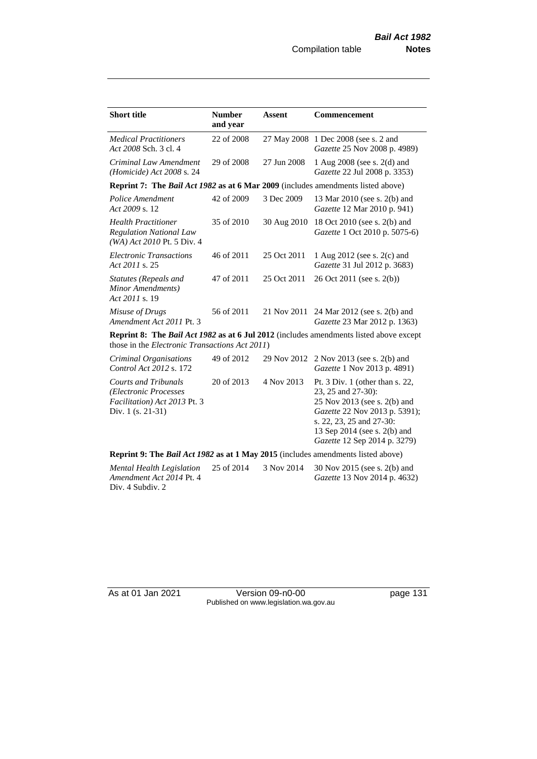| <b>Short title</b>                                                                                        | <b>Number</b><br>and year | <b>Assent</b> | <b>Commencement</b>                                                                                                                                                                  |
|-----------------------------------------------------------------------------------------------------------|---------------------------|---------------|--------------------------------------------------------------------------------------------------------------------------------------------------------------------------------------|
| <b>Medical Practitioners</b><br>Act 2008 Sch. 3 cl. 4                                                     | 22 of 2008                | 27 May 2008   | 1 Dec 2008 (see s. 2 and<br>Gazette 25 Nov 2008 p. 4989)                                                                                                                             |
| Criminal Law Amendment<br>(Homicide) Act 2008 s. 24                                                       | 29 of 2008                | 27 Jun 2008   | 1 Aug 2008 (see s. 2(d) and<br>Gazette 22 Jul 2008 p. 3353)                                                                                                                          |
| <b>Reprint 7: The Bail Act 1982 as at 6 Mar 2009</b> (includes amendments listed above)                   |                           |               |                                                                                                                                                                                      |
| Police Amendment<br>Act 2009 s. 12                                                                        | 42 of 2009                | 3 Dec 2009    | 13 Mar 2010 (see s. 2(b) and<br>Gazette 12 Mar 2010 p. 941)                                                                                                                          |
| <b>Health Practitioner</b><br><b>Regulation National Law</b><br>(WA) Act 2010 Pt. 5 Div. 4                | 35 of 2010                | 30 Aug 2010   | 18 Oct 2010 (see s. 2(b) and<br>Gazette 1 Oct 2010 p. 5075-6)                                                                                                                        |
| <b>Electronic Transactions</b><br>Act 2011 s. 25                                                          | 46 of 2011                | 25 Oct 2011   | 1 Aug 2012 (see s. 2(c) and<br>Gazette 31 Jul 2012 p. 3683)                                                                                                                          |
| Statutes (Repeals and<br>Minor Amendments)<br>Act 2011 s. 19                                              | 47 of 2011                | 25 Oct 2011   | 26 Oct 2011 (see s. 2(b))                                                                                                                                                            |
| Misuse of Drugs<br>Amendment Act 2011 Pt. 3                                                               | 56 of 2011                | 21 Nov 2011   | 24 Mar 2012 (see s. 2(b) and<br>Gazette 23 Mar 2012 p. 1363)                                                                                                                         |
| those in the <i>Electronic Transactions Act 2011</i> )                                                    |                           |               | <b>Reprint 8: The Bail Act 1982 as at 6 Jul 2012</b> (includes amendments listed above except                                                                                        |
| Criminal Organisations<br>Control Act 2012 s. 172                                                         | 49 of 2012                | 29 Nov 2012   | 2 Nov 2013 (see s. 2(b) and<br>Gazette 1 Nov 2013 p. 4891)                                                                                                                           |
| <b>Courts and Tribunals</b><br>(Electronic Processes<br>Facilitation) Act 2013 Pt. 3<br>Div. 1 (s. 21-31) | 20 of 2013                | 4 Nov 2013    | Pt. $3$ Div. 1 (other than s. 22,<br>23, 25 and 27-30):<br>25 Nov 2013 (see s. 2(b) and<br>Gazette 22 Nov 2013 p. 5391);<br>s. 22, 23, 25 and 27-30:<br>13 Sep 2014 (see s. 2(b) and |

**Reprint 9: The** *Bail Act 1982* **as at 1 May 2015** (includes amendments listed above)

*Mental Health Legislation Amendment Act 2014* Pt. 4 Div. 4 Subdiv. 2 25 of 2014 3 Nov 2014 30 Nov 2015 (see s. 2(b) and *Gazette* 13 Nov 2014 p. 4632)

As at 01 Jan 2021 Version 09-n0-00 page 131 Published on www.legislation.wa.gov.au

*Gazette* 12 Sep 2014 p. 3279)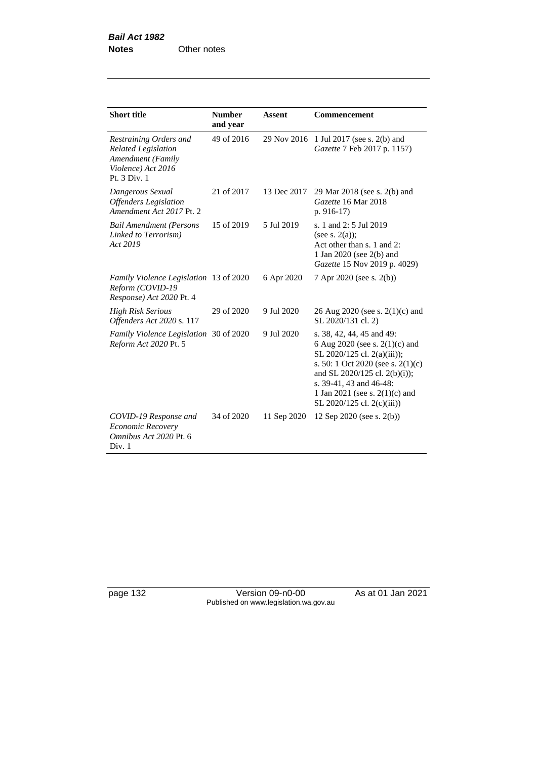| <b>Short title</b>                                                                                              | <b>Number</b><br>and year | <b>Assent</b> | Commencement                                                                                                                                                                                                                                                        |
|-----------------------------------------------------------------------------------------------------------------|---------------------------|---------------|---------------------------------------------------------------------------------------------------------------------------------------------------------------------------------------------------------------------------------------------------------------------|
| Restraining Orders and<br><b>Related Legislation</b><br>Amendment (Family<br>Violence) Act 2016<br>Pt. 3 Div. 1 | 49 of 2016                | 29 Nov 2016   | 1 Jul 2017 (see s. 2(b) and<br>Gazette 7 Feb 2017 p. 1157)                                                                                                                                                                                                          |
| Dangerous Sexual<br><b>Offenders</b> Legislation<br>Amendment Act 2017 Pt. 2                                    | 21 of 2017                | 13 Dec 2017   | 29 Mar 2018 (see s. 2(b) and<br>Gazette 16 Mar 2018<br>$p. 916-17$                                                                                                                                                                                                  |
| <b>Bail Amendment (Persons</b><br>Linked to Terrorism)<br>Act 2019                                              | 15 of 2019                | 5 Jul 2019    | s. 1 and 2: 5 Jul 2019<br>(see s. $2(a)$ );<br>Act other than s. 1 and 2:<br>1 Jan 2020 (see $2(b)$ and<br>Gazette 15 Nov 2019 p. 4029)                                                                                                                             |
| <i>Family Violence Legislation</i> 13 of 2020<br>Reform (COVID-19<br>Response) Act 2020 Pt. 4                   |                           | 6 Apr 2020    | 7 Apr 2020 (see s. 2(b))                                                                                                                                                                                                                                            |
| <b>High Risk Serious</b><br>Offenders Act 2020 s. 117                                                           | 29 of 2020                | 9 Jul 2020    | 26 Aug 2020 (see s. $2(1)(c)$ and<br>SL 2020/131 cl. 2)                                                                                                                                                                                                             |
| Family Violence Legislation 30 of 2020<br>Reform Act 2020 Pt. 5                                                 |                           | 9 Jul 2020    | s. 38, 42, 44, 45 and 49:<br>6 Aug 2020 (see s. $2(1)(c)$ and<br>SL 2020/125 cl. 2(a)(iii));<br>s. 50: 1 Oct 2020 (see s. $2(1)(c)$ )<br>and SL 2020/125 cl. 2(b)(i));<br>s. 39-41, 43 and 46-48:<br>1 Jan 2021 (see s. $2(1)(c)$ and<br>SL 2020/125 cl. 2(c)(iii)) |
| COVID-19 Response and<br>Economic Recovery<br>Omnibus Act 2020 Pt. 6<br>Div. 1                                  | 34 of 2020                | 11 Sep 2020   | 12 Sep 2020 (see s. 2(b))                                                                                                                                                                                                                                           |

page 132 Version 09-n0-00 As at 01 Jan 2021 Published on www.legislation.wa.gov.au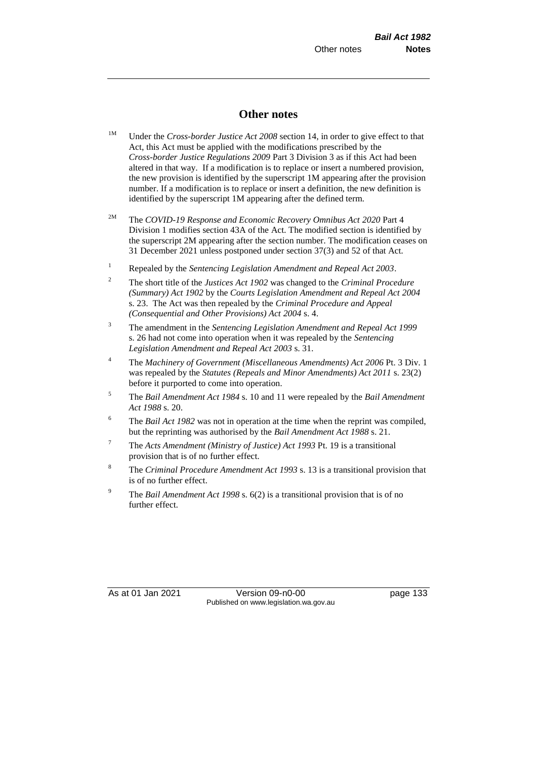# **Other notes**

- <sup>1M</sup> Under the *Cross-border Justice Act 2008* section 14, in order to give effect to that Act, this Act must be applied with the modifications prescribed by the *Cross-border Justice Regulations 2009* Part 3 Division 3 as if this Act had been altered in that way. If a modification is to replace or insert a numbered provision, the new provision is identified by the superscript 1M appearing after the provision number. If a modification is to replace or insert a definition, the new definition is identified by the superscript 1M appearing after the defined term.
- 2M The *COVID-19 Response and Economic Recovery Omnibus Act 2020* Part 4 Division 1 modifies section 43A of the Act. The modified section is identified by the superscript 2M appearing after the section number. The modification ceases on 31 December 2021 unless postponed under section 37(3) and 52 of that Act.
- <sup>1</sup> Repealed by the *Sentencing Legislation Amendment and Repeal Act 2003*.
- <sup>2</sup> The short title of the *Justices Act 1902* was changed to the *Criminal Procedure (Summary) Act 1902* by the *Courts Legislation Amendment and Repeal Act 2004*  s. 23. The Act was then repealed by the *Criminal Procedure and Appeal (Consequential and Other Provisions) Act 2004* s. 4.
- <sup>3</sup> The amendment in the *Sentencing Legislation Amendment and Repeal Act 1999* s. 26 had not come into operation when it was repealed by the *Sentencing Legislation Amendment and Repeal Act 2003* s. 31.
- <sup>4</sup> The *Machinery of Government (Miscellaneous Amendments) Act 2006* Pt. 3 Div. 1 was repealed by the *Statutes (Repeals and Minor Amendments) Act 2011* s. 23(2) before it purported to come into operation.
- <sup>5</sup> The *Bail Amendment Act 1984* s. 10 and 11 were repealed by the *Bail Amendment Act 1988* s. 20.
- <sup>6</sup> The *Bail Act 1982* was not in operation at the time when the reprint was compiled, but the reprinting was authorised by the *Bail Amendment Act 1988* s. 21.
- <sup>7</sup> The *Acts Amendment (Ministry of Justice) Act 1993* Pt. 19 is a transitional provision that is of no further effect.
- <sup>8</sup> The *Criminal Procedure Amendment Act 1993* s. 13 is a transitional provision that is of no further effect.
- <sup>9</sup> The *Bail Amendment Act 1998* s. 6(2) is a transitional provision that is of no further effect.

As at 01 Jan 2021 Version 09-n0-00 page 133 Published on www.legislation.wa.gov.au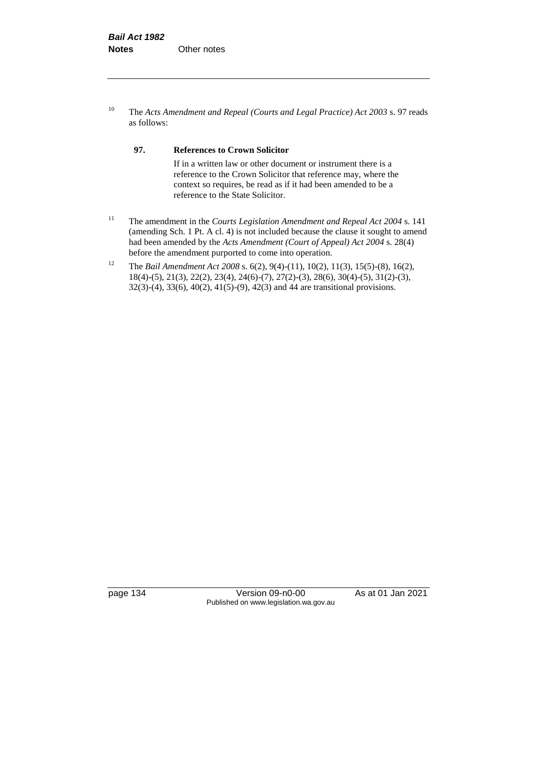<sup>10</sup> The *Acts Amendment and Repeal (Courts and Legal Practice) Act 2003* s. 97 reads as follows:

#### **97. References to Crown Solicitor**

If in a written law or other document or instrument there is a reference to the Crown Solicitor that reference may, where the context so requires, be read as if it had been amended to be a reference to the State Solicitor.

- <sup>11</sup> The amendment in the *Courts Legislation Amendment and Repeal Act 2004* s. 141 (amending Sch. 1 Pt. A cl. 4) is not included because the clause it sought to amend had been amended by the *Acts Amendment (Court of Appeal) Act 2004* s. 28(4) before the amendment purported to come into operation.
- <sup>12</sup> The *Bail Amendment Act 2008* s. 6(2), 9(4)-(11), 10(2), 11(3), 15(5)-(8), 16(2), 18(4)-(5), 21(3), 22(2), 23(4), 24(6)-(7), 27(2)-(3), 28(6), 30(4)-(5), 31(2)-(3), 32(3)-(4), 33(6), 40(2), 41(5)-(9), 42(3) and 44 are transitional provisions.

page 134 Version 09-n0-00 As at 01 Jan 2021 Published on www.legislation.wa.gov.au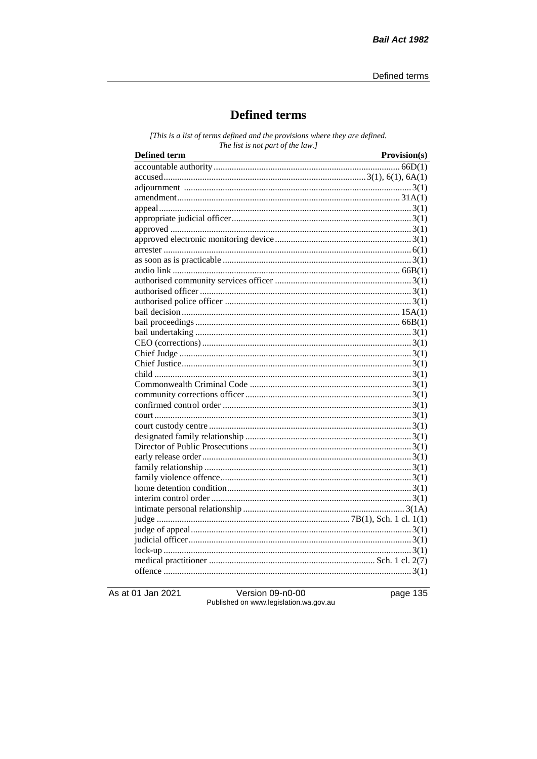## **Defined terms**

[This is a list of terms defined and the provisions where they are defined. The list is not part of the law.]

| <b>Defined term</b><br><u> 1989 - Johann Barn, mars ann an t-Amhain Aonaich an t-Aonaich an t-Aonaich ann an t-Aonaich an t-Aonaich ann </u> | Provision(s) |
|----------------------------------------------------------------------------------------------------------------------------------------------|--------------|
|                                                                                                                                              |              |
|                                                                                                                                              |              |
|                                                                                                                                              |              |
|                                                                                                                                              |              |
|                                                                                                                                              |              |
|                                                                                                                                              |              |
|                                                                                                                                              |              |
|                                                                                                                                              |              |
|                                                                                                                                              |              |
|                                                                                                                                              |              |
|                                                                                                                                              |              |
|                                                                                                                                              |              |
|                                                                                                                                              |              |
|                                                                                                                                              |              |
|                                                                                                                                              |              |
|                                                                                                                                              |              |
|                                                                                                                                              |              |
|                                                                                                                                              |              |
|                                                                                                                                              |              |
|                                                                                                                                              |              |
|                                                                                                                                              |              |
|                                                                                                                                              |              |
|                                                                                                                                              |              |
|                                                                                                                                              |              |
|                                                                                                                                              |              |
|                                                                                                                                              |              |
|                                                                                                                                              |              |
|                                                                                                                                              |              |
|                                                                                                                                              |              |
|                                                                                                                                              |              |
|                                                                                                                                              |              |
|                                                                                                                                              |              |
|                                                                                                                                              |              |
|                                                                                                                                              |              |
|                                                                                                                                              |              |
|                                                                                                                                              |              |
|                                                                                                                                              |              |
|                                                                                                                                              |              |
|                                                                                                                                              |              |
|                                                                                                                                              |              |

As at 01 Jan 2021

Version 09-n0-00 Published on www.legislation.wa.gov.au page 135